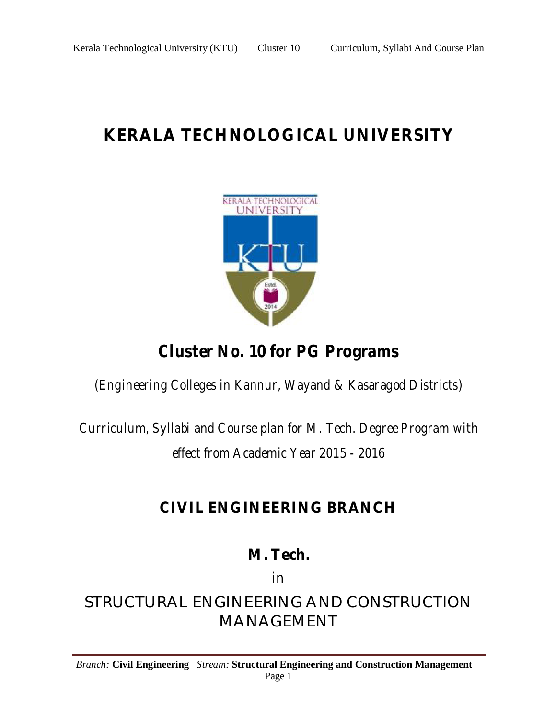# **KERALA TECHNOLOGICAL UNIVERSITY**



## *Cluster No. 10 for PG Programs*

*(Engineering Colleges in Kannur, Wayand & Kasaragod Districts)*

*Curriculum, Syllabi and Course plan for M. Tech. Degree Program with effect from Academic Year 2015 - 2016*

## **CIVIL ENGINEERING BRANCH**

**M. Tech.**

*in*

STRUCTURAL ENGINEERING AND CONSTRUCTION MANAGEMENT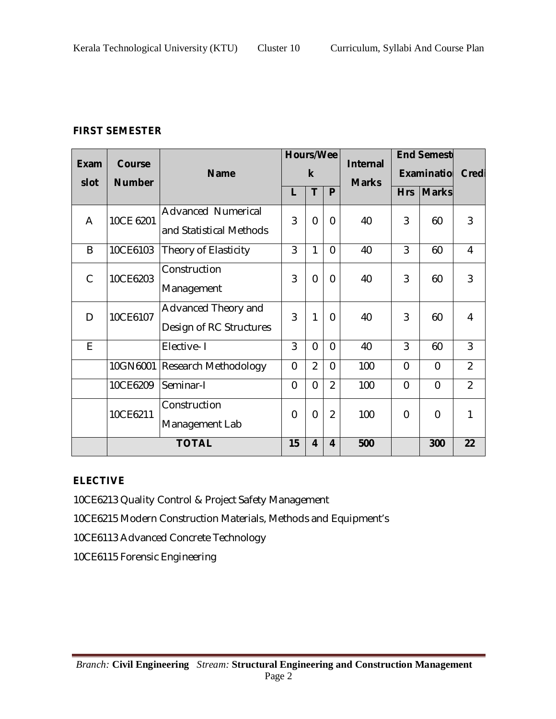## **FIRST SEMESTER**

| <b>Exam</b>  | <b>Course</b> | <b>Name</b>               | <b>Internal</b> |                | <b>Hours/Wee</b><br>$\mathbf k$ |     |                |                |                |  |  |  | <b>End Semesto</b><br>Examinatio |  | Credi |
|--------------|---------------|---------------------------|-----------------|----------------|---------------------------------|-----|----------------|----------------|----------------|--|--|--|----------------------------------|--|-------|
| slot         | <b>Number</b> |                           |                 | <b>Marks</b>   |                                 |     |                |                |                |  |  |  |                                  |  |       |
|              |               |                           | L               | T              | P                               |     | <b>Hrs</b>     | <b>Marks</b>   |                |  |  |  |                                  |  |       |
|              |               | <b>Advanced Numerical</b> |                 |                |                                 |     |                |                |                |  |  |  |                                  |  |       |
| A            | 10CE 6201     | and Statistical Methods   | 3               | $\overline{0}$ | $\overline{0}$                  | 40  | 3              | 60             | 3              |  |  |  |                                  |  |       |
| B            | 10CE6103      | Theory of Elasticity      | 3               | 1              | $\overline{0}$                  | 40  | 3              | 60             | 4              |  |  |  |                                  |  |       |
|              |               | Construction              |                 |                |                                 |     |                |                |                |  |  |  |                                  |  |       |
| $\mathsf{C}$ | 10CE6203      | Management                | 3               | $\overline{0}$ | $\mathbf{0}$                    | 40  | 3              | 60             | 3              |  |  |  |                                  |  |       |
| D            | 10CE6107      | Advanced Theory and       | 3               | 1              | $\overline{0}$                  | 40  | 3              | 60             | 4              |  |  |  |                                  |  |       |
|              |               | Design of RC Structures   |                 |                |                                 |     |                |                |                |  |  |  |                                  |  |       |
| E            |               | Elective-1                | 3               | $\overline{0}$ | $\overline{0}$                  | 40  | 3              | 60             | 3              |  |  |  |                                  |  |       |
|              | 10GN6001      | Research Methodology      | $\overline{0}$  | $\overline{2}$ | 0                               | 100 | $\overline{0}$ | $\overline{0}$ | $\overline{2}$ |  |  |  |                                  |  |       |
|              | 10CE6209      | Seminar-I                 | $\overline{0}$  | $\overline{0}$ | $\overline{2}$                  | 100 | $\overline{0}$ | $\overline{0}$ | $\overline{2}$ |  |  |  |                                  |  |       |
|              | 10CE6211      | Construction              |                 |                |                                 |     |                |                |                |  |  |  |                                  |  |       |
|              |               | Management Lab            | $\overline{0}$  | $\overline{0}$ | $\overline{2}$                  | 100 | 0              | $\overline{0}$ | 1              |  |  |  |                                  |  |       |
|              | <b>TOTAL</b>  |                           | 15              | 4              | 4                               | 500 |                | 300            | 22             |  |  |  |                                  |  |       |

## **ELECTIVE**

- 10CE6213 Quality Control & Project Safety Management
- 10CE6215 Modern Construction Materials, Methods and Equipment's
- 10CE6113 Advanced Concrete Technology
- 10CE6115 Forensic Engineering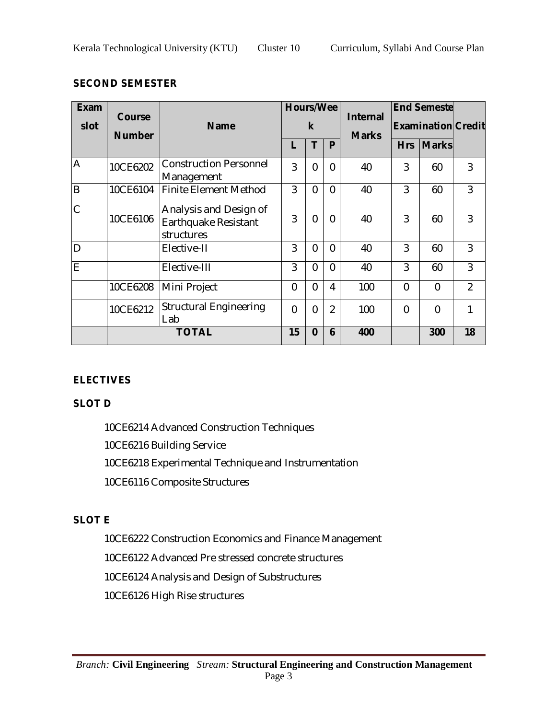## **SECOND SEMESTER**

| <b>Exam</b>  |                                |                                                              | <b>Hours/Wee</b> |                |                |                                 | <b>End Semestel</b>       |                |                |
|--------------|--------------------------------|--------------------------------------------------------------|------------------|----------------|----------------|---------------------------------|---------------------------|----------------|----------------|
| slot         | <b>Course</b><br><b>Number</b> | <b>Name</b>                                                  |                  | $\mathsf k$    |                | <b>Internal</b><br><b>Marks</b> | <b>Examination Credit</b> |                |                |
|              |                                |                                                              |                  | т              | P              |                                 | <b>Hrs</b>                | <b>Marks</b>   |                |
| A            | 10CE6202                       | <b>Construction Personnel</b><br>Management                  | 3                | $\overline{0}$ | 0              | 40                              | 3                         | 60             | 3              |
| B            | 10CE6104                       | <b>Finite Element Method</b>                                 | 3                | $\overline{0}$ | $\overline{0}$ | 40                              | 3                         | 60             | 3              |
| $\mathsf{C}$ | 10CE6106                       | Analysis and Design of<br>Earthquake Resistant<br>structures | 3                | 0              | 0              | 40                              | 3                         | 60             | 3              |
| D            |                                | Elective-II                                                  | 3                | 0              | 0              | 40                              | 3                         | 60             | 3              |
| E            |                                | Elective-III                                                 | 3                | $\overline{0}$ | 0              | 40                              | 3                         | 60             | 3              |
|              | 10CE6208                       | Mini Project                                                 | $\overline{0}$   | $\overline{0}$ | 4              | 100                             | $\overline{0}$            | $\overline{0}$ | $\overline{2}$ |
|              | 10CE6212                       | <b>Structural Engineering</b><br>Lab                         | $\overline{0}$   | 0              | $\overline{2}$ | 100                             | $\overline{0}$            | $\overline{0}$ | 1              |
|              |                                | <b>TOTAL</b>                                                 | 15               | $\bf{0}$       | 6              | 400                             |                           | 300            | 18             |

## **ELECTIVES**

## **SLOT D**

10CE6214 Advanced Construction Techniques 10CE6216 Building Service 10CE6218 Experimental Technique and Instrumentation 10CE6116 Composite Structures

## **SLOT E**

10CE6222 Construction Economics and Finance Management

10CE6122 Advanced Pre stressed concrete structures

10CE6124 Analysis and Design of Substructures

10CE6126 High Rise structures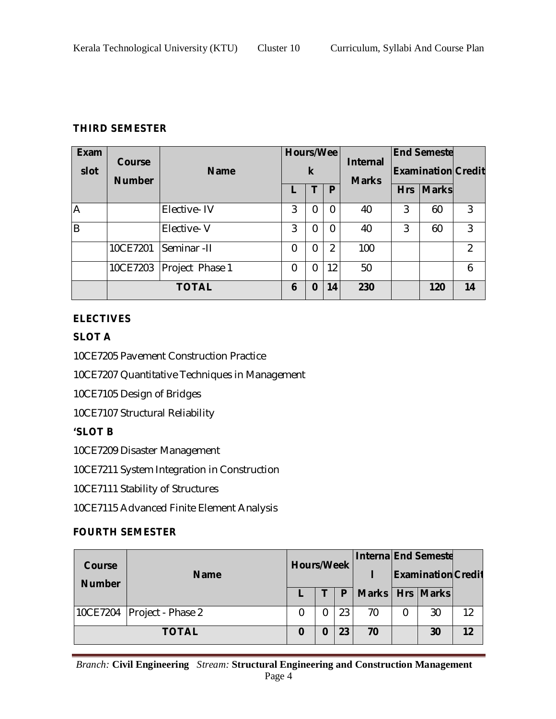## **THIRD SEMESTER**

| <b>Exam</b><br>slot | <b>Course</b><br><b>Number</b> | <b>Name</b>     |   | k        |                |     |   |           |               |  |  |  |  |  |  |  |  |  |  |  |  | <b>Hours/Wee</b> |  | <b>Internal</b><br><b>Marks</b> |  | <b>End Semeste</b><br><b>Examination Credit</b> |  |
|---------------------|--------------------------------|-----------------|---|----------|----------------|-----|---|-----------|---------------|--|--|--|--|--|--|--|--|--|--|--|--|------------------|--|---------------------------------|--|-------------------------------------------------|--|
|                     |                                |                 |   |          | P              |     |   | Hrs Marks |               |  |  |  |  |  |  |  |  |  |  |  |  |                  |  |                                 |  |                                                 |  |
| A                   |                                | Elective-IV     | 3 | $\Omega$ | $\Omega$       | 40  | 3 | 60        | 3             |  |  |  |  |  |  |  |  |  |  |  |  |                  |  |                                 |  |                                                 |  |
| $\overline{B}$      |                                | Elective-V      | 3 | $\Omega$ | 0              | 40  | 3 | 60        | 3             |  |  |  |  |  |  |  |  |  |  |  |  |                  |  |                                 |  |                                                 |  |
|                     | 10CE7201                       | Seminar - II    | 0 | $\Omega$ | $\overline{2}$ | 100 |   |           | $\mathcal{P}$ |  |  |  |  |  |  |  |  |  |  |  |  |                  |  |                                 |  |                                                 |  |
|                     | 10CE7203                       | Project Phase 1 | 0 | $\Omega$ | 12             | 50  |   |           | 6             |  |  |  |  |  |  |  |  |  |  |  |  |                  |  |                                 |  |                                                 |  |
|                     |                                | <b>TOTAL</b>    | 6 | $\bf{0}$ | 14             | 230 |   | 120       | 14            |  |  |  |  |  |  |  |  |  |  |  |  |                  |  |                                 |  |                                                 |  |

## **ELECTIVES**

## **SLOT A**

10CE7205 Pavement Construction Practice

10CE7207 Quantitative Techniques in Management

10CE7105 Design of Bridges

10CE7107 Structural Reliability

## **'SLOT B**

10CE7209 Disaster Management

10CE7211 System Integration in Construction

10CE7111 Stability of Structures

10CE7115 Advanced Finite Element Analysis

## **FOURTH SEMESTER**

| Course<br><b>Number</b> | <b>Name</b>                  |  | <b>Hours/Week</b> |    |                     |    | <b>Interna End Semeste</b> | <b>Examination Credit</b> |  |
|-------------------------|------------------------------|--|-------------------|----|---------------------|----|----------------------------|---------------------------|--|
|                         |                              |  |                   | P  | Marks   Hrs   Marks |    |                            |                           |  |
|                         | 10CE7204   Project - Phase 2 |  |                   | 23 | 70                  | 30 | 12                         |                           |  |
| <b>TOTAL</b>            |                              |  | 0                 |    | 70                  | 30 | 12                         |                           |  |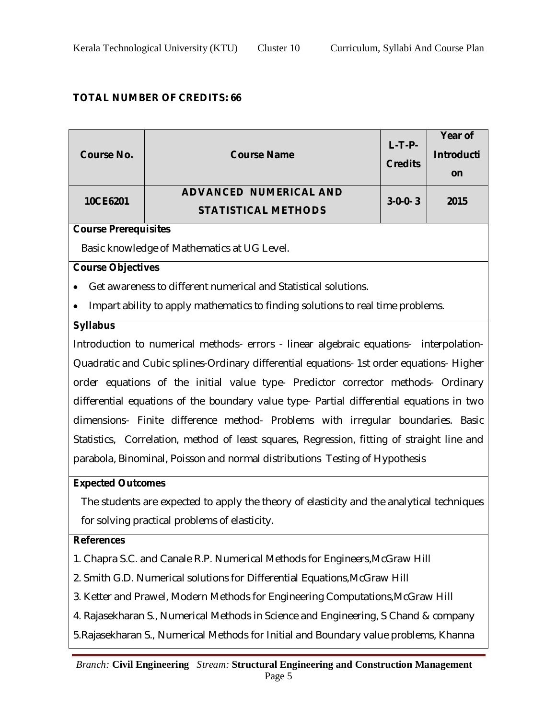## **TOTAL NUMBER OF CREDITS: 66**

| <b>Course No.</b>           | <b>Course Name</b>                                                                         | $L-T-P-$<br><b>Credits</b> | Year of<br><b>Introducti</b><br>on |  |  |  |
|-----------------------------|--------------------------------------------------------------------------------------------|----------------------------|------------------------------------|--|--|--|
| 10CE6201                    | <b>ADVANCED NUMERICAL AND</b><br><b>STATISTICAL METHODS</b>                                | $3-0-0-3$                  | 2015                               |  |  |  |
| <b>Course Prerequisites</b> |                                                                                            |                            |                                    |  |  |  |
|                             | Basic knowledge of Mathematics at UG Level.                                                |                            |                                    |  |  |  |
|                             |                                                                                            |                            |                                    |  |  |  |
| <b>Course Objectives</b>    |                                                                                            |                            |                                    |  |  |  |
|                             | Get awareness to different numerical and Statistical solutions.                            |                            |                                    |  |  |  |
|                             | Impart ability to apply mathematics to finding solutions to real time problems.            |                            |                                    |  |  |  |
| <b>Syllabus</b>             |                                                                                            |                            |                                    |  |  |  |
|                             | Introduction to numerical methods- errors - linear algebraic equations- interpolation-     |                            |                                    |  |  |  |
|                             | Quadratic and Cubic splines-Ordinary differential equations- 1st order equations- Higher   |                            |                                    |  |  |  |
|                             | order equations of the initial value type- Predictor corrector methods- Ordinary           |                            |                                    |  |  |  |
|                             | differential equations of the boundary value type- Partial differential equations in two   |                            |                                    |  |  |  |
|                             | dimensions- Finite difference method- Problems with irregular boundaries. Basic            |                            |                                    |  |  |  |
|                             | Statistics, Correlation, method of least squares, Regression, fitting of straight line and |                            |                                    |  |  |  |
|                             | parabola, Binominal, Poisson and normal distributions Testing of Hypothesis                |                            |                                    |  |  |  |
| <b>Expected Outcomes</b>    |                                                                                            |                            |                                    |  |  |  |
|                             | The students are expected to apply the theory of elasticity and the analytical techniques  |                            |                                    |  |  |  |
|                             | for solving practical problems of elasticity.                                              |                            |                                    |  |  |  |
| <b>References</b>           |                                                                                            |                            |                                    |  |  |  |
|                             | 1. Chapra S.C. and Canale R.P. Numerical Methods for Engineers, McGraw Hill                |                            |                                    |  |  |  |
|                             |                                                                                            |                            |                                    |  |  |  |
|                             | 2. Smith G.D. Numerical solutions for Differential Equations, McGraw Hill                  |                            |                                    |  |  |  |
|                             | 3. Ketter and Prawel, Modern Methods for Engineering Computations, McGraw Hill             |                            |                                    |  |  |  |
|                             | 4. Rajasekharan S., Numerical Methods in Science and Engineering, S Chand & company        |                            |                                    |  |  |  |
|                             | 5. Rajasekharan S., Numerical Methods for Initial and Boundary value problems, Khanna      |                            |                                    |  |  |  |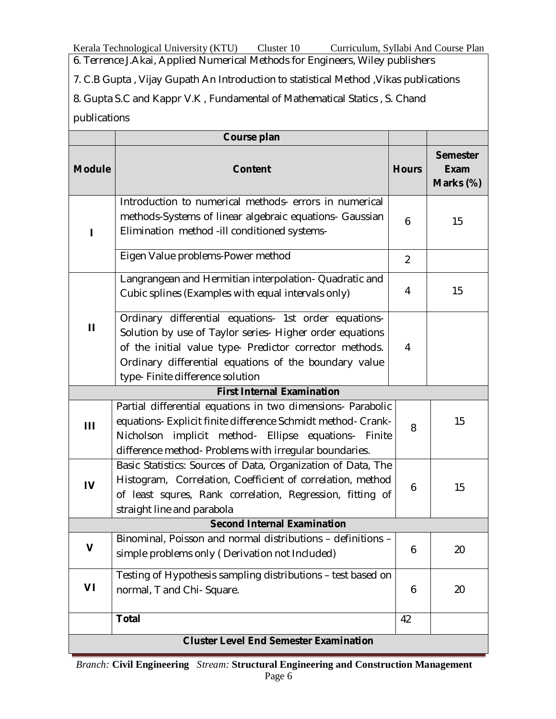Kerala Technological University (KTU) Cluster 10 Curriculum, Syllabi And Course Plan

6. Terrence J.Akai, Applied Numerical Methods for Engineers, Wiley publishers

7. C.B Gupta , Vijay Gupath An Introduction to statistical Method ,Vikas publications

8. Gupta S.C and Kappr V.K , Fundamental of Mathematical Statics , S. Chand publications

|               | Course plan                                                                                                                                                                                                                                                               |                |                                             |
|---------------|---------------------------------------------------------------------------------------------------------------------------------------------------------------------------------------------------------------------------------------------------------------------------|----------------|---------------------------------------------|
| <b>Module</b> | <b>Content</b>                                                                                                                                                                                                                                                            | <b>Hours</b>   | <b>Semester</b><br><b>Exam</b><br>Marks (%) |
|               | Introduction to numerical methods- errors in numerical<br>methods-Systems of linear algebraic equations- Gaussian<br>Elimination method - ill conditioned systems-                                                                                                        | 6              | 15                                          |
|               | Eigen Value problems-Power method                                                                                                                                                                                                                                         | $\overline{2}$ |                                             |
|               | Langrangean and Hermitian interpolation- Quadratic and<br>Cubic splines (Examples with equal intervals only)                                                                                                                                                              | 4              | 15                                          |
| $\mathbf{H}$  | Ordinary differential equations- 1st order equations-<br>Solution by use of Taylor series- Higher order equations<br>of the initial value type- Predictor corrector methods.<br>Ordinary differential equations of the boundary value<br>type- Finite difference solution | 4              |                                             |
|               | <b>First Internal Examination</b>                                                                                                                                                                                                                                         |                |                                             |
| Ш             | Partial differential equations in two dimensions- Parabolic<br>equations- Explicit finite difference Schmidt method- Crank-<br>method- Ellipse equations- Finite<br>Nicholson<br>implicit<br>difference method- Problems with irregular boundaries.                       | 8              | 15                                          |
| $\mathbf{I}$  | Basic Statistics: Sources of Data, Organization of Data, The<br>Histogram, Correlation, Coefficient of correlation, method<br>of least squres, Rank correlation, Regression, fitting of<br>straight line and parabola                                                     | 6              | 15                                          |
|               | <b>Second Internal Examination</b>                                                                                                                                                                                                                                        |                |                                             |
| $\mathbf v$   | Binominal, Poisson and normal distributions - definitions -<br>simple problems only (Derivation not Included)                                                                                                                                                             | 6              | 20                                          |
| VI            | Testing of Hypothesis sampling distributions - test based on<br>normal, T and Chi- Square.                                                                                                                                                                                | 6              | 20                                          |
|               | <b>Total</b>                                                                                                                                                                                                                                                              | 42             |                                             |
|               | <b>Cluster Level End Semester Examination</b>                                                                                                                                                                                                                             |                |                                             |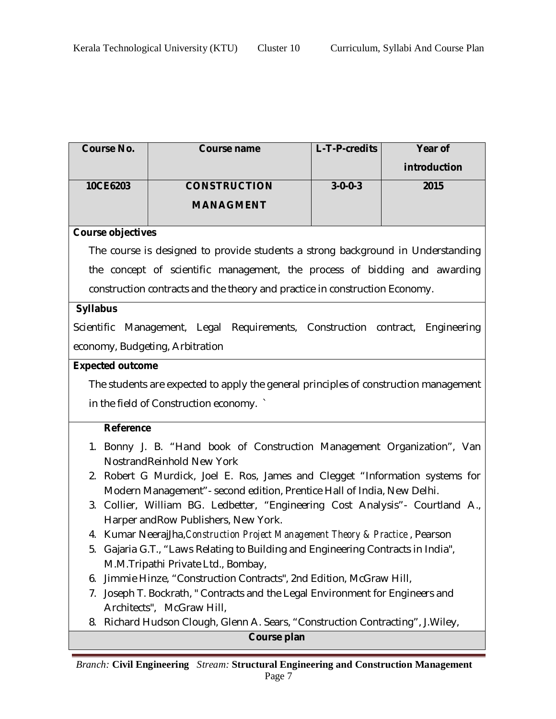| <b>Course No.</b>        | Course name                                                                                                            | L-T-P-credits   | Year of      |  |  |  |
|--------------------------|------------------------------------------------------------------------------------------------------------------------|-----------------|--------------|--|--|--|
|                          |                                                                                                                        |                 | introduction |  |  |  |
| 10CE6203                 | <b>CONSTRUCTION</b>                                                                                                    | $3 - 0 - 0 - 3$ | 2015         |  |  |  |
|                          | <b>MANAGMENT</b>                                                                                                       |                 |              |  |  |  |
|                          |                                                                                                                        |                 |              |  |  |  |
| <b>Course objectives</b> |                                                                                                                        |                 |              |  |  |  |
|                          | The course is designed to provide students a strong background in Understanding                                        |                 |              |  |  |  |
|                          | the concept of scientific management, the process of bidding and awarding                                              |                 |              |  |  |  |
|                          | construction contracts and the theory and practice in construction Economy.                                            |                 |              |  |  |  |
| <b>Syllabus</b>          |                                                                                                                        |                 |              |  |  |  |
|                          | Scientific Management, Legal Requirements, Construction contract,                                                      |                 | Engineering  |  |  |  |
|                          | economy, Budgeting, Arbitration                                                                                        |                 |              |  |  |  |
| <b>Expected outcome</b>  |                                                                                                                        |                 |              |  |  |  |
|                          | The students are expected to apply the general principles of construction management                                   |                 |              |  |  |  |
|                          | in the field of Construction economy.                                                                                  |                 |              |  |  |  |
|                          |                                                                                                                        |                 |              |  |  |  |
| <b>Reference</b>         |                                                                                                                        |                 |              |  |  |  |
|                          | 1. Bonny J. B. "Hand book of Construction Management Organization", Van                                                |                 |              |  |  |  |
|                          | NostrandReinhold New York                                                                                              |                 |              |  |  |  |
|                          | 2. Robert G Murdick, Joel E. Ros, James and Clegget "Information systems for                                           |                 |              |  |  |  |
|                          | Modern Management" - second edition, Prentice Hall of India, New Delhi.                                                |                 |              |  |  |  |
|                          | 3. Collier, William BG. Ledbetter, "Engineering Cost Analysis" - Courtland A.,<br>Harper and Row Publishers, New York. |                 |              |  |  |  |
|                          | 4. Kumar NeerajJha, Construction Project Management Theory & Practice, Pearson                                         |                 |              |  |  |  |
|                          | 5. Gajaria G.T., "Laws Relating to Building and Engineering Contracts in India",                                       |                 |              |  |  |  |
|                          | M.M.Tripathi Private Ltd., Bombay,                                                                                     |                 |              |  |  |  |
| 6.                       | Jimmie Hinze, "Construction Contracts", 2nd Edition, McGraw Hill,                                                      |                 |              |  |  |  |
| 7.                       | Joseph T. Bockrath, " Contracts and the Legal Environment for Engineers and                                            |                 |              |  |  |  |
|                          | Architects", McGraw Hill,                                                                                              |                 |              |  |  |  |
| 8.                       | Richard Hudson Clough, Glenn A. Sears, "Construction Contracting", J. Wiley,                                           |                 |              |  |  |  |
| Course plan              |                                                                                                                        |                 |              |  |  |  |

L,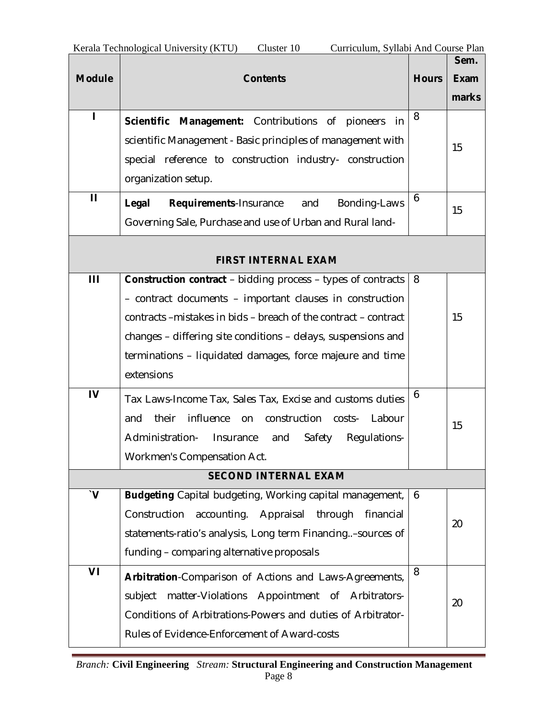|                       |                                                                     |              | Sem.        |
|-----------------------|---------------------------------------------------------------------|--------------|-------------|
| <b>Module</b>         | <b>Contents</b>                                                     | <b>Hours</b> | <b>Exam</b> |
|                       |                                                                     |              | marks       |
| ı                     | Management: Contributions of pioneers<br><b>Scientific</b><br>-in   | 8            |             |
|                       | scientific Management - Basic principles of management with         |              | 15          |
|                       | special reference to construction industry- construction            |              |             |
|                       | organization setup.                                                 |              |             |
| $\mathbf{H}$          | Legal<br>Requirements-Insurance<br>Bonding-Laws<br>and              | 6            | 15          |
|                       | Governing Sale, Purchase and use of Urban and Rural land-           |              |             |
|                       |                                                                     |              |             |
|                       | <b>FIRST INTERNAL EXAM</b>                                          |              |             |
| Ш                     | <b>Construction contract</b> – bidding process – types of contracts | 8            |             |
|                       | - contract documents - important clauses in construction            |              |             |
|                       | contracts - mistakes in bids - breach of the contract - contract    |              | 15          |
|                       | changes – differing site conditions – delays, suspensions and       |              |             |
|                       | terminations – liquidated damages, force majeure and time           |              |             |
|                       | extensions                                                          |              |             |
| IV                    | Tax Laws-Income Tax, Sales Tax, Excise and customs duties           | 6            |             |
|                       | influence<br>their<br>construction<br>Labour<br>and<br>on<br>costs- |              | 15          |
|                       | Administration-<br>Safety<br>Insurance<br>and<br>Regulations-       |              |             |
|                       | Workmen's Compensation Act.                                         |              |             |
|                       | <b>SECOND INTERNAL EXAM</b>                                         |              |             |
| $\mathbf{V}^{\prime}$ | Budgeting Capital budgeting, Working capital management,            | 6            |             |
|                       | Construction<br>accounting. Appraisal<br>through<br>financial       |              | 20          |
|                       | statements-ratio's analysis, Long term Financing. - sources of      |              |             |
|                       | funding - comparing alternative proposals                           |              |             |
| VI                    | Arbitration-Comparison of Actions and Laws-Agreements,              | 8            |             |
|                       | matter-Violations Appointment of Arbitrators-<br>subject            |              | 20          |
|                       | Conditions of Arbitrations-Powers and duties of Arbitrator-         |              |             |
|                       | Rules of Evidence-Enforcement of Award-costs                        |              |             |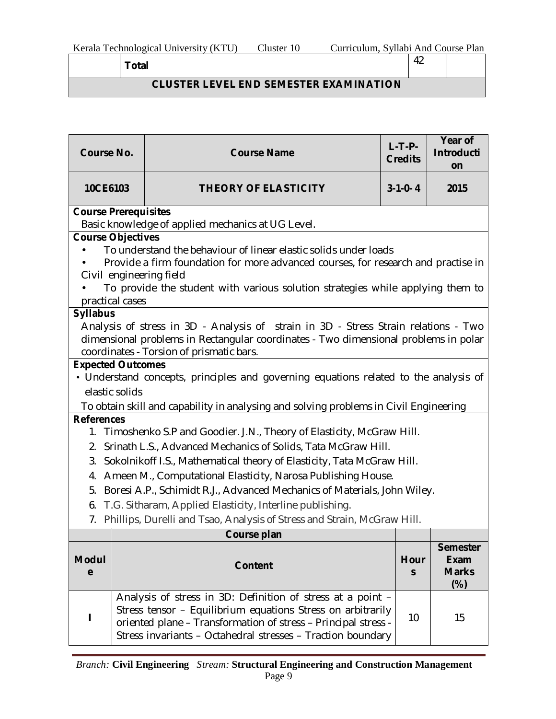**CLUSTER LEVEL END SEMESTER EXAMINATION** 

| <b>Course No.</b>        |                                                                                                                                                                                                                                                                                                | <b>Course Name</b>                                                                                                                                                                                                                                          | $L-T-P-$<br><b>Credits</b> | Year of<br><b>Introducti</b><br>on |  |  |  |  |
|--------------------------|------------------------------------------------------------------------------------------------------------------------------------------------------------------------------------------------------------------------------------------------------------------------------------------------|-------------------------------------------------------------------------------------------------------------------------------------------------------------------------------------------------------------------------------------------------------------|----------------------------|------------------------------------|--|--|--|--|
| 10CE6103                 |                                                                                                                                                                                                                                                                                                | $3-1-0-4$                                                                                                                                                                                                                                                   | 2015                       |                                    |  |  |  |  |
|                          | <b>Course Prerequisites</b>                                                                                                                                                                                                                                                                    |                                                                                                                                                                                                                                                             |                            |                                    |  |  |  |  |
|                          |                                                                                                                                                                                                                                                                                                | Basic knowledge of applied mechanics at UG Level.                                                                                                                                                                                                           |                            |                                    |  |  |  |  |
|                          | <b>Course Objectives</b><br>To understand the behaviour of linear elastic solids under loads<br>Provide a firm foundation for more advanced courses, for research and practise in<br>Civil engineering field<br>To provide the student with various solution strategies while applying them to |                                                                                                                                                                                                                                                             |                            |                                    |  |  |  |  |
| practical cases          |                                                                                                                                                                                                                                                                                                |                                                                                                                                                                                                                                                             |                            |                                    |  |  |  |  |
| <b>Syllabus</b>          |                                                                                                                                                                                                                                                                                                | Analysis of stress in 3D - Analysis of strain in 3D - Stress Strain relations - Two<br>dimensional problems in Rectangular coordinates - Two dimensional problems in polar<br>coordinates - Torsion of prismatic bars.                                      |                            |                                    |  |  |  |  |
| <b>Expected Outcomes</b> |                                                                                                                                                                                                                                                                                                |                                                                                                                                                                                                                                                             |                            |                                    |  |  |  |  |
|                          |                                                                                                                                                                                                                                                                                                | • Understand concepts, principles and governing equations related to the analysis of                                                                                                                                                                        |                            |                                    |  |  |  |  |
|                          | elastic solids                                                                                                                                                                                                                                                                                 |                                                                                                                                                                                                                                                             |                            |                                    |  |  |  |  |
|                          |                                                                                                                                                                                                                                                                                                | To obtain skill and capability in analysing and solving problems in Civil Engineering                                                                                                                                                                       |                            |                                    |  |  |  |  |
| <b>References</b><br>2.  |                                                                                                                                                                                                                                                                                                | 1. Timoshenko S.P and Goodier. J.N., Theory of Elasticity, McGraw Hill.<br>Srinath L.S., Advanced Mechanics of Solids, Tata McGraw Hill.                                                                                                                    |                            |                                    |  |  |  |  |
| 3.                       |                                                                                                                                                                                                                                                                                                | Sokolnikoff I.S., Mathematical theory of Elasticity, Tata McGraw Hill.                                                                                                                                                                                      |                            |                                    |  |  |  |  |
| 4.                       |                                                                                                                                                                                                                                                                                                | Ameen M., Computational Elasticity, Narosa Publishing House.                                                                                                                                                                                                |                            |                                    |  |  |  |  |
| 5.                       |                                                                                                                                                                                                                                                                                                | Boresi A.P., Schimidt R.J., Advanced Mechanics of Materials, John Wiley.                                                                                                                                                                                    |                            |                                    |  |  |  |  |
| 6.                       |                                                                                                                                                                                                                                                                                                | T.G. Sitharam, Applied Elasticity, Interline publishing.                                                                                                                                                                                                    |                            |                                    |  |  |  |  |
| 7.                       |                                                                                                                                                                                                                                                                                                | Phillips, Durelli and Tsao, Analysis of Stress and Strain, McGraw Hill.                                                                                                                                                                                     |                            |                                    |  |  |  |  |
|                          |                                                                                                                                                                                                                                                                                                | Course plan                                                                                                                                                                                                                                                 |                            |                                    |  |  |  |  |
| <b>Modul</b><br>e        | <b>Semester</b><br><b>Exam</b><br>Hour<br><b>Content</b><br><b>Marks</b><br>S<br>$(\%)$                                                                                                                                                                                                        |                                                                                                                                                                                                                                                             |                            |                                    |  |  |  |  |
|                          |                                                                                                                                                                                                                                                                                                | Analysis of stress in 3D: Definition of stress at a point -<br>Stress tensor - Equilibrium equations Stress on arbitrarily<br>oriented plane - Transformation of stress - Principal stress -<br>Stress invariants - Octahedral stresses - Traction boundary | 10                         | 15                                 |  |  |  |  |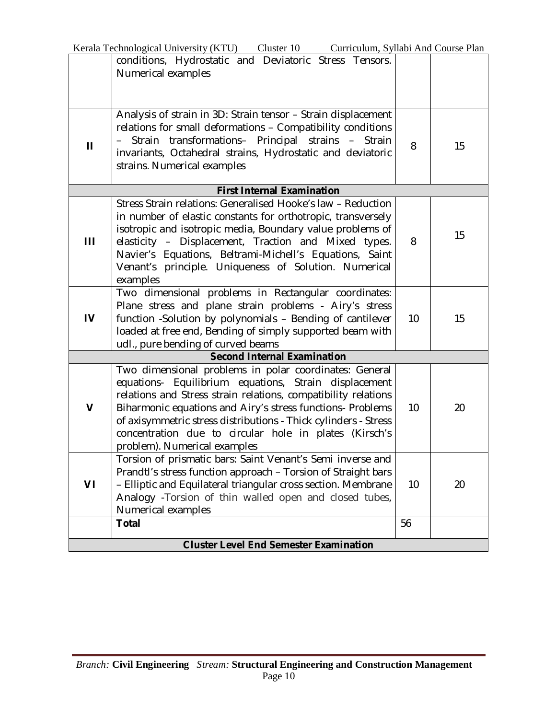|              | Kerala Technological University (KTU) Cluster 10<br>Curriculum, Syllabi And Course Plan |    |    |
|--------------|-----------------------------------------------------------------------------------------|----|----|
|              | conditions, Hydrostatic and Deviatoric Stress Tensors.                                  |    |    |
|              | Numerical examples                                                                      |    |    |
|              |                                                                                         |    |    |
|              |                                                                                         |    |    |
|              | Analysis of strain in 3D: Strain tensor - Strain displacement                           |    |    |
|              | relations for small deformations - Compatibility conditions                             |    |    |
|              | Strain transformations- Principal strains - Strain                                      |    |    |
| $\mathbf{H}$ | invariants, Octahedral strains, Hydrostatic and deviatoric                              | 8  | 15 |
|              | strains. Numerical examples                                                             |    |    |
|              |                                                                                         |    |    |
|              | <b>First Internal Examination</b>                                                       |    |    |
|              | Stress Strain relations: Generalised Hooke's law - Reduction                            |    |    |
|              | in number of elastic constants for orthotropic, transversely                            |    |    |
|              | isotropic and isotropic media, Boundary value problems of                               |    | 15 |
| Ш            | elasticity - Displacement, Traction and Mixed types.                                    | 8  |    |
|              | Navier's Equations, Beltrami-Michell's Equations, Saint                                 |    |    |
|              | Venant's principle. Uniqueness of Solution. Numerical                                   |    |    |
|              | examples                                                                                |    |    |
|              | Two dimensional problems in Rectangular coordinates:                                    |    |    |
|              | Plane stress and plane strain problems - Airy's stress                                  |    |    |
| IV           | function -Solution by polynomials - Bending of cantilever                               | 10 | 15 |
|              | loaded at free end, Bending of simply supported beam with                               |    |    |
|              | udl., pure bending of curved beams                                                      |    |    |
|              | <b>Second Internal Examination</b>                                                      |    |    |
|              | Two dimensional problems in polar coordinates: General                                  |    |    |
|              | equations- Equilibrium equations, Strain displacement                                   |    |    |
| V            | relations and Stress strain relations, compatibility relations                          | 10 |    |
|              | Biharmonic equations and Airy's stress functions- Problems                              |    | 20 |
|              | of axisymmetric stress distributions - Thick cylinders - Stress                         |    |    |
|              | concentration due to circular hole in plates (Kirsch's<br>problem). Numerical examples  |    |    |
|              | Torsion of prismatic bars: Saint Venant's Semi inverse and                              |    |    |
|              | Prandtl's stress function approach - Torsion of Straight bars                           |    |    |
| VI           | - Elliptic and Equilateral triangular cross section. Membrane                           | 10 | 20 |
|              | Analogy -Torsion of thin walled open and closed tubes,                                  |    |    |
|              | Numerical examples                                                                      |    |    |
|              | <b>Total</b>                                                                            | 56 |    |
|              |                                                                                         |    |    |
|              | <b>Cluster Level End Semester Examination</b>                                           |    |    |

J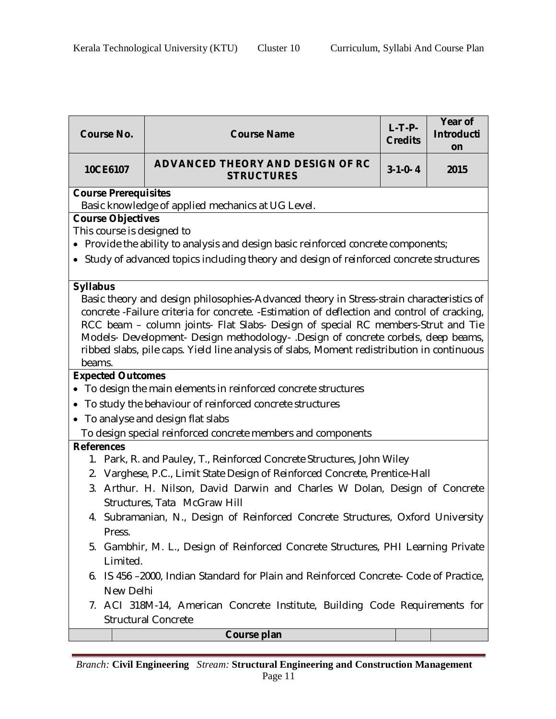| <b>Course No.</b>                                                                                                                                                                                                                                                                                                                                                                                                                                                        | <b>Course Name</b>                                                                                        | $L-T-P-$<br><b>Credits</b> | Year of<br><b>Introducti</b><br>on |  |  |  |  |  |  |
|--------------------------------------------------------------------------------------------------------------------------------------------------------------------------------------------------------------------------------------------------------------------------------------------------------------------------------------------------------------------------------------------------------------------------------------------------------------------------|-----------------------------------------------------------------------------------------------------------|----------------------------|------------------------------------|--|--|--|--|--|--|
| 10CE6107                                                                                                                                                                                                                                                                                                                                                                                                                                                                 | ADVANCED THEORY AND DESIGN OF RC<br><b>STRUCTURES</b>                                                     | $3-1-0-4$                  | 2015                               |  |  |  |  |  |  |
|                                                                                                                                                                                                                                                                                                                                                                                                                                                                          | <b>Course Prerequisites</b>                                                                               |                            |                                    |  |  |  |  |  |  |
|                                                                                                                                                                                                                                                                                                                                                                                                                                                                          | Basic knowledge of applied mechanics at UG Level.                                                         |                            |                                    |  |  |  |  |  |  |
| <b>Course Objectives</b>                                                                                                                                                                                                                                                                                                                                                                                                                                                 |                                                                                                           |                            |                                    |  |  |  |  |  |  |
| This course is designed to                                                                                                                                                                                                                                                                                                                                                                                                                                               | • Provide the ability to analysis and design basic reinforced concrete components;                        |                            |                                    |  |  |  |  |  |  |
|                                                                                                                                                                                                                                                                                                                                                                                                                                                                          |                                                                                                           |                            |                                    |  |  |  |  |  |  |
|                                                                                                                                                                                                                                                                                                                                                                                                                                                                          | • Study of advanced topics including theory and design of reinforced concrete structures                  |                            |                                    |  |  |  |  |  |  |
| <b>Syllabus</b>                                                                                                                                                                                                                                                                                                                                                                                                                                                          |                                                                                                           |                            |                                    |  |  |  |  |  |  |
| Basic theory and design philosophies-Advanced theory in Stress-strain characteristics of<br>concrete -Failure criteria for concrete. -Estimation of deflection and control of cracking,<br>RCC beam – column joints- Flat Slabs- Design of special RC members-Strut and Tie<br>Models- Development- Design methodology- .Design of concrete corbels, deep beams,<br>ribbed slabs, pile caps. Yield line analysis of slabs, Moment redistribution in continuous<br>beams. |                                                                                                           |                            |                                    |  |  |  |  |  |  |
| <b>Expected Outcomes</b>                                                                                                                                                                                                                                                                                                                                                                                                                                                 |                                                                                                           |                            |                                    |  |  |  |  |  |  |
|                                                                                                                                                                                                                                                                                                                                                                                                                                                                          | To design the main elements in reinforced concrete structures                                             |                            |                                    |  |  |  |  |  |  |
|                                                                                                                                                                                                                                                                                                                                                                                                                                                                          | To study the behaviour of reinforced concrete structures                                                  |                            |                                    |  |  |  |  |  |  |
| $\bullet$                                                                                                                                                                                                                                                                                                                                                                                                                                                                | To analyse and design flat slabs                                                                          |                            |                                    |  |  |  |  |  |  |
|                                                                                                                                                                                                                                                                                                                                                                                                                                                                          | To design special reinforced concrete members and components                                              |                            |                                    |  |  |  |  |  |  |
| <b>References</b>                                                                                                                                                                                                                                                                                                                                                                                                                                                        |                                                                                                           |                            |                                    |  |  |  |  |  |  |
|                                                                                                                                                                                                                                                                                                                                                                                                                                                                          | 1. Park, R. and Pauley, T., Reinforced Concrete Structures, John Wiley                                    |                            |                                    |  |  |  |  |  |  |
|                                                                                                                                                                                                                                                                                                                                                                                                                                                                          | 2. Varghese, P.C., Limit State Design of Reinforced Concrete, Prentice-Hall                               |                            |                                    |  |  |  |  |  |  |
|                                                                                                                                                                                                                                                                                                                                                                                                                                                                          | 3. Arthur. H. Nilson, David Darwin and Charles W Dolan, Design of Concrete                                |                            |                                    |  |  |  |  |  |  |
|                                                                                                                                                                                                                                                                                                                                                                                                                                                                          | Structures, Tata McGraw Hill                                                                              |                            |                                    |  |  |  |  |  |  |
| Press.                                                                                                                                                                                                                                                                                                                                                                                                                                                                   | 4. Subramanian, N., Design of Reinforced Concrete Structures, Oxford University                           |                            |                                    |  |  |  |  |  |  |
| Limited.                                                                                                                                                                                                                                                                                                                                                                                                                                                                 | 5. Gambhir, M. L., Design of Reinforced Concrete Structures, PHI Learning Private                         |                            |                                    |  |  |  |  |  |  |
| New Delhi                                                                                                                                                                                                                                                                                                                                                                                                                                                                | 6. IS 456 –2000, Indian Standard for Plain and Reinforced Concrete- Code of Practice,                     |                            |                                    |  |  |  |  |  |  |
|                                                                                                                                                                                                                                                                                                                                                                                                                                                                          | 7. ACI 318M-14, American Concrete Institute, Building Code Requirements for<br><b>Structural Concrete</b> |                            |                                    |  |  |  |  |  |  |
|                                                                                                                                                                                                                                                                                                                                                                                                                                                                          | Course plan                                                                                               |                            |                                    |  |  |  |  |  |  |

*Branch:* **Civil Engineering** *Stream:* **Structural Engineering and Construction Management** Page 11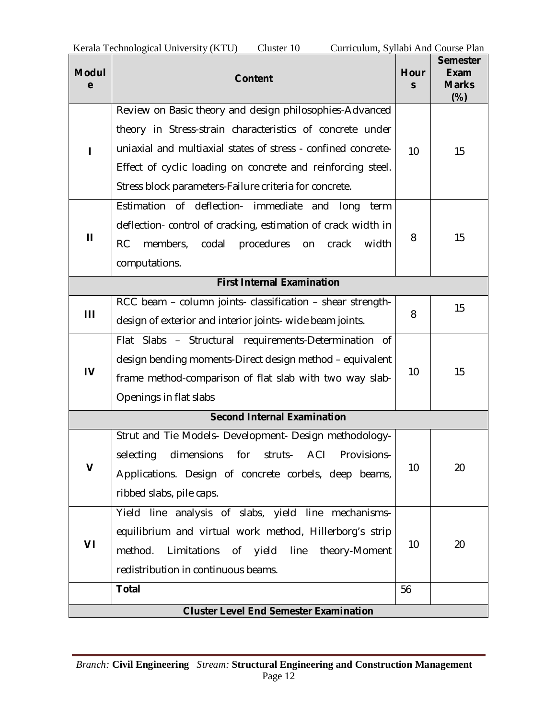| <b>Modul</b><br>e | <b>Content</b>                                                    | Hour<br>S | <b>Semester</b><br>Exam<br><b>Marks</b><br>$(\%)$ |
|-------------------|-------------------------------------------------------------------|-----------|---------------------------------------------------|
|                   | Review on Basic theory and design philosophies-Advanced           |           |                                                   |
|                   | theory in Stress-strain characteristics of concrete under         |           |                                                   |
|                   | uniaxial and multiaxial states of stress - confined concrete-     | 10        | 15                                                |
|                   | Effect of cyclic loading on concrete and reinforcing steel.       |           |                                                   |
|                   | Stress block parameters-Failure criteria for concrete.            |           |                                                   |
|                   | Estimation of deflection- immediate and long<br>term              |           |                                                   |
| Ш                 | deflection- control of cracking, estimation of crack width in     | 8         | 15                                                |
|                   | <b>RC</b><br>members, codal<br>procedures<br>width<br>crack<br>on |           |                                                   |
|                   | computations.                                                     |           |                                                   |
|                   | <b>First Internal Examination</b>                                 |           |                                                   |
| Ш                 | RCC beam - column joints- classification - shear strength-        | 8         | 15                                                |
|                   | design of exterior and interior joints- wide beam joints.         |           |                                                   |
|                   | Flat Slabs - Structural requirements-Determination of             |           |                                                   |
| $\mathbf{I}$      | design bending moments-Direct design method – equivalent          | 10        | 15                                                |
|                   | frame method-comparison of flat slab with two way slab-           |           |                                                   |
|                   | Openings in flat slabs                                            |           |                                                   |
|                   | <b>Second Internal Examination</b>                                |           |                                                   |
|                   | Strut and Tie Models- Development- Design methodology-            |           |                                                   |
|                   | dimensions<br>ACI<br>selecting<br>for<br>struts-<br>Provisions-   |           |                                                   |
| V                 | Applications. Design of concrete corbels, deep beams,             | 10        | 20                                                |
|                   | ribbed slabs, pile caps.                                          |           |                                                   |
|                   | Yield line analysis of slabs, yield line mechanisms-              |           |                                                   |
| VI                | equilibrium and virtual work method, Hillerborg's strip           | 10        |                                                   |
|                   | method.<br>Limitations<br>of yield line<br>theory-Moment          |           | 20                                                |
|                   | redistribution in continuous beams.                               |           |                                                   |
|                   | <b>Total</b>                                                      | 56        |                                                   |
|                   | <b>Cluster Level End Semester Examination</b>                     |           |                                                   |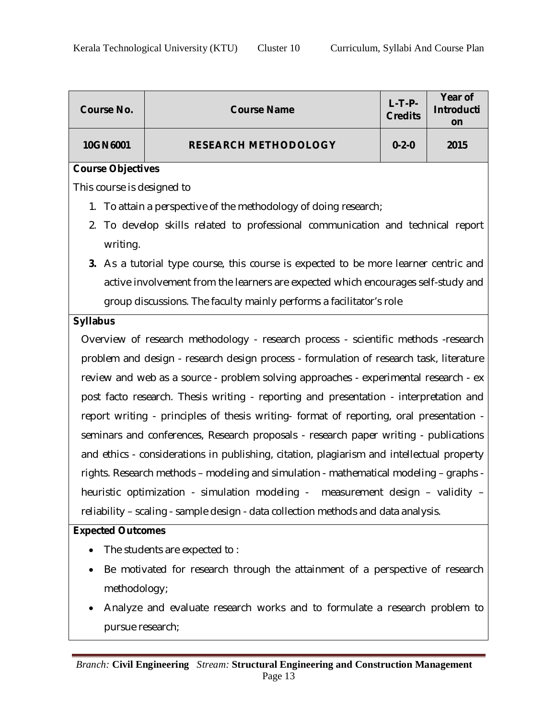| <b>Course No.</b>          | <b>Course Name</b>                                                                        | $L-T-P-$<br><b>Credits</b> | <b>Year of</b><br><b>Introducti</b><br>on |
|----------------------------|-------------------------------------------------------------------------------------------|----------------------------|-------------------------------------------|
| 10GN6001                   | <b>RESEARCH METHODOLOGY</b>                                                               | $0 - 2 - 0$                | 2015                                      |
| <b>Course Objectives</b>   |                                                                                           |                            |                                           |
| This course is designed to |                                                                                           |                            |                                           |
|                            | 1. To attain a perspective of the methodology of doing research;                          |                            |                                           |
| 2.                         | To develop skills related to professional communication and technical report              |                            |                                           |
| writing.                   |                                                                                           |                            |                                           |
|                            | 3. As a tutorial type course, this course is expected to be more learner centric and      |                            |                                           |
|                            | active involvement from the learners are expected which encourages self-study and         |                            |                                           |
|                            | group discussions. The faculty mainly performs a facilitator's role                       |                            |                                           |
| <b>Syllabus</b>            |                                                                                           |                            |                                           |
|                            | Overview of research methodology - research process - scientific methods -research        |                            |                                           |
|                            | problem and design - research design process - formulation of research task, literature   |                            |                                           |
|                            | review and web as a source - problem solving approaches - experimental research - ex      |                            |                                           |
|                            | post facto research. Thesis writing - reporting and presentation - interpretation and     |                            |                                           |
|                            | report writing - principles of thesis writing- format of reporting, oral presentation -   |                            |                                           |
|                            | seminars and conferences, Research proposals - research paper writing - publications      |                            |                                           |
|                            | and ethics - considerations in publishing, citation, plagiarism and intellectual property |                            |                                           |
|                            | rights. Research methods - modeling and simulation - mathematical modeling - graphs -     |                            |                                           |
|                            | heuristic optimization - simulation modeling - measurement design - validity -            |                            |                                           |
|                            | reliability - scaling - sample design - data collection methods and data analysis.        |                            |                                           |
| <b>Expected Outcomes</b>   |                                                                                           |                            |                                           |
| $\bullet$                  | The students are expected to:                                                             |                            |                                           |
| $\bullet$                  | Be motivated for research through the attainment of a perspective of research             |                            |                                           |
| methodology;               |                                                                                           |                            |                                           |
|                            | Analyze and evaluate research works and to formulate a research problem to                |                            |                                           |
| pursue research;           |                                                                                           |                            |                                           |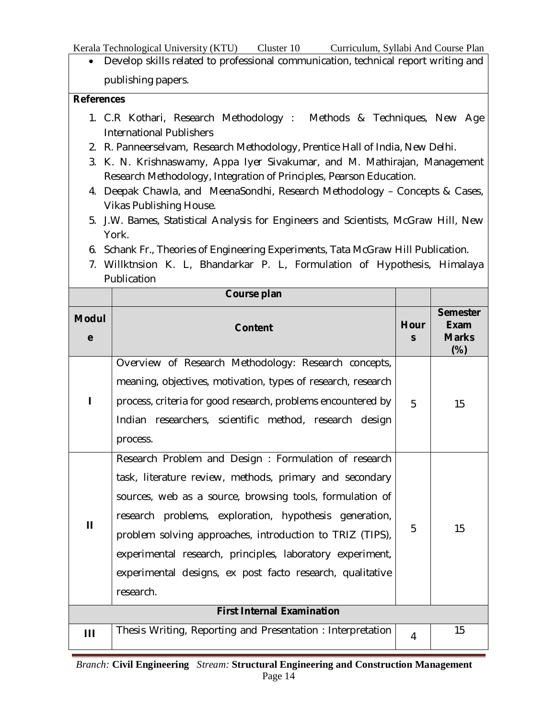Kerala Technological University (KTU) Cluster 10 Curriculum, Syllabi And Course Plan

 Develop skills related to professional communication, technical report writing and publishing papers.

#### **References**

- 1. C.R Kothari, Research Methodology : Methods & Techniques, New Age International Publishers
- 2. R. Panneerselvam, Research Methodology, Prentice Hall of India, New Delhi.
- 3. K. N. Krishnaswamy, Appa Iyer Sivakumar, and M. Mathirajan, Management Research Methodology, Integration of Principles, Pearson Education.
- 4. Deepak Chawla, and MeenaSondhi, Research Methodology Concepts & Cases, Vikas Publishing House.
- 5. J.W. Bames, Statistical Analysis for Engineers and Scientists, McGraw Hill, New York.
- 6. Schank Fr., Theories of Engineering Experiments, Tata McGraw Hill Publication.
- 7. Willktnsion K. L, Bhandarkar P. L, Formulation of Hypothesis, Himalaya Publication

|                   | Course plan                                                                                                                                                                                                                                                                                                                                                                                                                              |                      |                                                   |
|-------------------|------------------------------------------------------------------------------------------------------------------------------------------------------------------------------------------------------------------------------------------------------------------------------------------------------------------------------------------------------------------------------------------------------------------------------------------|----------------------|---------------------------------------------------|
| <b>Modul</b><br>e | <b>Content</b>                                                                                                                                                                                                                                                                                                                                                                                                                           | Hour<br>$\mathsf{s}$ | <b>Semester</b><br>Exam<br><b>Marks</b><br>$(\%)$ |
| L                 | Overview of Research Methodology: Research concepts,<br>meaning, objectives, motivation, types of research, research<br>process, criteria for good research, problems encountered by<br>Indian researchers, scientific method, research design<br>process.                                                                                                                                                                               | 5                    | 15                                                |
| $\mathbf{H}$      | Research Problem and Design: Formulation of research<br>task, literature review, methods, primary and secondary<br>sources, web as a source, browsing tools, formulation of<br>research problems, exploration, hypothesis generation,<br>problem solving approaches, introduction to TRIZ (TIPS),<br>experimental research, principles, laboratory experiment,<br>experimental designs, ex post facto research, qualitative<br>research. | 5                    | 15                                                |
|                   | <b>First Internal Examination</b>                                                                                                                                                                                                                                                                                                                                                                                                        |                      |                                                   |
| Ш                 | Thesis Writing, Reporting and Presentation: Interpretation                                                                                                                                                                                                                                                                                                                                                                               | 4                    | 15                                                |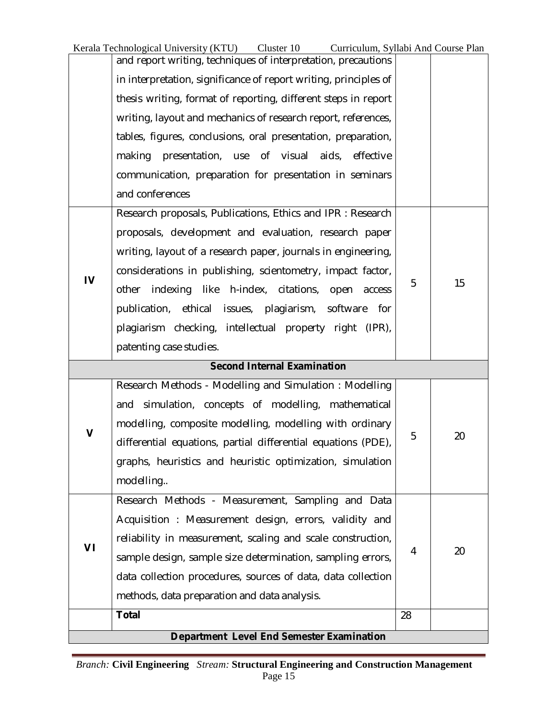Kerala Technological University (KTU) Cluster 10 Curriculum, Syllabi And Course Plan

|             | and report writing, techniques of interpretation, precautions      |    |    |
|-------------|--------------------------------------------------------------------|----|----|
|             | in interpretation, significance of report writing, principles of   |    |    |
|             | thesis writing, format of reporting, different steps in report     |    |    |
|             | writing, layout and mechanics of research report, references,      |    |    |
|             | tables, figures, conclusions, oral presentation, preparation,      |    |    |
|             | presentation, use of visual<br>aids,<br>effective<br>making        |    |    |
|             | communication, preparation for presentation in seminars            |    |    |
|             | and conferences                                                    |    |    |
|             | Research proposals, Publications, Ethics and IPR : Research        |    |    |
|             | proposals, development and evaluation, research paper              |    |    |
|             | writing, layout of a research paper, journals in engineering,      |    |    |
|             | considerations in publishing, scientometry, impact factor,         |    |    |
| IV          | like<br>other<br>indexing<br>h-index, citations,<br>open<br>access | 5  | 15 |
|             | publication, ethical issues, plagiarism,<br>software<br>for        |    |    |
|             | plagiarism checking, intellectual property right (IPR),            |    |    |
|             | patenting case studies.                                            |    |    |
|             | <b>Second Internal Examination</b>                                 |    |    |
|             | Research Methods - Modelling and Simulation: Modelling             |    |    |
|             | simulation, concepts of modelling,<br>mathematical<br>and          |    |    |
| $\mathbf v$ | modelling, composite modelling, modelling with ordinary            |    |    |
|             | differential equations, partial differential equations (PDE),      | 5  | 20 |
|             | graphs, heuristics and heuristic optimization, simulation          |    |    |
|             | modelling                                                          |    |    |
|             |                                                                    |    |    |
|             | Research Methods - Measurement, Sampling and Data                  |    |    |
|             | Acquisition: Measurement design, errors, validity and              |    |    |
|             | reliability in measurement, scaling and scale construction,        |    |    |
| VI          | sample design, sample size determination, sampling errors,         | 4  | 20 |
|             | data collection procedures, sources of data, data collection       |    |    |
|             | methods, data preparation and data analysis.                       |    |    |
|             | <b>Total</b>                                                       | 28 |    |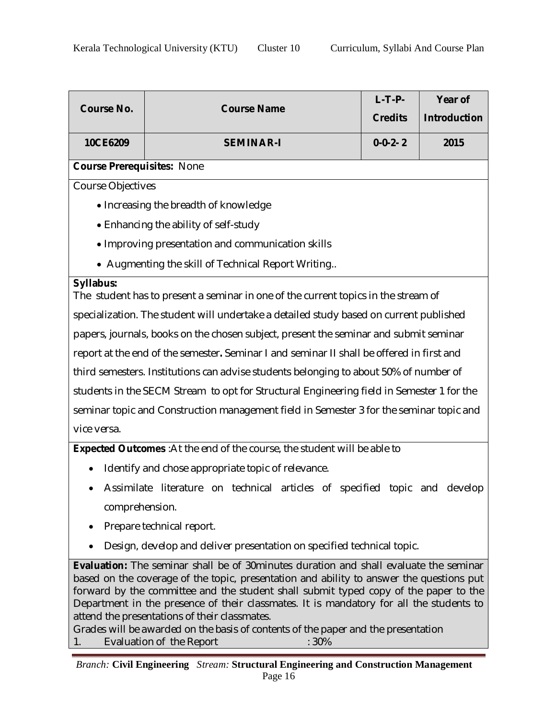| <b>Course No.</b>                                                                                                                                                                                                                                                                                                                                                                                                                                                                                                  | <b>Course Name</b>                                                                        | $L-T-P-$<br><b>Credits</b> | Year of<br><b>Introduction</b> |  |
|--------------------------------------------------------------------------------------------------------------------------------------------------------------------------------------------------------------------------------------------------------------------------------------------------------------------------------------------------------------------------------------------------------------------------------------------------------------------------------------------------------------------|-------------------------------------------------------------------------------------------|----------------------------|--------------------------------|--|
| 10CE6209                                                                                                                                                                                                                                                                                                                                                                                                                                                                                                           | <b>SEMINAR-I</b>                                                                          | $0 - 0 - 2 - 2$            | 2015                           |  |
| <b>Course Prerequisites: None</b>                                                                                                                                                                                                                                                                                                                                                                                                                                                                                  |                                                                                           |                            |                                |  |
| <b>Course Objectives</b>                                                                                                                                                                                                                                                                                                                                                                                                                                                                                           |                                                                                           |                            |                                |  |
|                                                                                                                                                                                                                                                                                                                                                                                                                                                                                                                    | • Increasing the breadth of knowledge                                                     |                            |                                |  |
|                                                                                                                                                                                                                                                                                                                                                                                                                                                                                                                    | • Enhancing the ability of self-study                                                     |                            |                                |  |
|                                                                                                                                                                                                                                                                                                                                                                                                                                                                                                                    | • Improving presentation and communication skills                                         |                            |                                |  |
|                                                                                                                                                                                                                                                                                                                                                                                                                                                                                                                    | • Augmenting the skill of Technical Report Writing                                        |                            |                                |  |
| <b>Syllabus:</b>                                                                                                                                                                                                                                                                                                                                                                                                                                                                                                   | The student has to present a seminar in one of the current topics in the stream of        |                            |                                |  |
|                                                                                                                                                                                                                                                                                                                                                                                                                                                                                                                    | specialization. The student will undertake a detailed study based on current published    |                            |                                |  |
|                                                                                                                                                                                                                                                                                                                                                                                                                                                                                                                    | papers, journals, books on the chosen subject, present the seminar and submit seminar     |                            |                                |  |
|                                                                                                                                                                                                                                                                                                                                                                                                                                                                                                                    | report at the end of the semester. Seminar I and seminar II shall be offered in first and |                            |                                |  |
|                                                                                                                                                                                                                                                                                                                                                                                                                                                                                                                    | third semesters. Institutions can advise students belonging to about 50% of number of     |                            |                                |  |
|                                                                                                                                                                                                                                                                                                                                                                                                                                                                                                                    | students in the SECM Stream to opt for Structural Engineering field in Semester 1 for the |                            |                                |  |
|                                                                                                                                                                                                                                                                                                                                                                                                                                                                                                                    | seminar topic and Construction management field in Semester 3 for the seminar topic and   |                            |                                |  |
| vice versa.                                                                                                                                                                                                                                                                                                                                                                                                                                                                                                        |                                                                                           |                            |                                |  |
|                                                                                                                                                                                                                                                                                                                                                                                                                                                                                                                    | <b>Expected Outcomes</b> : At the end of the course, the student will be able to          |                            |                                |  |
|                                                                                                                                                                                                                                                                                                                                                                                                                                                                                                                    | Identify and chose appropriate topic of relevance.                                        |                            |                                |  |
| $\bullet$                                                                                                                                                                                                                                                                                                                                                                                                                                                                                                          | Assimilate literature on technical articles of specified topic and develop                |                            |                                |  |
| comprehension.                                                                                                                                                                                                                                                                                                                                                                                                                                                                                                     |                                                                                           |                            |                                |  |
|                                                                                                                                                                                                                                                                                                                                                                                                                                                                                                                    | Prepare technical report.                                                                 |                            |                                |  |
|                                                                                                                                                                                                                                                                                                                                                                                                                                                                                                                    | Design, develop and deliver presentation on specified technical topic.                    |                            |                                |  |
| <b>Evaluation:</b> The seminar shall be of 30 minutes duration and shall evaluate the seminar<br>based on the coverage of the topic, presentation and ability to answer the questions put<br>forward by the committee and the student shall submit typed copy of the paper to the<br>Department in the presence of their classmates. It is mandatory for all the students to<br>attend the presentations of their classmates.<br>Grades will be awarded on the basis of contents of the paper and the presentation |                                                                                           |                            |                                |  |

1. Evaluation of the Report : 30%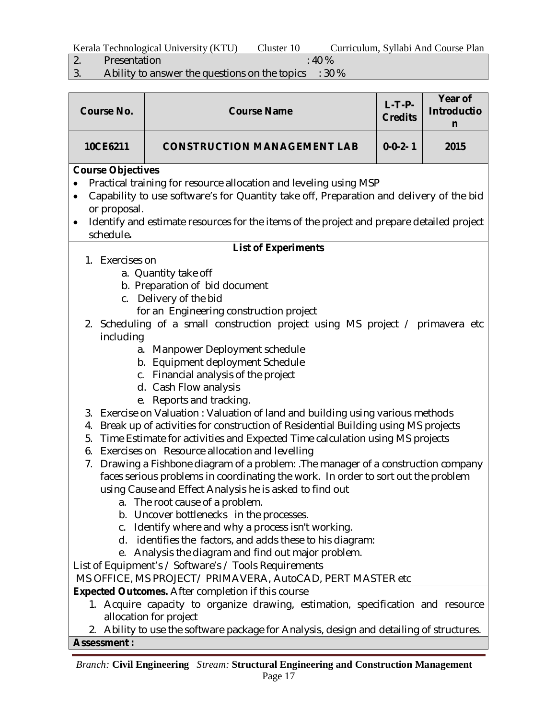| Kerala Technological University (KTU)<br>Curriculum, Syllabi And Course Plan<br>Cluster 10 |  |
|--------------------------------------------------------------------------------------------|--|
|--------------------------------------------------------------------------------------------|--|

- 
- 2. Presentation : 40 %<br>3. Ability to answer the questions on the topics : 30 Ability to answer the questions on the topics : 30 %

| <b>Course No.</b>                                                                                                                                                                                                                                                         | <b>Course Name</b>                                                                                                                                                                                                                                                                    | $L-T-P-$<br><b>Credits</b> | Year of<br><b>Introductio</b><br>n |  |  |
|---------------------------------------------------------------------------------------------------------------------------------------------------------------------------------------------------------------------------------------------------------------------------|---------------------------------------------------------------------------------------------------------------------------------------------------------------------------------------------------------------------------------------------------------------------------------------|----------------------------|------------------------------------|--|--|
| 10CE6211                                                                                                                                                                                                                                                                  | <b>CONSTRUCTION MANAGEMENT LAB</b>                                                                                                                                                                                                                                                    | $0 - 0 - 2 - 1$            | 2015                               |  |  |
| $\bullet$<br>or proposal.<br>$\bullet$<br>schedule.                                                                                                                                                                                                                       | <b>Course Objectives</b><br>Practical training for resource allocation and leveling using MSP<br>Capability to use software's for Quantity take off, Preparation and delivery of the bid<br>Identify and estimate resources for the items of the project and prepare detailed project |                            |                                    |  |  |
|                                                                                                                                                                                                                                                                           | <b>List of Experiments</b>                                                                                                                                                                                                                                                            |                            |                                    |  |  |
| 1. Exercises on<br>including                                                                                                                                                                                                                                              | a. Quantity take off<br>b. Preparation of bid document<br>c. Delivery of the bid<br>for an Engineering construction project<br>2. Scheduling of a small construction project using MS project / primavera etc<br>a. Manpower Deployment schedule<br>b. Equipment deployment Schedule  |                            |                                    |  |  |
|                                                                                                                                                                                                                                                                           | c. Financial analysis of the project<br>d. Cash Flow analysis<br>e. Reports and tracking.<br>3. Exercise on Valuation: Valuation of land and building using various methods                                                                                                           |                            |                                    |  |  |
| 4.<br>5.<br>6.                                                                                                                                                                                                                                                            | Break up of activities for construction of Residential Building using MS projects<br>Time Estimate for activities and Expected Time calculation using MS projects<br>Exercises on Resource allocation and levelling                                                                   |                            |                                    |  |  |
| Drawing a Fishbone diagram of a problem: . The manager of a construction company<br>7.<br>faces serious problems in coordinating the work. In order to sort out the problem<br>using Cause and Effect Analysis he is asked to find out<br>a. The root cause of a problem. |                                                                                                                                                                                                                                                                                       |                            |                                    |  |  |
| b.<br>C.<br>d.<br>е.                                                                                                                                                                                                                                                      | Uncover bottlenecks in the processes.<br>Identify where and why a process isn't working.<br>identifies the factors, and adds these to his diagram:<br>Analysis the diagram and find out major problem.<br>List of Equipment's / Software's / Tools Requirements                       |                            |                                    |  |  |
|                                                                                                                                                                                                                                                                           | MS OFFICE, MS PROJECT/ PRIMAVERA, AutoCAD, PERT MASTER etc                                                                                                                                                                                                                            |                            |                                    |  |  |
| <b>Assessment:</b>                                                                                                                                                                                                                                                        | <b>Expected Outcomes.</b> After completion if this course<br>1. Acquire capacity to organize drawing, estimation, specification and resource<br>allocation for project<br>Ability to use the software package for Analysis, design and detailing of structures.                       |                            |                                    |  |  |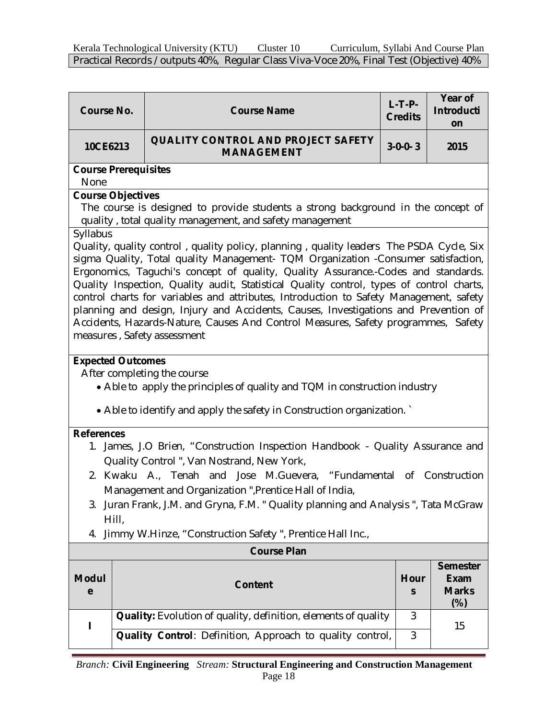| <b>Course No.</b>                                                                                                                                                                                                                                                                                                                                                                                                                                                                                                                                                                                                                                                              | <b>Course Name</b>                                                                                                                           | $L-T-P-$<br><b>Credits</b> | Year of<br><b>Introducti</b><br>on    |  |
|--------------------------------------------------------------------------------------------------------------------------------------------------------------------------------------------------------------------------------------------------------------------------------------------------------------------------------------------------------------------------------------------------------------------------------------------------------------------------------------------------------------------------------------------------------------------------------------------------------------------------------------------------------------------------------|----------------------------------------------------------------------------------------------------------------------------------------------|----------------------------|---------------------------------------|--|
| 10CE6213                                                                                                                                                                                                                                                                                                                                                                                                                                                                                                                                                                                                                                                                       | <b>QUALITY CONTROL AND PROJECT SAFETY</b><br><b>MANAGEMENT</b>                                                                               | $3 - 0 - 0 - 3$            | 2015                                  |  |
| <b>Course Prerequisites</b><br>None                                                                                                                                                                                                                                                                                                                                                                                                                                                                                                                                                                                                                                            |                                                                                                                                              |                            |                                       |  |
| <b>Course Objectives</b>                                                                                                                                                                                                                                                                                                                                                                                                                                                                                                                                                                                                                                                       | The course is designed to provide students a strong background in the concept of<br>quality, total quality management, and safety management |                            |                                       |  |
| Syllabus<br>Quality, quality control, quality policy, planning, quality leaders The PSDA Cycle, Six<br>sigma Quality, Total quality Management- TQM Organization -Consumer satisfaction,<br>Ergonomics, Taguchi's concept of quality, Quality Assurance.-Codes and standards.<br>Quality Inspection, Quality audit, Statistical Quality control, types of control charts,<br>control charts for variables and attributes, Introduction to Safety Management, safety<br>planning and design, Injury and Accidents, Causes, Investigations and Prevention of<br>Accidents, Hazards-Nature, Causes And Control Measures, Safety programmes, Safety<br>measures, Safety assessment |                                                                                                                                              |                            |                                       |  |
| <b>Expected Outcomes</b><br>After completing the course<br>• Able to apply the principles of quality and TQM in construction industry<br>• Able to identify and apply the safety in Construction organization.                                                                                                                                                                                                                                                                                                                                                                                                                                                                 |                                                                                                                                              |                            |                                       |  |
| <b>References</b><br>1. James, J.O Brien, "Construction Inspection Handbook - Quality Assurance and<br>Quality Control ", Van Nostrand, New York,<br>2. Kwaku A., Tenah and Jose M.Guevera, "Fundamental of Construction<br>Management and Organization ", Prentice Hall of India,<br>3. Juran Frank, J.M. and Gryna, F.M. " Quality planning and Analysis ", Tata McGraw<br>Hill,                                                                                                                                                                                                                                                                                             |                                                                                                                                              |                            |                                       |  |
| 4.                                                                                                                                                                                                                                                                                                                                                                                                                                                                                                                                                                                                                                                                             | Jimmy W.Hinze, "Construction Safety", Prentice Hall Inc.,                                                                                    |                            |                                       |  |
|                                                                                                                                                                                                                                                                                                                                                                                                                                                                                                                                                                                                                                                                                | <b>Course Plan</b>                                                                                                                           |                            | <b>Semester</b>                       |  |
| <b>Modul</b><br>e                                                                                                                                                                                                                                                                                                                                                                                                                                                                                                                                                                                                                                                              | <b>Content</b>                                                                                                                               | Hour<br>S                  | <b>Exam</b><br><b>Marks</b><br>$(\%)$ |  |
|                                                                                                                                                                                                                                                                                                                                                                                                                                                                                                                                                                                                                                                                                | Quality: Evolution of quality, definition, elements of quality                                                                               | 3                          | 15                                    |  |
|                                                                                                                                                                                                                                                                                                                                                                                                                                                                                                                                                                                                                                                                                | Quality Control: Definition, Approach to quality control,                                                                                    | 3                          |                                       |  |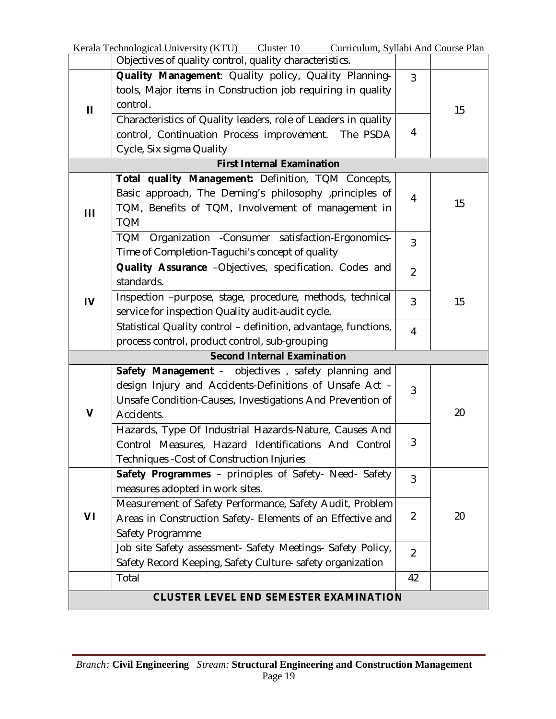| Kerala Technological University (KTU) Cluster 10<br>Curriculum, Syllabi And Course Plan |                                                                 |                |    |  |  |
|-----------------------------------------------------------------------------------------|-----------------------------------------------------------------|----------------|----|--|--|
|                                                                                         | Objectives of quality control, quality characteristics.         |                |    |  |  |
| $\mathbf{H}$                                                                            | Quality Management: Quality policy, Quality Planning-           | $\overline{3}$ |    |  |  |
|                                                                                         | tools, Major items in Construction job requiring in quality     |                |    |  |  |
|                                                                                         | control.                                                        |                | 15 |  |  |
|                                                                                         | Characteristics of Quality leaders, role of Leaders in quality  |                |    |  |  |
|                                                                                         | control, Continuation Process improvement. The PSDA             | 4              |    |  |  |
|                                                                                         | Cycle, Six sigma Quality                                        |                |    |  |  |
|                                                                                         | <b>First Internal Examination</b>                               |                |    |  |  |
|                                                                                         | Total quality Management: Definition, TQM Concepts,             |                |    |  |  |
|                                                                                         | Basic approach, The Deming's philosophy , principles of         | 4              |    |  |  |
| Ш                                                                                       | TQM, Benefits of TQM, Involvement of management in              |                | 15 |  |  |
|                                                                                         | <b>TQM</b>                                                      |                |    |  |  |
|                                                                                         | TQM Organization - Consumer satisfaction-Ergonomics-            | $\overline{3}$ |    |  |  |
|                                                                                         | Time of Completion-Taguchi's concept of quality                 |                |    |  |  |
|                                                                                         | Quality Assurance -Objectives, specification. Codes and         | $\overline{2}$ |    |  |  |
| $\mathbf{I}$                                                                            | standards.                                                      |                |    |  |  |
|                                                                                         | Inspection -purpose, stage, procedure, methods, technical       | 3              | 15 |  |  |
|                                                                                         | service for inspection Quality audit-audit cycle.               |                |    |  |  |
|                                                                                         | Statistical Quality control - definition, advantage, functions, | 4              |    |  |  |
|                                                                                         | process control, product control, sub-grouping                  |                |    |  |  |
| <b>Second Internal Examination</b>                                                      |                                                                 |                |    |  |  |
|                                                                                         | Safety Management - objectives, safety planning and             |                |    |  |  |
|                                                                                         | design Injury and Accidents-Definitions of Unsafe Act -         | 3              |    |  |  |
|                                                                                         | Unsafe Condition-Causes, Investigations And Prevention of       |                |    |  |  |
| V                                                                                       | Accidents.                                                      |                | 20 |  |  |
|                                                                                         | Hazards, Type Of Industrial Hazards-Nature, Causes And          |                |    |  |  |
|                                                                                         | Control Measures, Hazard Identifications And Control            | 3              |    |  |  |
|                                                                                         | Techniques - Cost of Construction Injuries                      |                |    |  |  |
|                                                                                         | Safety Programmes - principles of Safety- Need- Safety          | $\overline{3}$ |    |  |  |
|                                                                                         | measures adopted in work sites.                                 |                |    |  |  |
|                                                                                         | Measurement of Safety Performance, Safety Audit, Problem        |                |    |  |  |
| VI                                                                                      | Areas in Construction Safety- Elements of an Effective and      | $\overline{2}$ | 20 |  |  |
|                                                                                         | Safety Programme                                                |                |    |  |  |
|                                                                                         | Job site Safety assessment- Safety Meetings- Safety Policy,     | $\overline{2}$ |    |  |  |
|                                                                                         | Safety Record Keeping, Safety Culture- safety organization      |                |    |  |  |
|                                                                                         | Total                                                           | 42             |    |  |  |
|                                                                                         | <b>CLUSTER LEVEL END SEMESTER EXAMINATION</b>                   |                |    |  |  |
|                                                                                         |                                                                 |                |    |  |  |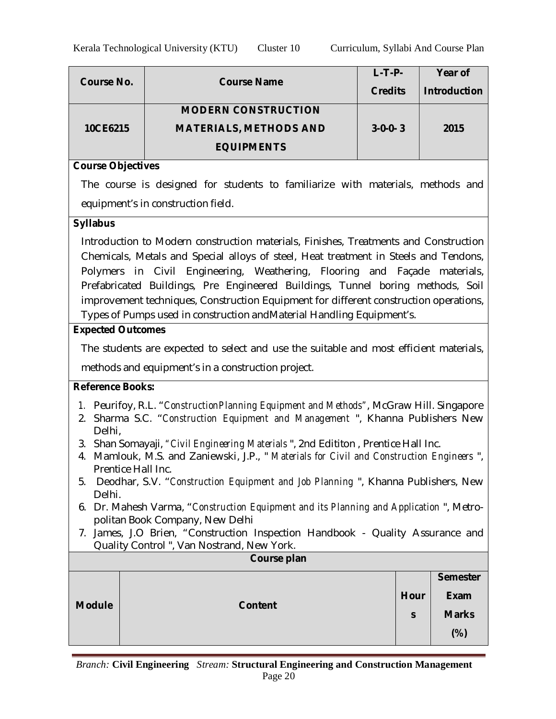|            | <b>Course Name</b>            | $L$ -T-P-       | Year of             |
|------------|-------------------------------|-----------------|---------------------|
| Course No. |                               | <b>Credits</b>  | <b>Introduction</b> |
|            | <b>MODERN CONSTRUCTION</b>    |                 |                     |
| 10CE6215   | <b>MATERIALS, METHODS AND</b> | $3 - 0 - 0 - 3$ | 2015                |
|            | <b>EQUIPMENTS</b>             |                 |                     |

#### **Course Objectives**

The course is designed for students to familiarize with materials, methods and equipment's in construction field.

#### **Syllabus**

Introduction to Modern construction materials, Finishes, Treatments and Construction Chemicals, Metals and Special alloys of steel, Heat treatment in Steels and Tendons, Polymers in Civil Engineering, Weathering, Flooring and Façade materials, Prefabricated Buildings, Pre Engineered Buildings, Tunnel boring methods, Soil improvement techniques, Construction Equipment for different construction operations, Types of Pumps used in construction andMaterial Handling Equipment's.

#### **Expected Outcomes**

The students are expected to select and use the suitable and most efficient materials, methods and equipment's in a construction project.

#### **Reference Books:**

- *1.* Peurifoy, R.L. "*ConstructionPlanning Equipment and Methods"*, McGraw Hill. Singapore
- 2. Sharma S.C. "*Construction Equipment and Management* ", Khanna Publishers New Delhi,
- 3. Shan Somayaji, *"Civil Engineering Materials* ", 2nd Edititon , Prentice Hall Inc.
- 4. Mamlouk, M.S. and Zaniewski, J.P., " *Materials for Civil and Construction Engineers* ", Prentice Hall Inc.
- 5. Deodhar, S.V. "*Construction Equipment and Job Planning* ", Khanna Publishers, New Delhi.
- 6. Dr. Mahesh Varma, "*Construction Equipment and its Planning and Application* ", Metropolitan Book Company, New Delhi
- 7. James, J.O Brien, "Construction Inspection Handbook Quality Assurance and Quality Control ", Van Nostrand, New York.

|               | $\tilde{\phantom{a}}$<br>Course plan |              |                 |  |
|---------------|--------------------------------------|--------------|-----------------|--|
|               |                                      |              | <b>Semester</b> |  |
|               |                                      | Hour         | Exam            |  |
| <b>Module</b> | <b>Content</b>                       | $\mathsf{s}$ | <b>Marks</b>    |  |
|               |                                      |              | $(\%)$          |  |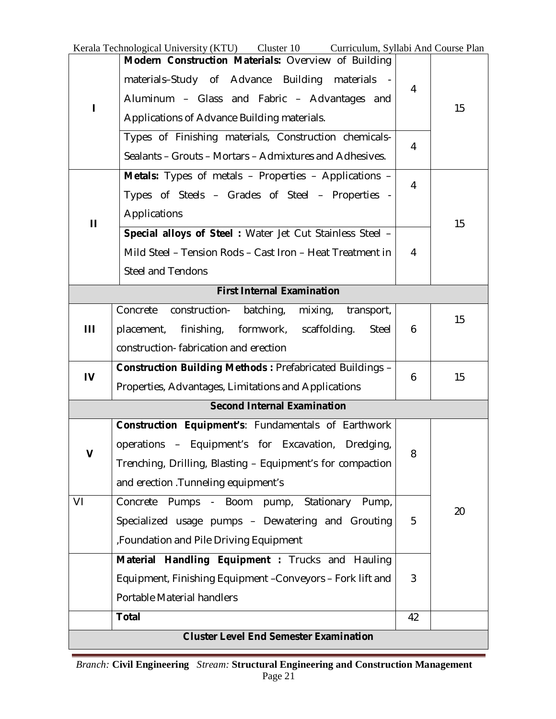|                                    | Kerala Technological University (KTU) Cluster 10 Curriculum, Syllabi And Course Plan |                |    |
|------------------------------------|--------------------------------------------------------------------------------------|----------------|----|
|                                    | Modern Construction Materials: Overview of Building                                  |                |    |
| L                                  | materials-Study of Advance Building materials                                        | 4              |    |
|                                    | Aluminum - Glass and Fabric - Advantages and                                         |                | 15 |
|                                    | Applications of Advance Building materials.                                          |                |    |
|                                    | Types of Finishing materials, Construction chemicals-                                | 4              |    |
|                                    | Sealants – Grouts – Mortars – Admixtures and Adhesives.                              |                |    |
|                                    | Metals: Types of metals - Properties - Applications -                                | 4              |    |
|                                    | Types of Steels - Grades of Steel - Properties -                                     |                |    |
| $\mathbf{H}$                       | Applications                                                                         |                | 15 |
|                                    | Special alloys of Steel: Water Jet Cut Stainless Steel -                             |                |    |
|                                    | Mild Steel - Tension Rods - Cast Iron - Heat Treatment in                            | $\overline{4}$ |    |
|                                    | <b>Steel and Tendons</b>                                                             |                |    |
|                                    | <b>First Internal Examination</b>                                                    |                |    |
|                                    | Concrete<br>construction-<br>batching,<br>mixing, transport,                         |                | 15 |
| Ш                                  | finishing, formwork,<br>scaffolding.<br>Steel<br>placement,                          | 6              |    |
|                                    | construction-fabrication and erection                                                |                |    |
| $\overline{V}$                     | Construction Building Methods: Prefabricated Buildings -                             | 6              | 15 |
|                                    | Properties, Advantages, Limitations and Applications                                 |                |    |
| <b>Second Internal Examination</b> |                                                                                      |                |    |
|                                    | Construction Equipment's: Fundamentals of Earthwork                                  |                |    |
| $\mathbf v$                        | operations – Equipment's for Excavation, Dredging,                                   | 8              |    |
|                                    | Trenching, Drilling, Blasting - Equipment's for compaction                           |                |    |
|                                    | and erection . Tunneling equipment's                                                 |                |    |
| VI                                 | Concrete Pumps - Boom pump, Stationary Pump,                                         |                | 20 |
|                                    |                                                                                      | 5              |    |
|                                    | Specialized usage pumps - Dewatering and Grouting                                    |                |    |
|                                    | , Foundation and Pile Driving Equipment                                              |                |    |
|                                    | Material Handling Equipment : Trucks and Hauling                                     |                |    |
|                                    | Equipment, Finishing Equipment - Conveyors - Fork lift and                           | 3              |    |
|                                    | Portable Material handlers                                                           |                |    |
|                                    | <b>Total</b>                                                                         | 42             |    |

 $\overline{\phantom{0}}$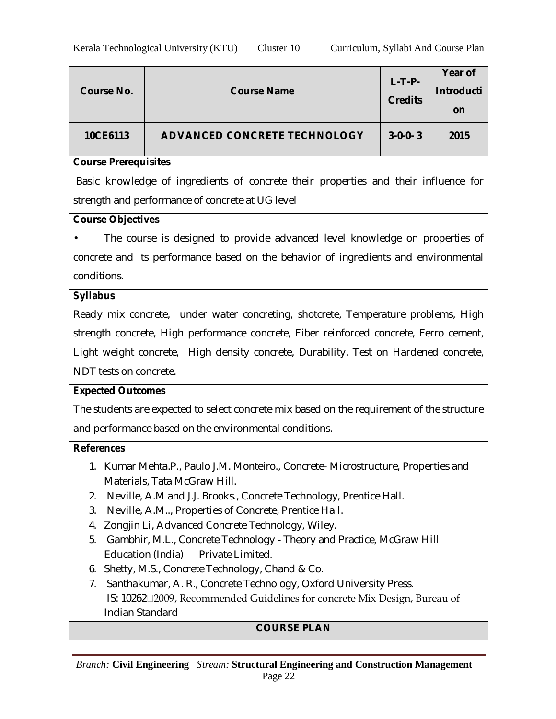| Course No. | <b>Course Name</b>                  | $L-T-P-$<br><b>Credits</b> | Year of<br><b>Introducti</b><br>on |
|------------|-------------------------------------|----------------------------|------------------------------------|
| 10CE6113   | <b>ADVANCED CONCRETE TECHNOLOGY</b> | $3 - 0 - 0 - 3$            | 2015                               |

#### **Course Prerequisites**

Basic knowledge of ingredients of concrete their properties and their influence for strength and performance of concrete at UG level

#### **Course Objectives**

The course is designed to provide advanced level knowledge on properties of concrete and its performance based on the behavior of ingredients and environmental conditions.

#### **Syllabus**

Ready mix concrete, under water concreting, shotcrete, Temperature problems, High strength concrete, High performance concrete, Fiber reinforced concrete, Ferro cement, Light weight concrete, High density concrete, Durability, Test on Hardened concrete, NDT tests on concrete.

#### **Expected Outcomes**

The students are expected to select concrete mix based on the requirement of the structure and performance based on the environmental conditions.

#### **References**

- 1. Kumar Mehta.P., Paulo J.M. Monteiro., Concrete- Microstructure, Properties and Materials, Tata McGraw Hill.
- 2. Neville, A.M and J.J. Brooks., Concrete Technology, Prentice Hall.
- 3. Neville, A.M.., Properties of Concrete, Prentice Hall.
- 4. Zongjin Li, Advanced Concrete Technology, Wiley.
- 5. Gambhir, M.L., Concrete Technology Theory and Practice, McGraw Hill Education (India) Private Limited.
- 6. Shetty, M.S., Concrete Technology, Chand & Co.
- 7. Santhakumar, A. R., Concrete Technology, Oxford University Press. IS: 102622009, Recommended Guidelines for concrete Mix Design, Bureau of Indian Standard

## **COURSE PLAN**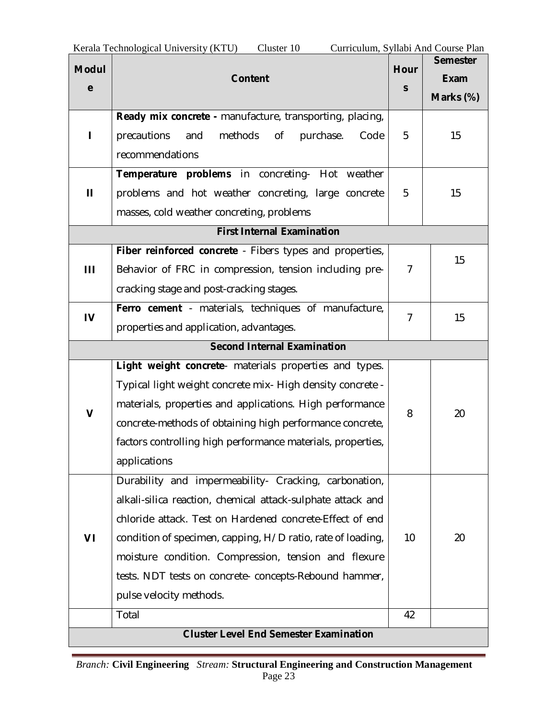| Kerala Technological University (KTU)<br>Cluster 10<br>Curriculum, Syllabi And Course Plan |                                                                 |                |                 |  |
|--------------------------------------------------------------------------------------------|-----------------------------------------------------------------|----------------|-----------------|--|
| <b>Modul</b>                                                                               |                                                                 | <b>Hour</b>    | <b>Semester</b> |  |
| e                                                                                          | <b>Content</b>                                                  | S              | <b>Exam</b>     |  |
|                                                                                            |                                                                 |                | Marks (%)       |  |
|                                                                                            | Ready mix concrete - manufacture, transporting, placing,        |                |                 |  |
|                                                                                            | methods<br>precautions<br>0f<br>purchase.<br>and<br>Code        | 5              | 15              |  |
|                                                                                            | recommendations                                                 |                |                 |  |
|                                                                                            | Temperature problems in concreting- Hot weather                 |                |                 |  |
| $\mathbf{H}$                                                                               | problems and hot weather concreting, large concrete             | 5              | 15              |  |
|                                                                                            | masses, cold weather concreting, problems                       |                |                 |  |
|                                                                                            | <b>First Internal Examination</b>                               |                |                 |  |
|                                                                                            | <b>Fiber reinforced concrete</b> - Fibers types and properties, |                |                 |  |
| Ш                                                                                          | Behavior of FRC in compression, tension including pre-          |                | 15              |  |
|                                                                                            | cracking stage and post-cracking stages.                        |                |                 |  |
|                                                                                            | Ferro cement - materials, techniques of manufacture,            | $\overline{7}$ |                 |  |
| $\mathbf{I}$                                                                               | properties and application, advantages.                         |                | 15              |  |
|                                                                                            | <b>Second Internal Examination</b>                              |                |                 |  |
|                                                                                            | Light weight concrete- materials properties and types.          |                |                 |  |
|                                                                                            | Typical light weight concrete mix- High density concrete -      |                |                 |  |
| V                                                                                          | materials, properties and applications. High performance        | 8              | 20              |  |
|                                                                                            | concrete-methods of obtaining high performance concrete,        |                |                 |  |
|                                                                                            | factors controlling high performance materials, properties,     |                |                 |  |
|                                                                                            | applications                                                    |                |                 |  |
|                                                                                            | Durability and impermeability- Cracking, carbonation,           |                |                 |  |
|                                                                                            | alkali-silica reaction, chemical attack-sulphate attack and     |                |                 |  |
|                                                                                            | chloride attack. Test on Hardened concrete-Effect of end        |                |                 |  |
| VI                                                                                         | condition of specimen, capping, H/D ratio, rate of loading,     | 10             | 20              |  |
|                                                                                            | moisture condition. Compression, tension and flexure            |                |                 |  |
|                                                                                            | tests. NDT tests on concrete- concepts-Rebound hammer,          |                |                 |  |
|                                                                                            | pulse velocity methods.                                         |                |                 |  |
|                                                                                            | Total                                                           | 42             |                 |  |
|                                                                                            | <b>Cluster Level End Semester Examination</b>                   |                |                 |  |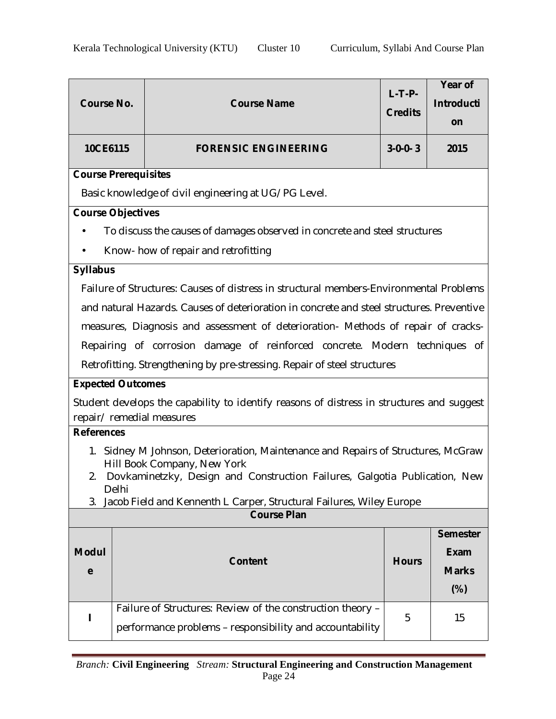| <b>Course No.</b>           |       | <b>Course Name</b>                                                                                            | $L-T-P-$<br><b>Credits</b> | Year of<br>Introducti<br>on |  |  |  |
|-----------------------------|-------|---------------------------------------------------------------------------------------------------------------|----------------------------|-----------------------------|--|--|--|
| 10CE6115                    |       | <b>FORENSIC ENGINEERING</b>                                                                                   | $3-0-0-3$                  | 2015                        |  |  |  |
| <b>Course Prerequisites</b> |       |                                                                                                               |                            |                             |  |  |  |
|                             |       | Basic knowledge of civil engineering at UG/PG Level.                                                          |                            |                             |  |  |  |
| <b>Course Objectives</b>    |       |                                                                                                               |                            |                             |  |  |  |
| $\bullet$                   |       | To discuss the causes of damages observed in concrete and steel structures                                    |                            |                             |  |  |  |
|                             |       | Know- how of repair and retrofitting                                                                          |                            |                             |  |  |  |
| <b>Syllabus</b>             |       |                                                                                                               |                            |                             |  |  |  |
|                             |       | Failure of Structures: Causes of distress in structural members-Environmental Problems                        |                            |                             |  |  |  |
|                             |       | and natural Hazards. Causes of deterioration in concrete and steel structures. Preventive                     |                            |                             |  |  |  |
|                             |       | measures, Diagnosis and assessment of deterioration- Methods of repair of cracks-                             |                            |                             |  |  |  |
|                             |       | Repairing of corrosion damage of reinforced concrete. Modern techniques of                                    |                            |                             |  |  |  |
|                             |       | Retrofitting. Strengthening by pre-stressing. Repair of steel structures                                      |                            |                             |  |  |  |
| <b>Expected Outcomes</b>    |       |                                                                                                               |                            |                             |  |  |  |
|                             |       | Student develops the capability to identify reasons of distress in structures and suggest                     |                            |                             |  |  |  |
| <b>References</b>           |       | repair/ remedial measures                                                                                     |                            |                             |  |  |  |
|                             |       |                                                                                                               |                            |                             |  |  |  |
| 1.                          |       | Sidney M Johnson, Deterioration, Maintenance and Repairs of Structures, McGraw<br>Hill Book Company, New York |                            |                             |  |  |  |
| 2.                          |       | Dovkaminetzky, Design and Construction Failures, Galgotia Publication, New                                    |                            |                             |  |  |  |
| 3.                          | Delhi | Jacob Field and Kennenth L Carper, Structural Failures, Wiley Europe                                          |                            |                             |  |  |  |
|                             |       | <b>Course Plan</b>                                                                                            |                            |                             |  |  |  |
|                             |       |                                                                                                               |                            | <b>Semester</b>             |  |  |  |
| <b>Modul</b>                |       | <b>Content</b>                                                                                                | <b>Hours</b>               | <b>Exam</b>                 |  |  |  |
| e                           |       |                                                                                                               |                            | <b>Marks</b>                |  |  |  |
|                             |       |                                                                                                               |                            | $(\%)$                      |  |  |  |
| L                           |       | Failure of Structures: Review of the construction theory -                                                    | 5                          | 15                          |  |  |  |
|                             |       | performance problems - responsibility and accountability                                                      |                            |                             |  |  |  |
|                             |       |                                                                                                               |                            |                             |  |  |  |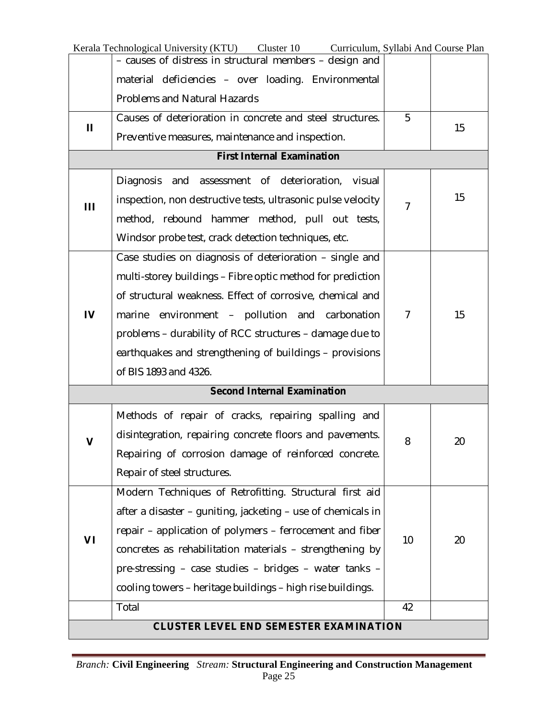|    | Kerala Technological University (KTU) Cluster 10 Curriculum, Syllabi And Course Plan |                |    |
|----|--------------------------------------------------------------------------------------|----------------|----|
|    | - causes of distress in structural members - design and                              |                |    |
|    | material deficiencies - over loading. Environmental                                  |                |    |
|    | <b>Problems and Natural Hazards</b>                                                  |                |    |
| П  | Causes of deterioration in concrete and steel structures.                            | 5              | 15 |
|    | Preventive measures, maintenance and inspection.                                     |                |    |
|    | <b>First Internal Examination</b>                                                    |                |    |
|    | <b>Diagnosis</b><br>and assessment of deterioration, visual                          | $\overline{7}$ |    |
| Ш  | inspection, non destructive tests, ultrasonic pulse velocity                         |                | 15 |
|    | method, rebound hammer method, pull out tests,                                       |                |    |
|    | Windsor probe test, crack detection techniques, etc.                                 |                |    |
|    | Case studies on diagnosis of deterioration – single and                              |                |    |
| IV | multi-storey buildings – Fibre optic method for prediction                           |                |    |
|    | of structural weakness. Effect of corrosive, chemical and                            |                |    |
|    | marine environment - pollution and carbonation                                       | $\overline{7}$ | 15 |
|    | problems – durability of RCC structures – damage due to                              |                |    |
|    | earthquakes and strengthening of buildings - provisions                              |                |    |
|    | of BIS 1893 and 4326.                                                                |                |    |
|    | <b>Second Internal Examination</b>                                                   |                |    |
|    | Methods of repair of cracks, repairing spalling and                                  |                |    |
|    | disintegration, repairing concrete floors and pavements.                             |                |    |
| v  | Repairing of corrosion damage of reinforced concrete.                                | 8              | 20 |
|    | Repair of steel structures.                                                          |                |    |
|    | Modern Techniques of Retrofitting. Structural first aid                              |                |    |
|    | after a disaster – guniting, jacketing – use of chemicals in                         |                |    |
|    | repair – application of polymers – ferrocement and fiber                             |                |    |
| VI | concretes as rehabilitation materials - strengthening by                             | 10             | 20 |
|    | pre-stressing - case studies - bridges - water tanks -                               |                |    |
|    | cooling towers - heritage buildings - high rise buildings.                           |                |    |
|    | Total                                                                                | 42             |    |
|    | <b>CLUSTER LEVEL END SEMESTER EXAMINATION</b>                                        |                |    |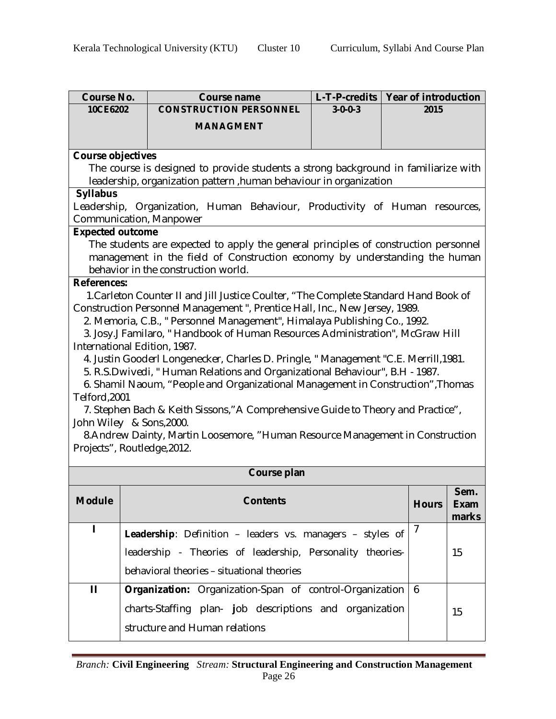| <b>Course No.</b>        | <b>Course name</b>                                                                   | $L$ -T-P-credits |  | <b>Year of introduction</b> |            |  |  |  |  |
|--------------------------|--------------------------------------------------------------------------------------|------------------|--|-----------------------------|------------|--|--|--|--|
| 10CE6202                 | <b>CONSTRUCTION PERSONNEL</b>                                                        | $3 - 0 - 0 - 3$  |  | 2015                        |            |  |  |  |  |
|                          | <b>MANAGMENT</b>                                                                     |                  |  |                             |            |  |  |  |  |
|                          |                                                                                      |                  |  |                             |            |  |  |  |  |
| <b>Course objectives</b> |                                                                                      |                  |  |                             |            |  |  |  |  |
|                          | The course is designed to provide students a strong background in familiarize with   |                  |  |                             |            |  |  |  |  |
|                          | leadership, organization pattern, human behaviour in organization                    |                  |  |                             |            |  |  |  |  |
| <b>Syllabus</b>          |                                                                                      |                  |  |                             |            |  |  |  |  |
|                          | Leadership, Organization, Human Behaviour, Productivity of Human                     |                  |  |                             | resources, |  |  |  |  |
| <b>Expected outcome</b>  | Communication, Manpower                                                              |                  |  |                             |            |  |  |  |  |
|                          | The students are expected to apply the general principles of construction personnel  |                  |  |                             |            |  |  |  |  |
|                          | management in the field of Construction economy by understanding the human           |                  |  |                             |            |  |  |  |  |
|                          | behavior in the construction world.                                                  |                  |  |                             |            |  |  |  |  |
| <b>References:</b>       |                                                                                      |                  |  |                             |            |  |  |  |  |
|                          | 1. Carleton Counter II and Jill Justice Coulter, "The Complete Standard Hand Book of |                  |  |                             |            |  |  |  |  |
|                          | Construction Personnel Management", Prentice Hall, Inc., New Jersey, 1989.           |                  |  |                             |            |  |  |  |  |
|                          | 2. Memoria, C.B., " Personnel Management", Himalaya Publishing Co., 1992.            |                  |  |                             |            |  |  |  |  |
|                          | 3. Josy.J Familaro, "Handbook of Human Resources Administration", McGraw Hill        |                  |  |                             |            |  |  |  |  |
|                          | International Edition, 1987.                                                         |                  |  |                             |            |  |  |  |  |
|                          | 4. Justin Gooderl Longenecker, Charles D. Pringle, "Management "C.E. Merrill, 1981.  |                  |  |                             |            |  |  |  |  |
|                          | 5. R.S.Dwivedi, "Human Relations and Organizational Behaviour", B.H - 1987.          |                  |  |                             |            |  |  |  |  |
|                          | 6. Shamil Naoum, "People and Organizational Management in Construction", Thomas      |                  |  |                             |            |  |  |  |  |
| Telford, 2001            | 7. Stephen Bach & Keith Sissons," A Comprehensive Guide to Theory and Practice",     |                  |  |                             |            |  |  |  |  |
|                          | John Wiley & Sons, 2000.                                                             |                  |  |                             |            |  |  |  |  |
|                          | 8. Andrew Dainty, Martin Loosemore, "Human Resource Management in Construction       |                  |  |                             |            |  |  |  |  |
|                          | Projects", Routledge, 2012.                                                          |                  |  |                             |            |  |  |  |  |
|                          |                                                                                      |                  |  |                             |            |  |  |  |  |
|                          | Course plan                                                                          |                  |  |                             |            |  |  |  |  |
|                          |                                                                                      |                  |  |                             |            |  |  |  |  |
| <b>Module</b>            |                                                                                      |                  |  |                             | Sem.       |  |  |  |  |
|                          | <b>Contents</b>                                                                      |                  |  | <b>Hours</b>                | Exam       |  |  |  |  |
|                          |                                                                                      |                  |  |                             | marks      |  |  |  |  |
| L                        | Leadership: Definition - leaders vs. managers - styles of                            |                  |  | 7                           |            |  |  |  |  |
|                          | leadership - Theories of leadership, Personality theories-                           |                  |  |                             | 15         |  |  |  |  |
|                          | behavioral theories - situational theories                                           |                  |  |                             |            |  |  |  |  |
| $\mathbf{H}$             | Organization: Organization-Span of control-Organization                              |                  |  | 6                           |            |  |  |  |  |
|                          | charts-Staffing plan- job descriptions and organization                              |                  |  |                             | 15         |  |  |  |  |
|                          |                                                                                      |                  |  |                             |            |  |  |  |  |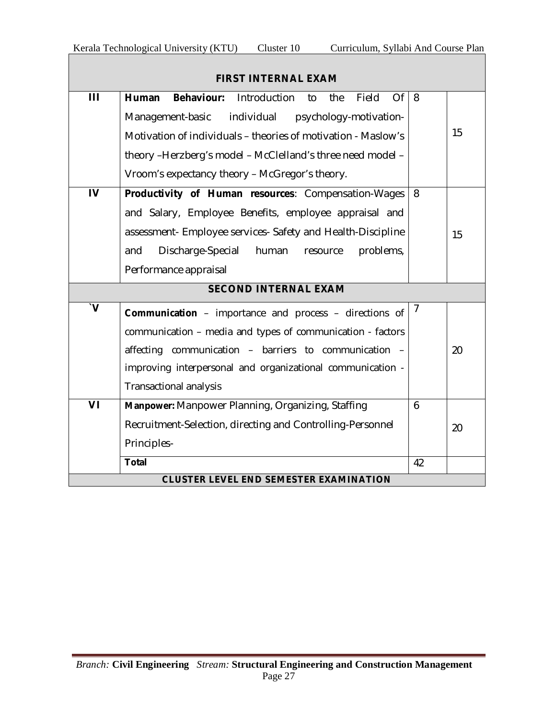|                         | <b>FIRST INTERNAL EXAM</b>                                                    |          |    |
|-------------------------|-------------------------------------------------------------------------------|----------|----|
| Ш                       | <b>Behaviour:</b><br>Of<br><b>Human</b><br>Introduction<br>Field<br>to<br>the | 8        |    |
|                         | Management-basic<br>individual psychology-motivation-                         |          |    |
|                         | Motivation of individuals - theories of motivation - Maslow's                 |          | 15 |
|                         | theory -Herzberg's model - McClelland's three need model -                    |          |    |
|                         | Vroom's expectancy theory - McGregor's theory.                                |          |    |
| $\overline{\mathsf{I}}$ | Productivity of Human resources: Compensation-Wages                           | 8        |    |
|                         | and Salary, Employee Benefits, employee appraisal and                         |          |    |
|                         | assessment- Employee services- Safety and Health-Discipline                   |          | 15 |
|                         | Discharge-Special<br>human<br>problems,<br>and<br>resource                    |          |    |
|                         | Performance appraisal                                                         |          |    |
|                         |                                                                               |          |    |
| $\mathbf{v}$            | <b>Communication</b> - importance and process - directions of                 | $\prime$ |    |
|                         | communication - media and types of communication - factors                    |          |    |
|                         | affecting communication - barriers to communication -                         |          | 20 |
|                         | improving interpersonal and organizational communication -                    |          |    |
|                         | <b>Transactional analysis</b>                                                 |          |    |
| VI                      | Manpower: Manpower Planning, Organizing, Staffing                             | 6        |    |
|                         | Recruitment-Selection, directing and Controlling-Personnel                    |          | 20 |
|                         | Principles-                                                                   |          |    |
|                         | <b>Total</b>                                                                  | 42       |    |
|                         | <b>CLUSTER LEVEL END SEMESTER EXAMINATION</b>                                 |          |    |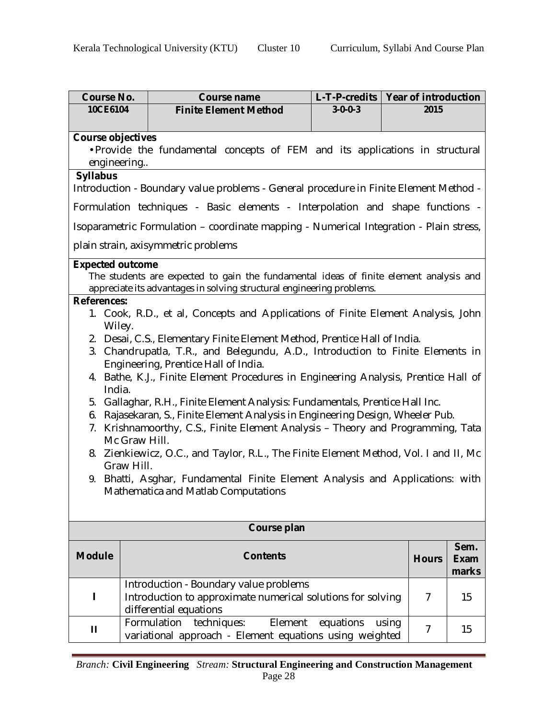| <b>Course No.</b>        |                                                                                             | <b>Course name</b>                                                                                                                                              | L-T-P-credits   Year of introduction |       |                |                      |
|--------------------------|---------------------------------------------------------------------------------------------|-----------------------------------------------------------------------------------------------------------------------------------------------------------------|--------------------------------------|-------|----------------|----------------------|
| 10CE6104                 |                                                                                             | <b>Finite Element Method</b>                                                                                                                                    | $3 - 0 - 0 - 3$                      |       | 2015           |                      |
|                          |                                                                                             |                                                                                                                                                                 |                                      |       |                |                      |
| <b>Course objectives</b> |                                                                                             |                                                                                                                                                                 |                                      |       |                |                      |
|                          | . Provide the fundamental concepts of FEM and its applications in structural<br>engineering |                                                                                                                                                                 |                                      |       |                |                      |
| <b>Syllabus</b>          |                                                                                             |                                                                                                                                                                 |                                      |       |                |                      |
|                          |                                                                                             | Introduction - Boundary value problems - General procedure in Finite Element Method -                                                                           |                                      |       |                |                      |
|                          |                                                                                             | Formulation techniques - Basic elements - Interpolation and shape functions -                                                                                   |                                      |       |                |                      |
|                          |                                                                                             | Isoparametric Formulation – coordinate mapping - Numerical Integration - Plain stress,                                                                          |                                      |       |                |                      |
|                          |                                                                                             | plain strain, axisymmetric problems                                                                                                                             |                                      |       |                |                      |
| <b>Expected outcome</b>  |                                                                                             |                                                                                                                                                                 |                                      |       |                |                      |
|                          |                                                                                             | The students are expected to gain the fundamental ideas of finite element analysis and<br>appreciate its advantages in solving structural engineering problems. |                                      |       |                |                      |
| <b>References:</b>       |                                                                                             |                                                                                                                                                                 |                                      |       |                |                      |
| Wiley.                   |                                                                                             | 1. Cook, R.D., et al, Concepts and Applications of Finite Element Analysis, John                                                                                |                                      |       |                |                      |
|                          |                                                                                             | 2. Desai, C.S., Elementary Finite Element Method, Prentice Hall of India.                                                                                       |                                      |       |                |                      |
|                          |                                                                                             | 3. Chandrupatla, T.R., and Belegundu, A.D., Introduction to Finite Elements in                                                                                  |                                      |       |                |                      |
|                          |                                                                                             | Engineering, Prentice Hall of India.                                                                                                                            |                                      |       |                |                      |
| India.                   |                                                                                             | 4. Bathe, K.J., Finite Element Procedures in Engineering Analysis, Prentice Hall of                                                                             |                                      |       |                |                      |
| 5.                       |                                                                                             | Gallaghar, R.H., Finite Element Analysis: Fundamentals, Prentice Hall Inc.                                                                                      |                                      |       |                |                      |
| 6.                       |                                                                                             | Rajasekaran, S., Finite Element Analysis in Engineering Design, Wheeler Pub.                                                                                    |                                      |       |                |                      |
| 7.<br>Mc Graw Hill.      |                                                                                             | Krishnamoorthy, C.S., Finite Element Analysis - Theory and Programming, Tata                                                                                    |                                      |       |                |                      |
| 8.                       |                                                                                             | Zienkiewicz, O.C., and Taylor, R.L., The Finite Element Method, Vol. I and II, Mc                                                                               |                                      |       |                |                      |
| Graw Hill.               |                                                                                             | 9. Bhatti, Asghar, Fundamental Finite Element Analysis and Applications: with                                                                                   |                                      |       |                |                      |
|                          |                                                                                             | Mathematica and Matlab Computations                                                                                                                             |                                      |       |                |                      |
|                          |                                                                                             |                                                                                                                                                                 |                                      |       |                |                      |
|                          |                                                                                             | Course plan                                                                                                                                                     |                                      |       |                |                      |
|                          |                                                                                             |                                                                                                                                                                 |                                      |       |                | Sem.                 |
| <b>Module</b>            |                                                                                             | <b>Contents</b>                                                                                                                                                 |                                      |       | <b>Hours</b>   | <b>Exam</b><br>marks |
|                          |                                                                                             | Introduction - Boundary value problems                                                                                                                          |                                      |       |                |                      |
| L                        |                                                                                             | Introduction to approximate numerical solutions for solving                                                                                                     |                                      |       | 7              | 15                   |
|                          |                                                                                             | differential equations                                                                                                                                          |                                      |       |                |                      |
| П                        |                                                                                             | Formulation<br>techniques:<br>Element                                                                                                                           | equations                            | using | $\overline{7}$ | 15                   |
|                          |                                                                                             | variational approach - Element equations using weighted                                                                                                         |                                      |       |                |                      |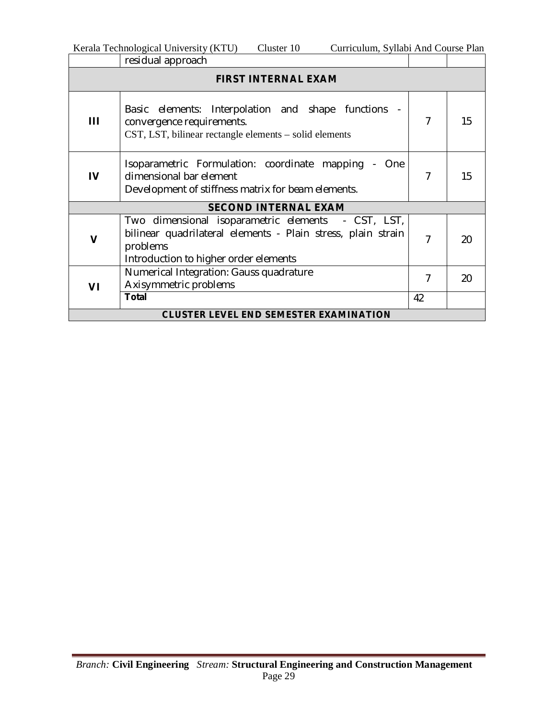|             | Cluster 10<br>Kerala Technological University (KTU)<br>Curriculum, Syllabi And Course Plan                                                                              |   |    |  |  |  |
|-------------|-------------------------------------------------------------------------------------------------------------------------------------------------------------------------|---|----|--|--|--|
|             | residual approach                                                                                                                                                       |   |    |  |  |  |
|             | <b>FIRST INTERNAL EXAM</b>                                                                                                                                              |   |    |  |  |  |
| Ш           | Basic elements: Interpolation and shape functions -<br>convergence requirements.<br>CST, LST, bilinear rectangle elements – solid elements                              | 7 | 15 |  |  |  |
| IV          | Isoparametric Formulation: coordinate mapping<br>- One<br>dimensional bar element<br>Development of stiffness matrix for beam elements.                                 | 7 | 15 |  |  |  |
|             | <b>SECOND INTERNAL EXAM</b>                                                                                                                                             |   |    |  |  |  |
| $\mathbf v$ | Two dimensional isoparametric elements - CST, LST,<br>bilinear quadrilateral elements - Plain stress, plain strain<br>problems<br>Introduction to higher order elements | 7 | 20 |  |  |  |
| V١          | Numerical Integration: Gauss quadrature<br>Axisymmetric problems                                                                                                        | 7 | 20 |  |  |  |

**Total** 42 **CLUSTER LEVEL END SEMESTER EXAMINATION**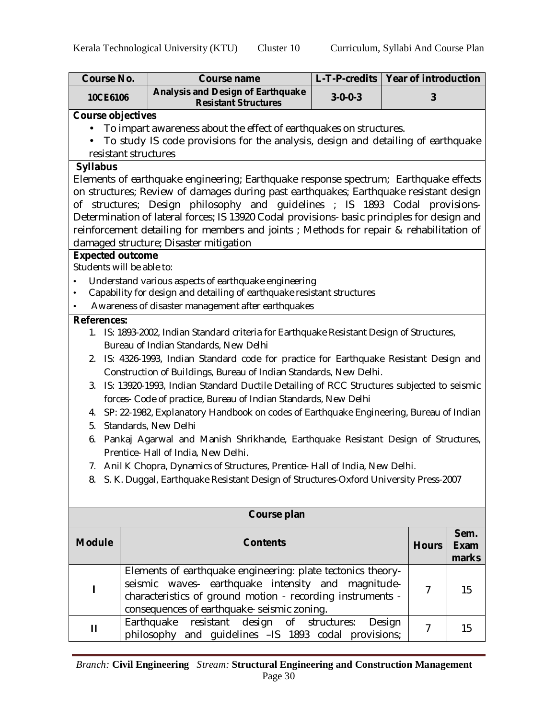| <b>Course No.</b>         |                                                                                  | Course name                                                                                 | L-T-P-credits   Year of introduction |        |                |             |
|---------------------------|----------------------------------------------------------------------------------|---------------------------------------------------------------------------------------------|--------------------------------------|--------|----------------|-------------|
| 10CE6106                  |                                                                                  | <b>Analysis and Design of Earthquake</b><br><b>Resistant Structures</b>                     | $3 - 0 - 0 - 3$                      |        | 3              |             |
| <b>Course objectives</b>  |                                                                                  |                                                                                             |                                      |        |                |             |
|                           | To impart awareness about the effect of earthquakes on structures.               |                                                                                             |                                      |        |                |             |
|                           | To study IS code provisions for the analysis, design and detailing of earthquake |                                                                                             |                                      |        |                |             |
| resistant structures      |                                                                                  |                                                                                             |                                      |        |                |             |
| <b>Syllabus</b>           |                                                                                  |                                                                                             |                                      |        |                |             |
|                           |                                                                                  | Elements of earthquake engineering; Earthquake response spectrum; Earthquake effects        |                                      |        |                |             |
|                           |                                                                                  | on structures; Review of damages during past earthquakes; Earthquake resistant design       |                                      |        |                |             |
|                           |                                                                                  | of structures; Design philosophy and guidelines; IS 1893 Codal provisions-                  |                                      |        |                |             |
|                           |                                                                                  | Determination of lateral forces; IS 13920 Codal provisions- basic principles for design and |                                      |        |                |             |
|                           |                                                                                  | reinforcement detailing for members and joints; Methods for repair & rehabilitation of      |                                      |        |                |             |
| <b>Expected outcome</b>   |                                                                                  | damaged structure; Disaster mitigation                                                      |                                      |        |                |             |
| Students will be able to: |                                                                                  |                                                                                             |                                      |        |                |             |
|                           |                                                                                  | Understand various aspects of earthquake engineering                                        |                                      |        |                |             |
| $\bullet$                 |                                                                                  | Capability for design and detailing of earthquake resistant structures                      |                                      |        |                |             |
| ٠                         |                                                                                  | Awareness of disaster management after earthquakes                                          |                                      |        |                |             |
| <b>References:</b>        |                                                                                  |                                                                                             |                                      |        |                |             |
|                           |                                                                                  | 1. IS: 1893-2002, Indian Standard criteria for Earthquake Resistant Design of Structures,   |                                      |        |                |             |
|                           |                                                                                  | Bureau of Indian Standards, New Delhi                                                       |                                      |        |                |             |
|                           |                                                                                  | 2. IS: 4326-1993, Indian Standard code for practice for Earthquake Resistant Design and     |                                      |        |                |             |
|                           |                                                                                  | Construction of Buildings, Bureau of Indian Standards, New Delhi.                           |                                      |        |                |             |
|                           |                                                                                  | 3. IS: 13920-1993, Indian Standard Ductile Detailing of RCC Structures subjected to seismic |                                      |        |                |             |
|                           |                                                                                  | forces- Code of practice, Bureau of Indian Standards, New Delhi                             |                                      |        |                |             |
|                           |                                                                                  | 4. SP: 22-1982, Explanatory Handbook on codes of Earthquake Engineering, Bureau of Indian   |                                      |        |                |             |
| 5.                        |                                                                                  | Standards, New Delhi                                                                        |                                      |        |                |             |
| 6.                        |                                                                                  | Pankaj Agarwal and Manish Shrikhande, Earthquake Resistant Design of Structures,            |                                      |        |                |             |
|                           |                                                                                  | Prentice- Hall of India, New Delhi.                                                         |                                      |        |                |             |
|                           |                                                                                  | 7. Anil K Chopra, Dynamics of Structures, Prentice-Hall of India, New Delhi.                |                                      |        |                |             |
|                           |                                                                                  | 8. S. K. Duggal, Earthquake Resistant Design of Structures-Oxford University Press-2007     |                                      |        |                |             |
|                           |                                                                                  |                                                                                             |                                      |        |                |             |
|                           |                                                                                  |                                                                                             |                                      |        |                |             |
|                           |                                                                                  | Course plan                                                                                 |                                      |        |                |             |
| <b>Module</b>             |                                                                                  | <b>Contents</b>                                                                             |                                      |        |                | Sem.        |
|                           |                                                                                  |                                                                                             |                                      |        | <b>Hours</b>   | <b>Exam</b> |
|                           |                                                                                  |                                                                                             |                                      |        |                | marks       |
|                           |                                                                                  | Elements of earthquake engineering: plate tectonics theory-                                 |                                      |        |                |             |
| ı                         |                                                                                  | seismic waves- earthquake intensity and magnitude-                                          |                                      |        | $\overline{7}$ | 15          |
|                           |                                                                                  | characteristics of ground motion - recording instruments -                                  |                                      |        |                |             |
|                           |                                                                                  | consequences of earthquake- seismic zoning.                                                 |                                      |        |                |             |
| П                         |                                                                                  | Earthquake<br>resistant<br>of<br>design                                                     | structures:                          | Design | $\overline{7}$ | 15          |
|                           |                                                                                  | philosophy and guidelines -IS 1893 codal provisions;                                        |                                      |        |                |             |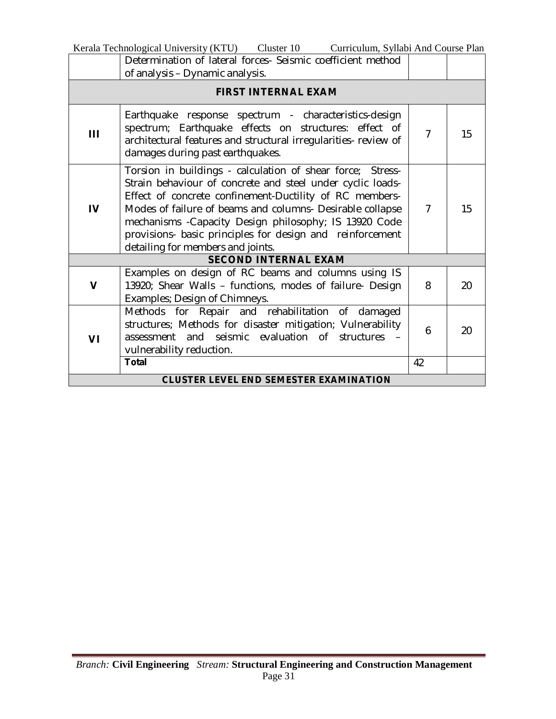| Kerala Technological University (KTU) Cluster 10 Curriculum, Syllabi And Course Plan |                                                                                                                                                                                                                                                                                                                                                                                                              |                |    |  |
|--------------------------------------------------------------------------------------|--------------------------------------------------------------------------------------------------------------------------------------------------------------------------------------------------------------------------------------------------------------------------------------------------------------------------------------------------------------------------------------------------------------|----------------|----|--|
|                                                                                      | Determination of lateral forces- Seismic coefficient method                                                                                                                                                                                                                                                                                                                                                  |                |    |  |
|                                                                                      | of analysis - Dynamic analysis.                                                                                                                                                                                                                                                                                                                                                                              |                |    |  |
|                                                                                      | <b>FIRST INTERNAL EXAM</b>                                                                                                                                                                                                                                                                                                                                                                                   |                |    |  |
| Ш                                                                                    | Earthquake response spectrum - characteristics-design<br>spectrum; Earthquake effects on structures: effect of<br>architectural features and structural irregularities- review of<br>damages during past earthquakes.                                                                                                                                                                                        | $\overline{7}$ | 15 |  |
| $\overline{V}$                                                                       | Torsion in buildings - calculation of shear force; Stress-<br>Strain behaviour of concrete and steel under cyclic loads-<br>Effect of concrete confinement-Ductility of RC members-<br>Modes of failure of beams and columns- Desirable collapse<br>mechanisms - Capacity Design philosophy; IS 13920 Code<br>provisions- basic principles for design and reinforcement<br>detailing for members and joints. | $\overline{7}$ | 15 |  |
|                                                                                      | <b>SECOND INTERNAL EXAM</b>                                                                                                                                                                                                                                                                                                                                                                                  |                |    |  |
| $\mathbf v$                                                                          | Examples on design of RC beams and columns using IS<br>13920; Shear Walls - functions, modes of failure- Design<br>Examples; Design of Chimneys.                                                                                                                                                                                                                                                             | 8              | 20 |  |
| VI                                                                                   | Methods for Repair and rehabilitation of damaged<br>structures; Methods for disaster mitigation; Vulnerability<br>assessment and seismic evaluation of structures -<br>vulnerability reduction.                                                                                                                                                                                                              | 6              | 20 |  |
|                                                                                      | <b>Total</b>                                                                                                                                                                                                                                                                                                                                                                                                 | 42             |    |  |
|                                                                                      | <b>CLUSTER LEVEL END SEMESTER EXAMINATION</b>                                                                                                                                                                                                                                                                                                                                                                |                |    |  |

L,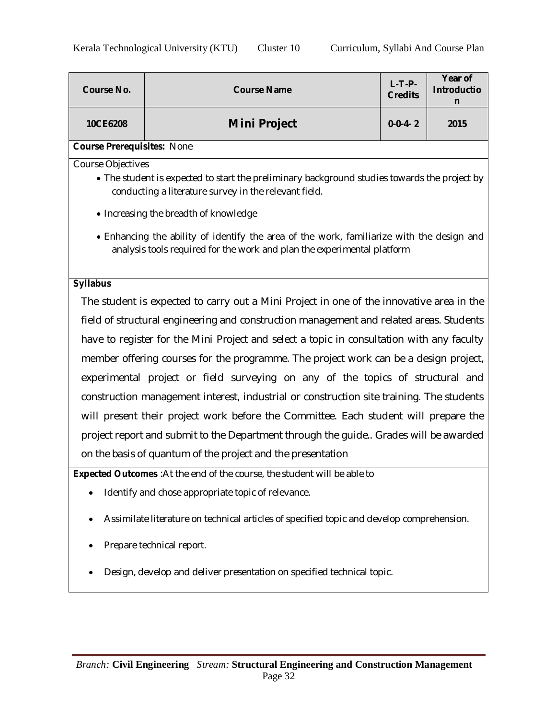| <b>Course No.</b>                                                      | <b>Course Name</b>                                                                                                                                                         | $L-T-P-$<br><b>Credits</b> | Year of<br><b>Introductio</b><br>n |  |  |  |  |
|------------------------------------------------------------------------|----------------------------------------------------------------------------------------------------------------------------------------------------------------------------|----------------------------|------------------------------------|--|--|--|--|
| 10CE6208                                                               | <b>Mini Project</b>                                                                                                                                                        | $0 - 0 - 4 - 2$            | 2015                               |  |  |  |  |
| <b>Course Prerequisites: None</b>                                      |                                                                                                                                                                            |                            |                                    |  |  |  |  |
|                                                                        | Course Objectives<br>• The student is expected to start the preliminary background studies towards the project by<br>conducting a literature survey in the relevant field. |                            |                                    |  |  |  |  |
|                                                                        | • Increasing the breadth of knowledge                                                                                                                                      |                            |                                    |  |  |  |  |
|                                                                        | • Enhancing the ability of identify the area of the work, familiarize with the design and<br>analysis tools required for the work and plan the experimental platform       |                            |                                    |  |  |  |  |
| <b>Syllabus</b>                                                        |                                                                                                                                                                            |                            |                                    |  |  |  |  |
|                                                                        | The student is expected to carry out a Mini Project in one of the innovative area in the                                                                                   |                            |                                    |  |  |  |  |
|                                                                        | field of structural engineering and construction management and related areas. Students                                                                                    |                            |                                    |  |  |  |  |
|                                                                        | have to register for the Mini Project and select a topic in consultation with any faculty                                                                                  |                            |                                    |  |  |  |  |
|                                                                        | member offering courses for the programme. The project work can be a design project,                                                                                       |                            |                                    |  |  |  |  |
|                                                                        | experimental project or field surveying on any of the topics of structural and                                                                                             |                            |                                    |  |  |  |  |
|                                                                        | construction management interest, industrial or construction site training. The students                                                                                   |                            |                                    |  |  |  |  |
|                                                                        | will present their project work before the Committee. Each student will prepare the                                                                                        |                            |                                    |  |  |  |  |
|                                                                        | project report and submit to the Department through the guide Grades will be awarded                                                                                       |                            |                                    |  |  |  |  |
|                                                                        | on the basis of quantum of the project and the presentation                                                                                                                |                            |                                    |  |  |  |  |
|                                                                        | <b>Expected Outcomes</b> : At the end of the course, the student will be able to                                                                                           |                            |                                    |  |  |  |  |
| ٠                                                                      | Identify and chose appropriate topic of relevance.                                                                                                                         |                            |                                    |  |  |  |  |
|                                                                        | Assimilate literature on technical articles of specified topic and develop comprehension.                                                                                  |                            |                                    |  |  |  |  |
|                                                                        | Prepare technical report.                                                                                                                                                  |                            |                                    |  |  |  |  |
| Design, develop and deliver presentation on specified technical topic. |                                                                                                                                                                            |                            |                                    |  |  |  |  |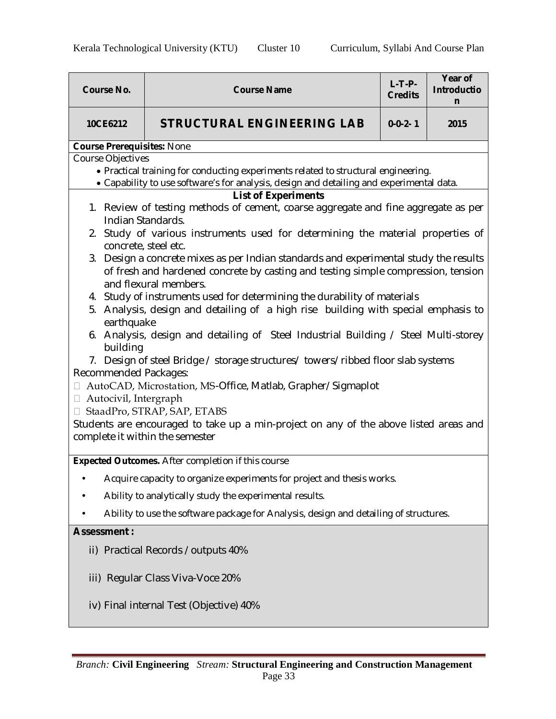| <b>Course No.</b>                                               | <b>Course Name</b>                                                                                                                                                                                                                                                                                                                                                                                                                                                                                                                                                                                                                                                                                                                                                                                                                                                                                                                                                                                                                                            | $L-T-P-$<br><b>Credits</b> | Year of<br><b>Introductio</b><br>n |  |  |
|-----------------------------------------------------------------|---------------------------------------------------------------------------------------------------------------------------------------------------------------------------------------------------------------------------------------------------------------------------------------------------------------------------------------------------------------------------------------------------------------------------------------------------------------------------------------------------------------------------------------------------------------------------------------------------------------------------------------------------------------------------------------------------------------------------------------------------------------------------------------------------------------------------------------------------------------------------------------------------------------------------------------------------------------------------------------------------------------------------------------------------------------|----------------------------|------------------------------------|--|--|
| 10CE6212                                                        | <b>STRUCTURAL ENGINEERING LAB</b>                                                                                                                                                                                                                                                                                                                                                                                                                                                                                                                                                                                                                                                                                                                                                                                                                                                                                                                                                                                                                             | $0 - 0 - 2 - 1$            | 2015                               |  |  |
| <b>Course Prerequisites: None</b>                               |                                                                                                                                                                                                                                                                                                                                                                                                                                                                                                                                                                                                                                                                                                                                                                                                                                                                                                                                                                                                                                                               |                            |                                    |  |  |
| <b>Course Objectives</b>                                        | • Practical training for conducting experiments related to structural engineering.<br>• Capability to use software's for analysis, design and detailing and experimental data.                                                                                                                                                                                                                                                                                                                                                                                                                                                                                                                                                                                                                                                                                                                                                                                                                                                                                |                            |                                    |  |  |
| building<br>$\Box$<br>$\Box$<br>complete it within the semester | <b>List of Experiments</b><br>1. Review of testing methods of cement, coarse aggregate and fine aggregate as per<br>Indian Standards.<br>2. Study of various instruments used for determining the material properties of<br>concrete, steel etc.<br>3. Design a concrete mixes as per Indian standards and experimental study the results<br>of fresh and hardened concrete by casting and testing simple compression, tension<br>and flexural members.<br>4. Study of instruments used for determining the durability of materials<br>5. Analysis, design and detailing of a high rise building with special emphasis to<br>earthquake<br>6. Analysis, design and detailing of Steel Industrial Building / Steel Multi-storey<br>7. Design of steel Bridge / storage structures/ towers/ribbed floor slab systems<br>Recommended Packages:<br>AutoCAD, Microstation, MS-Office, Matlab, Grapher/Sigmaplot<br>Autocivil, Intergraph<br>□ StaadPro, STRAP, SAP, ETABS<br>Students are encouraged to take up a min-project on any of the above listed areas and |                            |                                    |  |  |
|                                                                 | <b>Expected Outcomes.</b> After completion if this course                                                                                                                                                                                                                                                                                                                                                                                                                                                                                                                                                                                                                                                                                                                                                                                                                                                                                                                                                                                                     |                            |                                    |  |  |
| ٠                                                               | Acquire capacity to organize experiments for project and thesis works.                                                                                                                                                                                                                                                                                                                                                                                                                                                                                                                                                                                                                                                                                                                                                                                                                                                                                                                                                                                        |                            |                                    |  |  |
|                                                                 | Ability to analytically study the experimental results.                                                                                                                                                                                                                                                                                                                                                                                                                                                                                                                                                                                                                                                                                                                                                                                                                                                                                                                                                                                                       |                            |                                    |  |  |
|                                                                 | Ability to use the software package for Analysis, design and detailing of structures.                                                                                                                                                                                                                                                                                                                                                                                                                                                                                                                                                                                                                                                                                                                                                                                                                                                                                                                                                                         |                            |                                    |  |  |
| <b>Assessment:</b>                                              |                                                                                                                                                                                                                                                                                                                                                                                                                                                                                                                                                                                                                                                                                                                                                                                                                                                                                                                                                                                                                                                               |                            |                                    |  |  |
|                                                                 | ii) Practical Records / outputs 40%                                                                                                                                                                                                                                                                                                                                                                                                                                                                                                                                                                                                                                                                                                                                                                                                                                                                                                                                                                                                                           |                            |                                    |  |  |
|                                                                 | iii) Regular Class Viva-Voce 20%                                                                                                                                                                                                                                                                                                                                                                                                                                                                                                                                                                                                                                                                                                                                                                                                                                                                                                                                                                                                                              |                            |                                    |  |  |
|                                                                 | iv) Final internal Test (Objective) 40%                                                                                                                                                                                                                                                                                                                                                                                                                                                                                                                                                                                                                                                                                                                                                                                                                                                                                                                                                                                                                       |                            |                                    |  |  |
|                                                                 |                                                                                                                                                                                                                                                                                                                                                                                                                                                                                                                                                                                                                                                                                                                                                                                                                                                                                                                                                                                                                                                               |                            |                                    |  |  |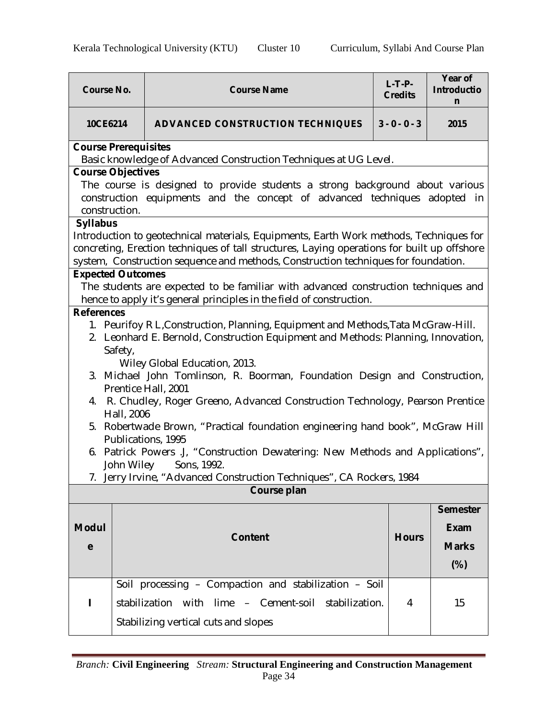| <b>Course No.</b>           | <b>Course Name</b>                                                                                | $L-T-P-$<br><b>Credits</b> | Year of<br><b>Introductio</b><br>n |
|-----------------------------|---------------------------------------------------------------------------------------------------|----------------------------|------------------------------------|
| 10CE6214                    | <b>ADVANCED CONSTRUCTION TECHNIQUES</b>                                                           | $3 - 0 - 0 - 3$            | 2015                               |
| <b>Course Prerequisites</b> |                                                                                                   |                            |                                    |
|                             | Basic knowledge of Advanced Construction Techniques at UG Level.                                  |                            |                                    |
| <b>Course Objectives</b>    |                                                                                                   |                            |                                    |
|                             | The course is designed to provide students a strong background about various                      |                            |                                    |
|                             | construction equipments and the concept of advanced techniques adopted in                         |                            |                                    |
| construction.               |                                                                                                   |                            |                                    |
| <b>Syllabus</b>             | Introduction to geotechnical materials, Equipments, Earth Work methods, Techniques for            |                            |                                    |
|                             | concreting, Erection techniques of tall structures, Laying operations for built up offshore       |                            |                                    |
|                             | system, Construction sequence and methods, Construction techniques for foundation.                |                            |                                    |
| <b>Expected Outcomes</b>    |                                                                                                   |                            |                                    |
|                             | The students are expected to be familiar with advanced construction techniques and                |                            |                                    |
|                             | hence to apply it's general principles in the field of construction.                              |                            |                                    |
| <b>References</b>           |                                                                                                   |                            |                                    |
|                             | 1. Peurifoy R L, Construction, Planning, Equipment and Methods, Tata McGraw-Hill.                 |                            |                                    |
|                             | 2. Leonhard E. Bernold, Construction Equipment and Methods: Planning, Innovation,                 |                            |                                    |
| Safety,                     |                                                                                                   |                            |                                    |
|                             | Wiley Global Education, 2013.                                                                     |                            |                                    |
|                             | 3. Michael John Tomlinson, R. Boorman, Foundation Design and Construction,                        |                            |                                    |
|                             | Prentice Hall, 2001                                                                               |                            |                                    |
| 4.                          | R. Chudley, Roger Greeno, Advanced Construction Technology, Pearson Prentice                      |                            |                                    |
| Hall, 2006                  |                                                                                                   |                            |                                    |
| 5.                          | Robertwade Brown, "Practical foundation engineering hand book", McGraw Hill<br>Publications, 1995 |                            |                                    |
|                             | 6. Patrick Powers J, "Construction Dewatering: New Methods and Applications",                     |                            |                                    |
| John Wiley                  | Sons, 1992.                                                                                       |                            |                                    |
|                             | 7. Jerry Irvine, "Advanced Construction Techniques", CA Rockers, 1984                             |                            |                                    |
|                             | Course plan                                                                                       |                            |                                    |
|                             |                                                                                                   |                            |                                    |
|                             |                                                                                                   |                            | <b>Semester</b>                    |
| <b>Modul</b>                |                                                                                                   |                            | <b>Exam</b>                        |
| e                           | <b>Content</b>                                                                                    | <b>Hours</b>               | <b>Marks</b>                       |
|                             |                                                                                                   |                            |                                    |
|                             |                                                                                                   |                            | $(\%)$                             |
|                             | Soil processing - Compaction and stabilization - Soil                                             |                            |                                    |
| п                           | stabilization with lime - Cement-soil stabilization.                                              | 4                          | 15                                 |
|                             |                                                                                                   |                            |                                    |
|                             | Stabilizing vertical cuts and slopes                                                              |                            |                                    |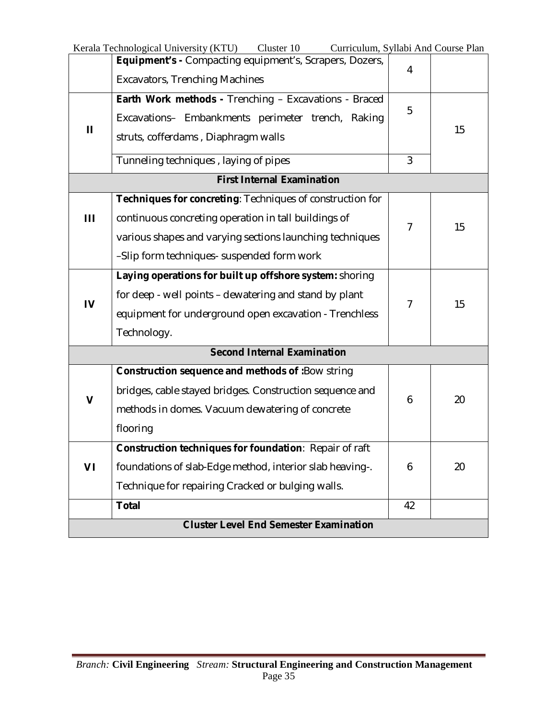|                                                                | Cluster 10<br>Curriculum, Syllabi And Course Plan<br>Kerala Technological University (KTU) |                |    |  |
|----------------------------------------------------------------|--------------------------------------------------------------------------------------------|----------------|----|--|
| <b>Equipment's - Compacting equipment's, Scrapers, Dozers,</b> |                                                                                            | 4              |    |  |
|                                                                | <b>Excavators, Trenching Machines</b>                                                      |                |    |  |
|                                                                | Earth Work methods - Trenching - Excavations - Braced                                      |                |    |  |
|                                                                | Excavations- Embankments perimeter trench, Raking                                          | 5              |    |  |
| Ш                                                              | struts, cofferdams, Diaphragm walls                                                        |                | 15 |  |
|                                                                | Tunneling techniques, laying of pipes                                                      | 3              |    |  |
|                                                                | <b>First Internal Examination</b>                                                          |                |    |  |
|                                                                | Techniques for concreting: Techniques of construction for                                  |                |    |  |
| Ш                                                              | continuous concreting operation in tall buildings of                                       |                |    |  |
|                                                                |                                                                                            | $\overline{7}$ | 15 |  |
|                                                                | various shapes and varying sections launching techniques                                   |                |    |  |
|                                                                | -Slip form techniques- suspended form work                                                 |                |    |  |
|                                                                | Laying operations for built up offshore system: shoring                                    |                |    |  |
| $\overline{V}$                                                 | for deep - well points – dewatering and stand by plant                                     | 7              | 15 |  |
|                                                                | equipment for underground open excavation - Trenchless                                     |                |    |  |
|                                                                | Technology.                                                                                |                |    |  |
|                                                                | <b>Second Internal Examination</b>                                                         |                |    |  |
|                                                                | Construction sequence and methods of :Bow string                                           |                |    |  |
| V                                                              | bridges, cable stayed bridges. Construction sequence and                                   | 6              | 20 |  |
|                                                                | methods in domes. Vacuum dewatering of concrete                                            |                |    |  |
|                                                                | flooring                                                                                   |                |    |  |
|                                                                | Construction techniques for foundation: Repair of raft                                     |                |    |  |
| VI                                                             | foundations of slab-Edge method, interior slab heaving-.                                   | 6              | 20 |  |
|                                                                | Technique for repairing Cracked or bulging walls.                                          |                |    |  |
|                                                                | <b>Total</b>                                                                               | 42             |    |  |
|                                                                | <b>Cluster Level End Semester Examination</b>                                              |                |    |  |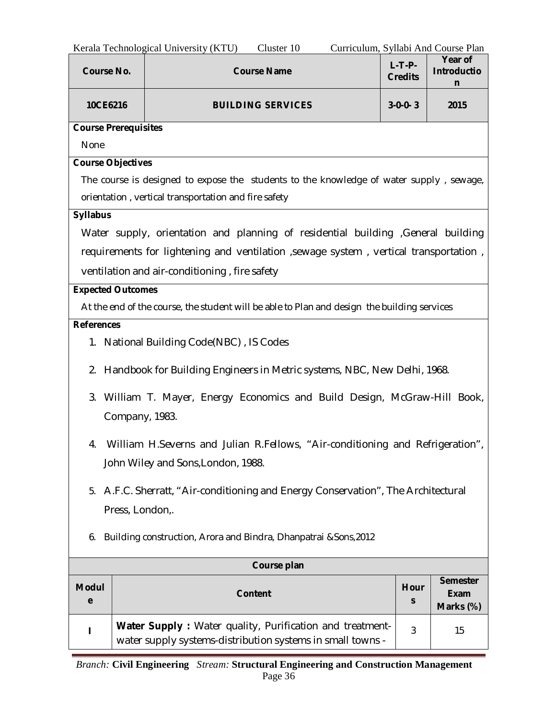| Kerala Technological University (KTU)<br>Cluster 10<br>Curriculum, Syllabi And Course Plan |                                                                       |                                                                                                                        |                     |                                             |  |  |
|--------------------------------------------------------------------------------------------|-----------------------------------------------------------------------|------------------------------------------------------------------------------------------------------------------------|---------------------|---------------------------------------------|--|--|
|                                                                                            | $L-T-P-$<br><b>Course No.</b><br><b>Course Name</b><br><b>Credits</b> |                                                                                                                        |                     |                                             |  |  |
|                                                                                            | 10CE6216<br><b>BUILDING SERVICES</b><br>$3 - 0 - 0 - 3$               |                                                                                                                        |                     |                                             |  |  |
| <b>Course Prerequisites</b>                                                                |                                                                       |                                                                                                                        |                     |                                             |  |  |
| None                                                                                       |                                                                       |                                                                                                                        |                     |                                             |  |  |
| <b>Course Objectives</b>                                                                   |                                                                       |                                                                                                                        |                     |                                             |  |  |
|                                                                                            |                                                                       | The course is designed to expose the students to the knowledge of water supply, sewage,                                |                     |                                             |  |  |
|                                                                                            |                                                                       | orientation, vertical transportation and fire safety                                                                   |                     |                                             |  |  |
| <b>Syllabus</b>                                                                            |                                                                       |                                                                                                                        |                     |                                             |  |  |
|                                                                                            |                                                                       | Water supply, orientation and planning of residential building General building                                        |                     |                                             |  |  |
|                                                                                            |                                                                       | requirements for lightening and ventilation , sewage system, vertical transportation,                                  |                     |                                             |  |  |
|                                                                                            |                                                                       | ventilation and air-conditioning, fire safety                                                                          |                     |                                             |  |  |
| <b>Expected Outcomes</b>                                                                   |                                                                       |                                                                                                                        |                     |                                             |  |  |
|                                                                                            |                                                                       | At the end of the course, the student will be able to Plan and design the building services                            |                     |                                             |  |  |
| <b>References</b>                                                                          |                                                                       |                                                                                                                        |                     |                                             |  |  |
|                                                                                            |                                                                       | 1. National Building Code(NBC), IS Codes                                                                               |                     |                                             |  |  |
|                                                                                            |                                                                       | 2. Handbook for Building Engineers in Metric systems, NBC, New Delhi, 1968.                                            |                     |                                             |  |  |
|                                                                                            |                                                                       | 3. William T. Mayer, Energy Economics and Build Design, McGraw-Hill Book,<br>Company, 1983.                            |                     |                                             |  |  |
| 4.                                                                                         |                                                                       | William H.Severns and Julian R.Fellows, "Air-conditioning and Refrigeration",                                          |                     |                                             |  |  |
|                                                                                            |                                                                       | John Wiley and Sons, London, 1988.                                                                                     |                     |                                             |  |  |
|                                                                                            |                                                                       | 5. A.F.C. Sherratt, "Air-conditioning and Energy Conservation", The Architectural                                      |                     |                                             |  |  |
|                                                                                            | Press, London,.                                                       |                                                                                                                        |                     |                                             |  |  |
| Building construction, Arora and Bindra, Dhanpatrai & Sons, 2012<br>6.                     |                                                                       |                                                                                                                        |                     |                                             |  |  |
| Course plan                                                                                |                                                                       |                                                                                                                        |                     |                                             |  |  |
| <b>Modul</b><br>e                                                                          |                                                                       | <b>Content</b>                                                                                                         | Hour<br>$\mathsf S$ | <b>Semester</b><br><b>Exam</b><br>Marks (%) |  |  |
|                                                                                            |                                                                       | Water Supply: Water quality, Purification and treatment-<br>water supply systems-distribution systems in small towns - | 3                   | 15                                          |  |  |

 $\overline{\phantom{0}}$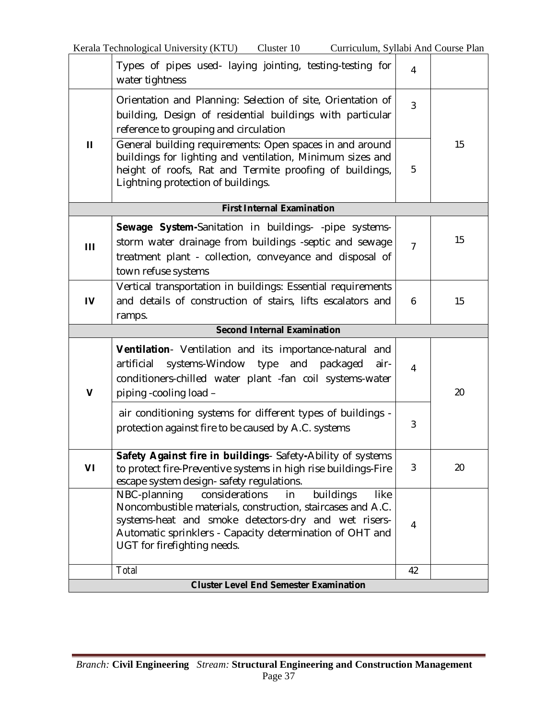|              | Types of pipes used- laying jointing, testing-testing for<br>water tightness                                                                                                                                                                                                       | $\overline{\mathbf{4}}$ |    |
|--------------|------------------------------------------------------------------------------------------------------------------------------------------------------------------------------------------------------------------------------------------------------------------------------------|-------------------------|----|
|              | Orientation and Planning: Selection of site, Orientation of<br>building, Design of residential buildings with particular<br>reference to grouping and circulation                                                                                                                  | 3                       |    |
| $\mathbf{H}$ | General building requirements: Open spaces in and around<br>buildings for lighting and ventilation, Minimum sizes and<br>height of roofs, Rat and Termite proofing of buildings,<br>Lightning protection of buildings.                                                             | 5                       | 15 |
|              | <b>First Internal Examination</b>                                                                                                                                                                                                                                                  |                         |    |
| Ш            | Sewage System-Sanitation in buildings- -pipe systems-<br>storm water drainage from buildings -septic and sewage<br>treatment plant - collection, conveyance and disposal of<br>town refuse systems                                                                                 | $\overline{7}$          | 15 |
| IV           | Vertical transportation in buildings: Essential requirements<br>and details of construction of stairs, lifts escalators and<br>ramps.<br><b>Second Internal Examination</b>                                                                                                        | 6                       | 15 |
|              |                                                                                                                                                                                                                                                                                    |                         |    |
|              |                                                                                                                                                                                                                                                                                    |                         |    |
| $\mathbf v$  | Ventilation- Ventilation and its importance-natural and<br>systems-Window type and packaged<br>artificial<br>air-<br>conditioners-chilled water plant -fan coil systems-water<br>piping -cooling load -                                                                            | $\overline{4}$          | 20 |
|              | air conditioning systems for different types of buildings -<br>protection against fire to be caused by A.C. systems                                                                                                                                                                | 3                       |    |
| VI           | Safety Against fire in buildings- Safety-Ability of systems<br>to protect fire-Preventive systems in high rise buildings-Fire<br>escape system design- safety regulations.                                                                                                         | 3                       | 20 |
|              | NBC-planning<br>considerations<br>buildings<br>in<br><b>like</b><br>Noncombustible materials, construction, staircases and A.C.<br>systems-heat and smoke detectors-dry and wet risers-<br>Automatic sprinklers - Capacity determination of OHT and<br>UGT for firefighting needs. | $\overline{4}$          |    |
|              | Total<br><b>Cluster Level End Semester Examination</b>                                                                                                                                                                                                                             | 42                      |    |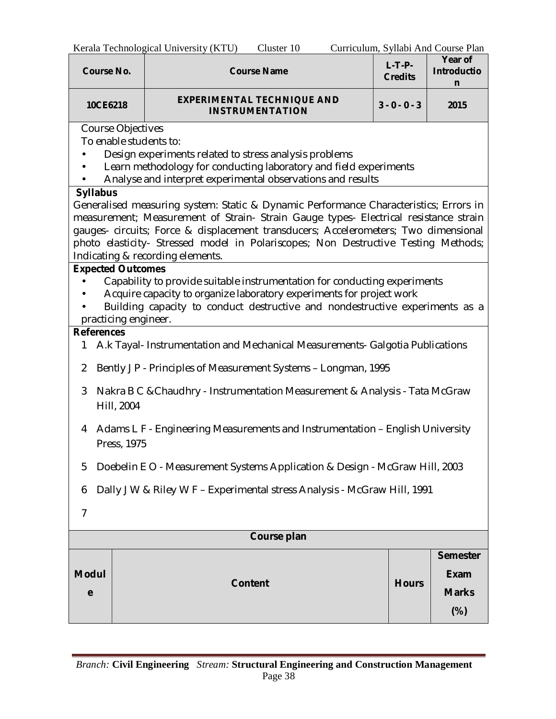| <b>Course No.</b>                                                                                                                                                                                                                                                                                                                                                                                                                                                                                                                                                                                                                                                                                                                                                                                                                                                                                                                                                                 |                                                                                                                                                                  | $R$ $i$ ala Technological University ( $R$ TU)<br>CHANGE TO<br><b>Course Name</b> | $L-T-P-$<br><b>Credits</b> | Curriculum, Synabr And Course Flan<br>Year of<br><b>Introductio</b><br>n |  |  |
|-----------------------------------------------------------------------------------------------------------------------------------------------------------------------------------------------------------------------------------------------------------------------------------------------------------------------------------------------------------------------------------------------------------------------------------------------------------------------------------------------------------------------------------------------------------------------------------------------------------------------------------------------------------------------------------------------------------------------------------------------------------------------------------------------------------------------------------------------------------------------------------------------------------------------------------------------------------------------------------|------------------------------------------------------------------------------------------------------------------------------------------------------------------|-----------------------------------------------------------------------------------|----------------------------|--------------------------------------------------------------------------|--|--|
| 10CE6218                                                                                                                                                                                                                                                                                                                                                                                                                                                                                                                                                                                                                                                                                                                                                                                                                                                                                                                                                                          |                                                                                                                                                                  | $3 - 0 - 0 - 3$                                                                   | 2015                       |                                                                          |  |  |
| <b>INSTRUMENTATION</b><br>Course Objectives<br>To enable students to:<br>Design experiments related to stress analysis problems<br>Learn methodology for conducting laboratory and field experiments<br>Analyse and interpret experimental observations and results<br><b>Syllabus</b><br>Generalised measuring system: Static & Dynamic Performance Characteristics; Errors in<br>measurement; Measurement of Strain- Strain Gauge types- Electrical resistance strain<br>gauges- circuits; Force & displacement transducers; Accelerometers; Two dimensional<br>photo elasticity- Stressed model in Polariscopes; Non Destructive Testing Methods;<br>Indicating & recording elements.<br><b>Expected Outcomes</b><br>Capability to provide suitable instrumentation for conducting experiments<br>Acquire capacity to organize laboratory experiments for project work<br>Building capacity to conduct destructive and nondestructive experiments as a<br>practicing engineer. |                                                                                                                                                                  |                                                                                   |                            |                                                                          |  |  |
| <b>References</b><br>1                                                                                                                                                                                                                                                                                                                                                                                                                                                                                                                                                                                                                                                                                                                                                                                                                                                                                                                                                            |                                                                                                                                                                  | A.k Tayal- Instrumentation and Mechanical Measurements- Galgotia Publications     |                            |                                                                          |  |  |
| 3                                                                                                                                                                                                                                                                                                                                                                                                                                                                                                                                                                                                                                                                                                                                                                                                                                                                                                                                                                                 | Bently J P - Principles of Measurement Systems - Longman, 1995<br>2<br>Nakra B C & Chaudhry - Instrumentation Measurement & Analysis - Tata McGraw<br>Hill, 2004 |                                                                                   |                            |                                                                          |  |  |
| 4                                                                                                                                                                                                                                                                                                                                                                                                                                                                                                                                                                                                                                                                                                                                                                                                                                                                                                                                                                                 | Adams L F - Engineering Measurements and Instrumentation - English University<br>Press, 1975                                                                     |                                                                                   |                            |                                                                          |  |  |
| 5                                                                                                                                                                                                                                                                                                                                                                                                                                                                                                                                                                                                                                                                                                                                                                                                                                                                                                                                                                                 |                                                                                                                                                                  | Doebelin E O - Measurement Systems Application & Design - McGraw Hill, 2003       |                            |                                                                          |  |  |
| 6                                                                                                                                                                                                                                                                                                                                                                                                                                                                                                                                                                                                                                                                                                                                                                                                                                                                                                                                                                                 |                                                                                                                                                                  | Dally J W & Riley W F - Experimental stress Analysis - McGraw Hill, 1991          |                            |                                                                          |  |  |
| $\overline{7}$                                                                                                                                                                                                                                                                                                                                                                                                                                                                                                                                                                                                                                                                                                                                                                                                                                                                                                                                                                    |                                                                                                                                                                  |                                                                                   |                            |                                                                          |  |  |
| Course plan                                                                                                                                                                                                                                                                                                                                                                                                                                                                                                                                                                                                                                                                                                                                                                                                                                                                                                                                                                       |                                                                                                                                                                  |                                                                                   |                            |                                                                          |  |  |
| <b>Modul</b><br>e                                                                                                                                                                                                                                                                                                                                                                                                                                                                                                                                                                                                                                                                                                                                                                                                                                                                                                                                                                 | <b>Semester</b><br><b>Exam</b><br><b>Content</b><br><b>Hours</b><br><b>Marks</b>                                                                                 |                                                                                   |                            |                                                                          |  |  |

**(%)**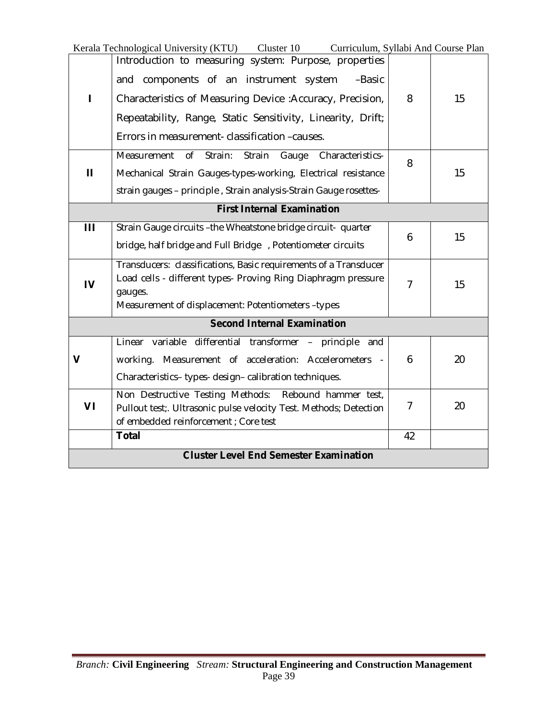|                                               | Kerala Technological University (KTU) Cluster 10 Curriculum, Syllabi And Course Plan                                                                                                                                                                                                    |                |    |
|-----------------------------------------------|-----------------------------------------------------------------------------------------------------------------------------------------------------------------------------------------------------------------------------------------------------------------------------------------|----------------|----|
|                                               | Introduction to measuring system: Purpose, properties<br>and components of an instrument system<br>-Basic<br>Characteristics of Measuring Device: Accuracy, Precision,<br>Repeatability, Range, Static Sensitivity, Linearity, Drift;<br>Errors in measurement- classification -causes. | 8              | 15 |
| $\mathbf{H}$                                  | Measurement<br>$\sigma$<br>Strain:<br>Strain<br>Characteristics-<br>Gauge<br>Mechanical Strain Gauges-types-working, Electrical resistance<br>strain gauges - principle, Strain analysis-Strain Gauge rosettes-                                                                         | 8              | 15 |
|                                               | <b>First Internal Examination</b>                                                                                                                                                                                                                                                       |                |    |
| Ш                                             | Strain Gauge circuits -the Wheatstone bridge circuit- quarter<br>bridge, half bridge and Full Bridge , Potentiometer circuits                                                                                                                                                           | 6              | 15 |
| $\overline{\mathsf{I}}$                       | Transducers: classifications, Basic requirements of a Transducer<br>Load cells - different types- Proving Ring Diaphragm pressure<br>gauges.<br>Measurement of displacement: Potentiometers -types                                                                                      | $\overline{7}$ | 15 |
|                                               | <b>Second Internal Examination</b>                                                                                                                                                                                                                                                      |                |    |
| V                                             | Linear variable differential transformer - principle and<br>working. Measurement of acceleration: Accelerometers<br>Characteristics-types-design-calibration techniques.                                                                                                                | 6              | 20 |
| VI                                            | Non Destructive Testing Methods: Rebound hammer test,<br>Pullout test;. Ultrasonic pulse velocity Test. Methods; Detection<br>of embedded reinforcement ; Core test                                                                                                                     | $\overline{7}$ | 20 |
|                                               | <b>Total</b>                                                                                                                                                                                                                                                                            | 42             |    |
| <b>Cluster Level End Semester Examination</b> |                                                                                                                                                                                                                                                                                         |                |    |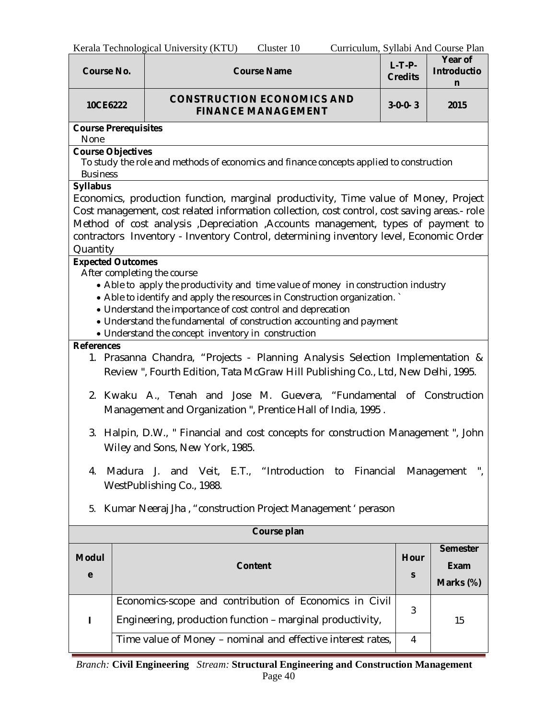| <b>Course No.</b>                                                          |                                                                                                                                                                                                                                                                                                                                                                                                                      | <b>Course Name</b>                                                                                                                                               | $L-T-P-$<br><b>Credits</b> | Year of<br><b>Introductio</b><br>n   |  |
|----------------------------------------------------------------------------|----------------------------------------------------------------------------------------------------------------------------------------------------------------------------------------------------------------------------------------------------------------------------------------------------------------------------------------------------------------------------------------------------------------------|------------------------------------------------------------------------------------------------------------------------------------------------------------------|----------------------------|--------------------------------------|--|
| <b>CONSTRUCTION ECONOMICS AND</b><br>10CE6222<br><b>FINANCE MANAGEMENT</b> |                                                                                                                                                                                                                                                                                                                                                                                                                      | $3-0-0-3$                                                                                                                                                        | 2015                       |                                      |  |
| <b>Course Prerequisites</b><br>None                                        |                                                                                                                                                                                                                                                                                                                                                                                                                      |                                                                                                                                                                  |                            |                                      |  |
| <b>Course Objectives</b><br><b>Business</b>                                |                                                                                                                                                                                                                                                                                                                                                                                                                      | To study the role and methods of economics and finance concepts applied to construction                                                                          |                            |                                      |  |
| <b>Syllabus</b><br>Quantity                                                | Economics, production function, marginal productivity, Time value of Money, Project<br>Cost management, cost related information collection, cost control, cost saving areas.- role<br>Method of cost analysis ,Depreciation ,Accounts management, types of payment to<br>contractors Inventory - Inventory Control, determining inventory level, Economic Order                                                     |                                                                                                                                                                  |                            |                                      |  |
|                                                                            | <b>Expected Outcomes</b><br>After completing the course<br>• Able to apply the productivity and time value of money in construction industry<br>• Able to identify and apply the resources in Construction organization.<br>• Understand the importance of cost control and deprecation<br>• Understand the fundamental of construction accounting and payment<br>• Understand the concept inventory in construction |                                                                                                                                                                  |                            |                                      |  |
| <b>References</b>                                                          |                                                                                                                                                                                                                                                                                                                                                                                                                      | 1. Prasanna Chandra, "Projects - Planning Analysis Selection Implementation &<br>Review", Fourth Edition, Tata McGraw Hill Publishing Co., Ltd, New Delhi, 1995. |                            |                                      |  |
|                                                                            |                                                                                                                                                                                                                                                                                                                                                                                                                      | 2. Kwaku A., Tenah and Jose M. Guevera, "Fundamental of Construction<br>Management and Organization ", Prentice Hall of India, 1995.                             |                            |                                      |  |
|                                                                            |                                                                                                                                                                                                                                                                                                                                                                                                                      | 3. Halpin, D.W., " Financial and cost concepts for construction Management ", John<br>Wiley and Sons, New York, 1985.                                            |                            |                                      |  |
| Madura<br>4.                                                               |                                                                                                                                                                                                                                                                                                                                                                                                                      | J. and Veit, E.T., "Introduction to Financial Management<br>WestPublishing Co., 1988.                                                                            |                            |                                      |  |
| Kumar Neeraj Jha, "construction Project Management ' perason<br>5.         |                                                                                                                                                                                                                                                                                                                                                                                                                      |                                                                                                                                                                  |                            |                                      |  |
|                                                                            |                                                                                                                                                                                                                                                                                                                                                                                                                      | Course plan                                                                                                                                                      |                            |                                      |  |
| <b>Modul</b><br>е                                                          |                                                                                                                                                                                                                                                                                                                                                                                                                      | <b>Content</b>                                                                                                                                                   | Hour<br>S                  | <b>Semester</b><br>Exam<br>Marks (%) |  |
|                                                                            |                                                                                                                                                                                                                                                                                                                                                                                                                      | Economics-scope and contribution of Economics in Civil<br>Engineering, production function - marginal productivity,                                              | 3                          | 15                                   |  |
|                                                                            | Time value of Money - nominal and effective interest rates,<br>$\overline{4}$                                                                                                                                                                                                                                                                                                                                        |                                                                                                                                                                  |                            |                                      |  |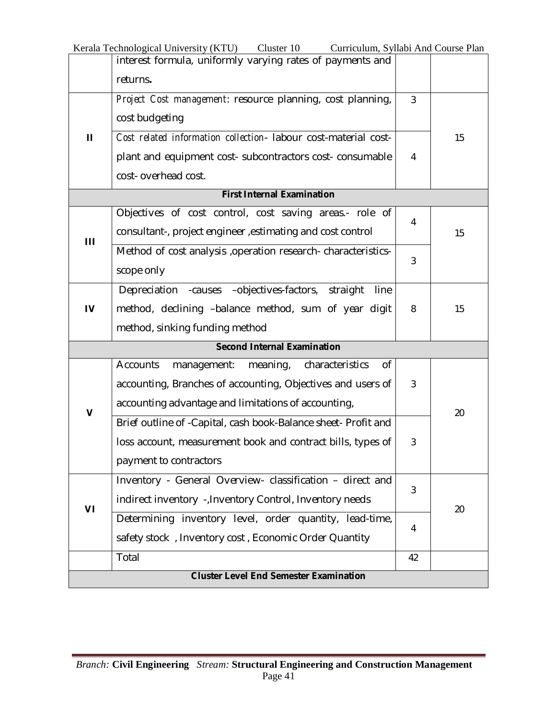|                                               | Kerala Technological University (KTU)<br>Cluster 10<br>Curriculum, Syllabi And Course Plan |                |    |
|-----------------------------------------------|--------------------------------------------------------------------------------------------|----------------|----|
|                                               | interest formula, uniformly varying rates of payments and                                  |                |    |
|                                               | returns.                                                                                   |                |    |
|                                               | Project Cost management: resource planning, cost planning,                                 | $\overline{3}$ |    |
|                                               | cost budgeting                                                                             |                |    |
| Ш                                             | Cost related information collection- labour cost-material cost-                            |                | 15 |
|                                               | plant and equipment cost- subcontractors cost- consumable                                  | $\overline{4}$ |    |
|                                               | cost-overhead cost.                                                                        |                |    |
|                                               | <b>First Internal Examination</b>                                                          |                |    |
|                                               | Objectives of cost control, cost saving areas.- role of                                    |                |    |
| $\mathbf{III}$                                | consultant-, project engineer , estimating and cost control                                | 4              | 15 |
|                                               | Method of cost analysis , operation research-characteristics-                              |                |    |
|                                               | scope only                                                                                 | 3              |    |
|                                               | Depreciation - causes - objectives-factors, straight<br>line                               |                |    |
| IV                                            | method, declining -balance method, sum of year digit                                       | 8              | 15 |
|                                               | method, sinking funding method                                                             |                |    |
|                                               | <b>Second Internal Examination</b>                                                         |                |    |
|                                               | <b>Accounts</b><br>characteristics<br>management:<br>meaning,<br>οf                        |                |    |
|                                               | accounting, Branches of accounting, Objectives and users of                                | 3              |    |
|                                               | accounting advantage and limitations of accounting,                                        |                |    |
| V                                             | Brief outline of -Capital, cash book-Balance sheet- Profit and                             |                | 20 |
|                                               | loss account, measurement book and contract bills, types of                                | 3              |    |
|                                               | payment to contractors                                                                     |                |    |
|                                               | Inventory - General Overview- classification - direct and                                  | 3              |    |
| VI                                            | indirect inventory -, Inventory Control, Inventory needs                                   |                | 20 |
|                                               | Determining inventory level, order quantity, lead-time,                                    | 4              |    |
|                                               | safety stock, Inventory cost, Economic Order Quantity                                      |                |    |
|                                               | Total                                                                                      | 42             |    |
| <b>Cluster Level End Semester Examination</b> |                                                                                            |                |    |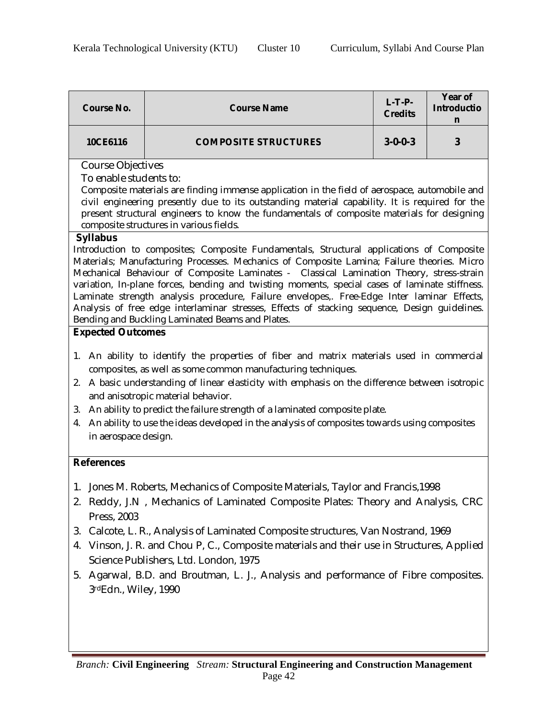|          | <b>Course No.</b>                                                                                                                                                                                                                                                                                                                                                                                                                                                                                                                                                                                                                                                                                                                                                                                                                                                                                                                                                                                                                                                                                                                                                                                                                                                                                                                                                                                                                                                                                                                                                                             | <b>Course Name</b>                                                             | $L-T-P-$<br><b>Credits</b> | Year of<br><b>Introductio</b><br>n |  |  |  |
|----------|-----------------------------------------------------------------------------------------------------------------------------------------------------------------------------------------------------------------------------------------------------------------------------------------------------------------------------------------------------------------------------------------------------------------------------------------------------------------------------------------------------------------------------------------------------------------------------------------------------------------------------------------------------------------------------------------------------------------------------------------------------------------------------------------------------------------------------------------------------------------------------------------------------------------------------------------------------------------------------------------------------------------------------------------------------------------------------------------------------------------------------------------------------------------------------------------------------------------------------------------------------------------------------------------------------------------------------------------------------------------------------------------------------------------------------------------------------------------------------------------------------------------------------------------------------------------------------------------------|--------------------------------------------------------------------------------|----------------------------|------------------------------------|--|--|--|
|          | 10CE6116                                                                                                                                                                                                                                                                                                                                                                                                                                                                                                                                                                                                                                                                                                                                                                                                                                                                                                                                                                                                                                                                                                                                                                                                                                                                                                                                                                                                                                                                                                                                                                                      | <b>COMPOSITE STRUCTURES</b>                                                    | $3 - 0 - 0 - 3$            | 3                                  |  |  |  |
| 3.<br>4. | Course Objectives<br>To enable students to:<br>Composite materials are finding immense application in the field of aerospace, automobile and<br>civil engineering presently due to its outstanding material capability. It is required for the<br>present structural engineers to know the fundamentals of composite materials for designing<br>composite structures in various fields.<br><b>Syllabus</b><br>Introduction to composites; Composite Fundamentals, Structural applications of Composite<br>Materials; Manufacturing Processes. Mechanics of Composite Lamina; Failure theories. Micro<br>Mechanical Behaviour of Composite Laminates - Classical Lamination Theory, stress-strain<br>variation, In-plane forces, bending and twisting moments, special cases of laminate stiffness.<br>Laminate strength analysis procedure, Failure envelopes,. Free-Edge Inter laminar Effects,<br>Analysis of free edge interlaminar stresses, Effects of stacking sequence, Design guidelines.<br>Bending and Buckling Laminated Beams and Plates.<br><b>Expected Outcomes</b><br>1. An ability to identify the properties of fiber and matrix materials used in commercial<br>composites, as well as some common manufacturing techniques.<br>2. A basic understanding of linear elasticity with emphasis on the difference between isotropic<br>and anisotropic material behavior.<br>An ability to predict the failure strength of a laminated composite plate.<br>An ability to use the ideas developed in the analysis of composites towards using composites<br>in aerospace design. |                                                                                |                            |                                    |  |  |  |
|          | <b>References</b>                                                                                                                                                                                                                                                                                                                                                                                                                                                                                                                                                                                                                                                                                                                                                                                                                                                                                                                                                                                                                                                                                                                                                                                                                                                                                                                                                                                                                                                                                                                                                                             |                                                                                |                            |                                    |  |  |  |
| 2.       | 1. Jones M. Roberts, Mechanics of Composite Materials, Taylor and Francis, 1998<br>Reddy, J.N., Mechanics of Laminated Composite Plates: Theory and Analysis, CRC<br>Press, 2003                                                                                                                                                                                                                                                                                                                                                                                                                                                                                                                                                                                                                                                                                                                                                                                                                                                                                                                                                                                                                                                                                                                                                                                                                                                                                                                                                                                                              |                                                                                |                            |                                    |  |  |  |
| 3.       |                                                                                                                                                                                                                                                                                                                                                                                                                                                                                                                                                                                                                                                                                                                                                                                                                                                                                                                                                                                                                                                                                                                                                                                                                                                                                                                                                                                                                                                                                                                                                                                               | Calcote, L. R., Analysis of Laminated Composite structures, Van Nostrand, 1969 |                            |                                    |  |  |  |
| 4.       | Vinson, J. R. and Chou P, C., Composite materials and their use in Structures, Applied                                                                                                                                                                                                                                                                                                                                                                                                                                                                                                                                                                                                                                                                                                                                                                                                                                                                                                                                                                                                                                                                                                                                                                                                                                                                                                                                                                                                                                                                                                        |                                                                                |                            |                                    |  |  |  |
|          | Science Publishers, Ltd. London, 1975<br>5. Agarwal, B.D. and Broutman, L. J., Analysis and performance of Fibre composites.<br>3rdEdn., Wiley, 1990                                                                                                                                                                                                                                                                                                                                                                                                                                                                                                                                                                                                                                                                                                                                                                                                                                                                                                                                                                                                                                                                                                                                                                                                                                                                                                                                                                                                                                          |                                                                                |                            |                                    |  |  |  |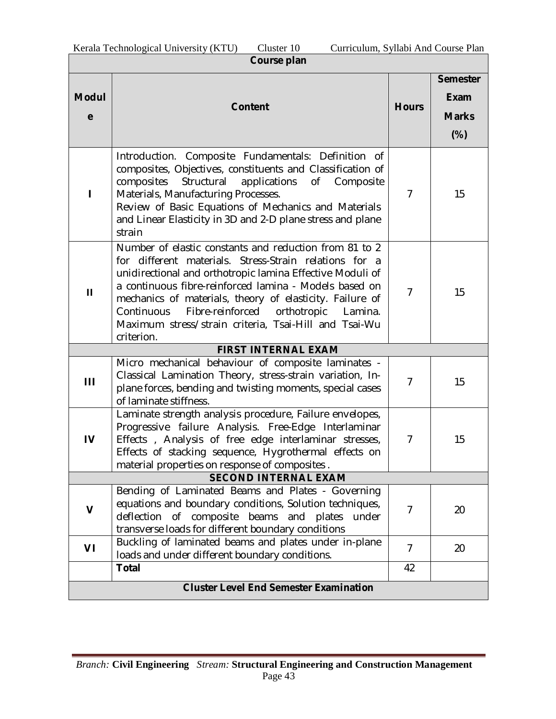| Course plan       |                                                                                                                                                                                                                                                                                                                                                                                                                                        |                |                                                          |  |  |
|-------------------|----------------------------------------------------------------------------------------------------------------------------------------------------------------------------------------------------------------------------------------------------------------------------------------------------------------------------------------------------------------------------------------------------------------------------------------|----------------|----------------------------------------------------------|--|--|
| <b>Modul</b><br>e | <b>Content</b>                                                                                                                                                                                                                                                                                                                                                                                                                         | <b>Hours</b>   | <b>Semester</b><br><b>Exam</b><br><b>Marks</b><br>$(\%)$ |  |  |
|                   | Introduction. Composite Fundamentals: Definition of<br>composites, Objectives, constituents and Classification of<br>composites Structural<br>applications<br>of Composite<br>Materials, Manufacturing Processes.<br>Review of Basic Equations of Mechanics and Materials<br>and Linear Elasticity in 3D and 2-D plane stress and plane<br>strain                                                                                      | $\overline{7}$ | 15                                                       |  |  |
| Ш                 | Number of elastic constants and reduction from 81 to 2<br>for different materials. Stress-Strain relations for a<br>unidirectional and orthotropic lamina Effective Moduli of<br>a continuous fibre-reinforced lamina - Models based on<br>mechanics of materials, theory of elasticity. Failure of<br>Continuous<br>Fibre-reinforced<br>orthotropic<br>Lamina.<br>Maximum stress/strain criteria, Tsai-Hill and Tsai-Wu<br>criterion. | $\overline{7}$ | 15                                                       |  |  |
|                   | <b>FIRST INTERNAL EXAM</b>                                                                                                                                                                                                                                                                                                                                                                                                             |                |                                                          |  |  |
| Ш                 | Micro mechanical behaviour of composite laminates -<br>Classical Lamination Theory, stress-strain variation, In-<br>plane forces, bending and twisting moments, special cases<br>of laminate stiffness.                                                                                                                                                                                                                                | $\overline{7}$ | 15                                                       |  |  |
| IV                | Laminate strength analysis procedure, Failure envelopes,<br>Progressive failure Analysis. Free-Edge Interlaminar<br>Effects, Analysis of free edge interlaminar stresses,<br>Effects of stacking sequence, Hygrothermal effects on<br>material properties on response of composites.                                                                                                                                                   | 7              | 15                                                       |  |  |
|                   | <b>SECOND INTERNAL EXAM</b>                                                                                                                                                                                                                                                                                                                                                                                                            |                |                                                          |  |  |
| $\mathbf v$       | Bending of Laminated Beams and Plates - Governing<br>equations and boundary conditions, Solution techniques,<br>of composite<br>deflection<br>beams and<br>under<br>plates<br>transverse loads for different boundary conditions                                                                                                                                                                                                       | $\overline{7}$ | 20                                                       |  |  |
| VI                | Buckling of laminated beams and plates under in-plane<br>loads and under different boundary conditions.                                                                                                                                                                                                                                                                                                                                | 7              | 20                                                       |  |  |
|                   | <b>Total</b>                                                                                                                                                                                                                                                                                                                                                                                                                           | 42             |                                                          |  |  |
|                   | <b>Cluster Level End Semester Examination</b>                                                                                                                                                                                                                                                                                                                                                                                          |                |                                                          |  |  |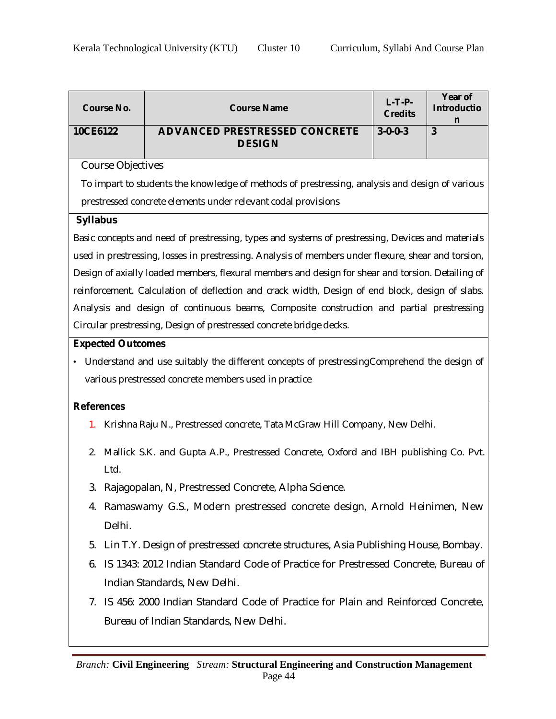| <b>Course No.</b>        | <b>Course Name</b>                                                                                  | $L-T-P-$<br><b>Credits</b> | Year of<br><b>Introductio</b> |  |  |  |  |
|--------------------------|-----------------------------------------------------------------------------------------------------|----------------------------|-------------------------------|--|--|--|--|
| 10CE6122                 | <b>ADVANCED PRESTRESSED CONCRETE</b><br><b>DESIGN</b>                                               | $3 - 0 - 0 - 3$            | n<br>$\overline{3}$           |  |  |  |  |
| Course Objectives        |                                                                                                     |                            |                               |  |  |  |  |
|                          | To impart to students the knowledge of methods of prestressing, analysis and design of various      |                            |                               |  |  |  |  |
|                          | prestressed concrete elements under relevant codal provisions                                       |                            |                               |  |  |  |  |
| <b>Syllabus</b>          |                                                                                                     |                            |                               |  |  |  |  |
|                          | Basic concepts and need of prestressing, types and systems of prestressing, Devices and materials   |                            |                               |  |  |  |  |
|                          | used in prestressing, losses in prestressing. Analysis of members under flexure, shear and torsion, |                            |                               |  |  |  |  |
|                          | Design of axially loaded members, flexural members and design for shear and torsion. Detailing of   |                            |                               |  |  |  |  |
|                          | reinforcement. Calculation of deflection and crack width, Design of end block, design of slabs.     |                            |                               |  |  |  |  |
|                          | Analysis and design of continuous beams, Composite construction and partial prestressing            |                            |                               |  |  |  |  |
|                          | Circular prestressing, Design of prestressed concrete bridge decks.                                 |                            |                               |  |  |  |  |
| <b>Expected Outcomes</b> |                                                                                                     |                            |                               |  |  |  |  |
|                          | Understand and use suitably the different concepts of prestressing Comprehend the design of         |                            |                               |  |  |  |  |
|                          | various prestressed concrete members used in practice                                               |                            |                               |  |  |  |  |
| <b>References</b>        |                                                                                                     |                            |                               |  |  |  |  |
| 1.                       | Krishna Raju N., Prestressed concrete, Tata McGraw Hill Company, New Delhi.                         |                            |                               |  |  |  |  |
| 2.<br>Ltd.               | Mallick S.K. and Gupta A.P., Prestressed Concrete, Oxford and IBH publishing Co. Pvt.               |                            |                               |  |  |  |  |
|                          | Rajagopalan, N, Prestressed Concrete, Alpha Science.                                                |                            |                               |  |  |  |  |
| 4.                       | Ramaswamy G.S., Modern prestressed concrete design, Arnold Heinimen, New                            |                            |                               |  |  |  |  |
| Delhi.                   |                                                                                                     |                            |                               |  |  |  |  |
| 5.                       | Lin T.Y. Design of prestressed concrete structures, Asia Publishing House, Bombay.                  |                            |                               |  |  |  |  |
| 6.                       | IS 1343: 2012 Indian Standard Code of Practice for Prestressed Concrete, Bureau of                  |                            |                               |  |  |  |  |
|                          | Indian Standards, New Delhi.                                                                        |                            |                               |  |  |  |  |
| 7.                       | IS 456: 2000 Indian Standard Code of Practice for Plain and Reinforced Concrete,                    |                            |                               |  |  |  |  |
|                          | Bureau of Indian Standards, New Delhi.                                                              |                            |                               |  |  |  |  |
|                          |                                                                                                     |                            |                               |  |  |  |  |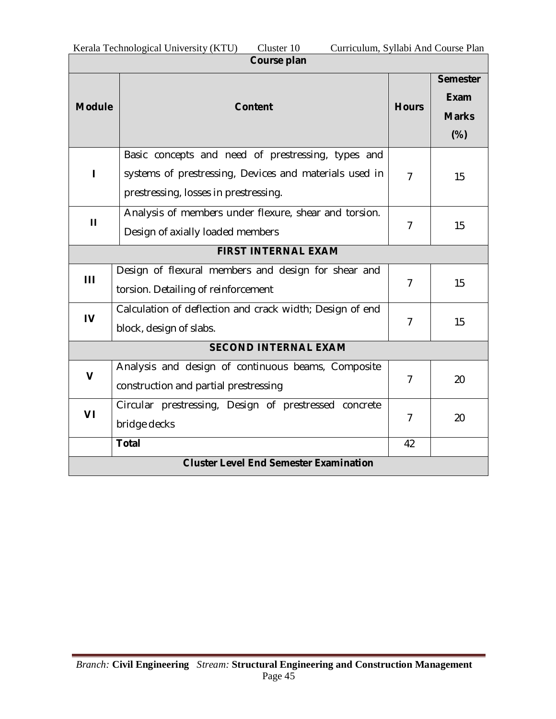| Course plan    |                                                                                                                                                       |                |                                                |  |  |
|----------------|-------------------------------------------------------------------------------------------------------------------------------------------------------|----------------|------------------------------------------------|--|--|
| <b>Module</b>  | <b>Content</b>                                                                                                                                        | <b>Hours</b>   | <b>Semester</b><br>Exam<br><b>Marks</b><br>(%) |  |  |
| П              | Basic concepts and need of prestressing, types and<br>systems of prestressing, Devices and materials used in<br>prestressing, losses in prestressing. | $\overline{7}$ | 15                                             |  |  |
| $\mathbf{H}$   | Analysis of members under flexure, shear and torsion.<br>Design of axially loaded members                                                             | $\overline{7}$ | 15                                             |  |  |
|                | <b>FIRST INTERNAL EXAM</b>                                                                                                                            |                |                                                |  |  |
| Ш              | Design of flexural members and design for shear and<br>torsion. Detailing of reinforcement                                                            | 7              | 15                                             |  |  |
| $\overline{V}$ | Calculation of deflection and crack width; Design of end<br>block, design of slabs.                                                                   | 7              | 15                                             |  |  |
|                | <b>SECOND INTERNAL EXAM</b>                                                                                                                           |                |                                                |  |  |
| $\mathbf v$    | Analysis and design of continuous beams, Composite<br>construction and partial prestressing                                                           | $\overline{7}$ | 20                                             |  |  |
| VI             | Circular prestressing, Design of prestressed concrete<br>bridge decks                                                                                 | $\overline{7}$ | 20                                             |  |  |
|                | <b>Total</b>                                                                                                                                          |                |                                                |  |  |
|                | <b>Cluster Level End Semester Examination</b>                                                                                                         |                |                                                |  |  |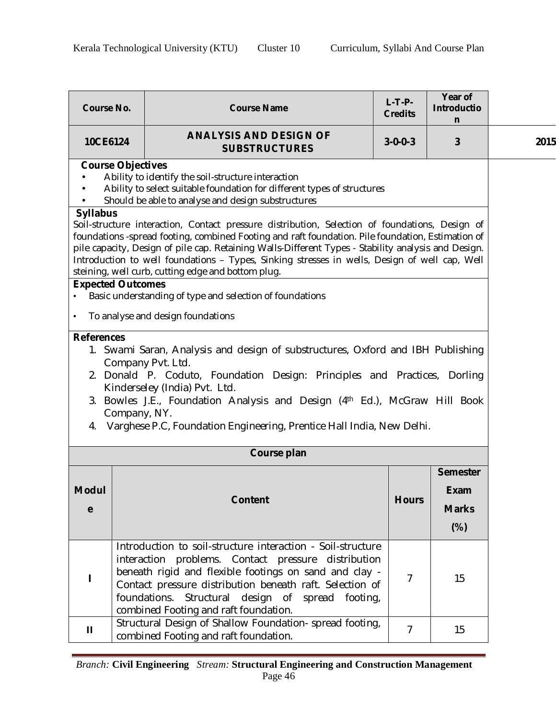| <b>Course No.</b>                                                                                                                                                                                                                                                                                                                                                                                                                                                                    |  | <b>Course Name</b>                                                                                                                                                                                                                                                                                                                              | $L-T-P-$<br><b>Credits</b> | Year of<br><b>Introductio</b><br>n |      |
|--------------------------------------------------------------------------------------------------------------------------------------------------------------------------------------------------------------------------------------------------------------------------------------------------------------------------------------------------------------------------------------------------------------------------------------------------------------------------------------|--|-------------------------------------------------------------------------------------------------------------------------------------------------------------------------------------------------------------------------------------------------------------------------------------------------------------------------------------------------|----------------------------|------------------------------------|------|
| 10CE6124                                                                                                                                                                                                                                                                                                                                                                                                                                                                             |  | <b>ANALYSIS AND DESIGN OF</b><br><b>SUBSTRUCTURES</b>                                                                                                                                                                                                                                                                                           | $3 - 0 - 0 - 3$            | 3                                  | 2015 |
| <b>Course Objectives</b><br>Ability to identify the soil-structure interaction<br>Ability to select suitable foundation for different types of structures<br>Should be able to analyse and design substructures                                                                                                                                                                                                                                                                      |  |                                                                                                                                                                                                                                                                                                                                                 |                            |                                    |      |
| <b>Syllabus</b><br>Soil-structure interaction, Contact pressure distribution, Selection of foundations, Design of<br>foundations -spread footing, combined Footing and raft foundation. Pile foundation, Estimation of<br>pile capacity, Design of pile cap. Retaining Walls-Different Types - Stability analysis and Design.<br>Introduction to well foundations - Types, Sinking stresses in wells, Design of well cap, Well<br>steining, well curb, cutting edge and bottom plug. |  |                                                                                                                                                                                                                                                                                                                                                 |                            |                                    |      |
| <b>Expected Outcomes</b>                                                                                                                                                                                                                                                                                                                                                                                                                                                             |  | Basic understanding of type and selection of foundations                                                                                                                                                                                                                                                                                        |                            |                                    |      |
| $\bullet$                                                                                                                                                                                                                                                                                                                                                                                                                                                                            |  | To analyse and design foundations                                                                                                                                                                                                                                                                                                               |                            |                                    |      |
| <b>References</b><br>1. Swami Saran, Analysis and design of substructures, Oxford and IBH Publishing<br>Company Pvt. Ltd.<br>2. Donald P. Coduto, Foundation Design: Principles and Practices, Dorling<br>Kinderseley (India) Pvt. Ltd.<br>3. Bowles J.E., Foundation Analysis and Design (4th Ed.), McGraw Hill Book<br>Company, NY.<br>Varghese P.C, Foundation Engineering, Prentice Hall India, New Delhi.<br>4.                                                                 |  |                                                                                                                                                                                                                                                                                                                                                 |                            |                                    |      |
|                                                                                                                                                                                                                                                                                                                                                                                                                                                                                      |  | Course plan                                                                                                                                                                                                                                                                                                                                     |                            |                                    |      |
| <b>Semester</b><br><b>Modul</b><br><b>Exam</b><br><b>Content</b><br><b>Hours</b><br><b>Marks</b><br>e<br>$(\%)$                                                                                                                                                                                                                                                                                                                                                                      |  |                                                                                                                                                                                                                                                                                                                                                 |                            |                                    |      |
|                                                                                                                                                                                                                                                                                                                                                                                                                                                                                      |  | Introduction to soil-structure interaction - Soil-structure<br>interaction problems. Contact pressure distribution<br>beneath rigid and flexible footings on sand and clay -<br>Contact pressure distribution beneath raft. Selection of<br>foundations.<br>Structural<br>design of<br>spread footing,<br>combined Footing and raft foundation. | 7                          | 15                                 |      |
| Ш                                                                                                                                                                                                                                                                                                                                                                                                                                                                                    |  | Structural Design of Shallow Foundation- spread footing,<br>combined Footing and raft foundation.                                                                                                                                                                                                                                               | 7                          | 15                                 |      |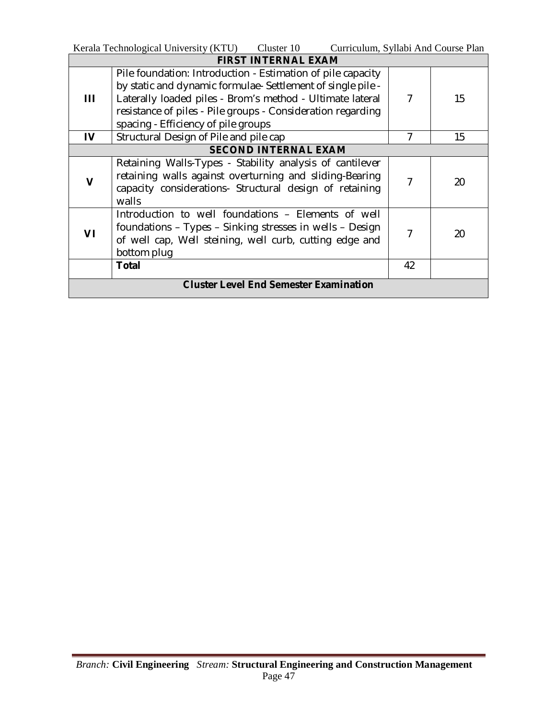|                                               | Kerala Technological University (KTU) Cluster 10<br>Curriculum, Syllabi And Course Plan |                |    |
|-----------------------------------------------|-----------------------------------------------------------------------------------------|----------------|----|
|                                               | <b>FIRST INTERNAL EXAM</b>                                                              |                |    |
|                                               | Pile foundation: Introduction - Estimation of pile capacity                             |                |    |
|                                               | by static and dynamic formulae-Settlement of single pile -                              |                |    |
| Ш                                             | Laterally loaded piles - Brom's method - Ultimate lateral                               | 7              | 15 |
|                                               | resistance of piles - Pile groups - Consideration regarding                             |                |    |
|                                               | spacing - Efficiency of pile groups                                                     |                |    |
| IV                                            | Structural Design of Pile and pile cap                                                  | $\overline{7}$ | 15 |
|                                               | <b>SECOND INTERNAL EXAM</b>                                                             |                |    |
|                                               | Retaining Walls-Types - Stability analysis of cantilever                                |                |    |
|                                               | retaining walls against overturning and sliding-Bearing                                 | $\overline{7}$ | 20 |
|                                               | capacity considerations- Structural design of retaining                                 |                |    |
|                                               | walls                                                                                   |                |    |
|                                               | Introduction to well foundations - Elements of well                                     |                |    |
| VI                                            | foundations - Types - Sinking stresses in wells - Design                                | 7              | 20 |
|                                               | of well cap, Well steining, well curb, cutting edge and                                 |                |    |
|                                               | bottom plug                                                                             |                |    |
|                                               | <b>Total</b>                                                                            | 42             |    |
| <b>Cluster Level End Semester Examination</b> |                                                                                         |                |    |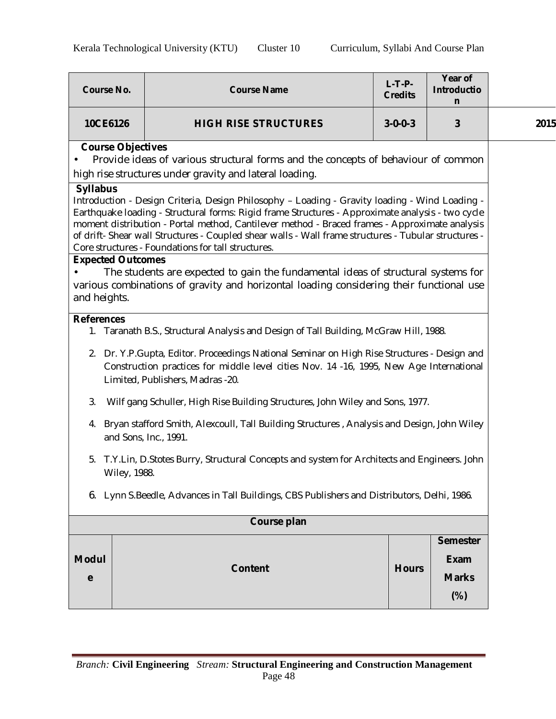| <b>Course No.</b><br><b>Course Name</b>                                                                                                                                                                                                                                                                                                                                                                                                                                                            |  | $L-T-P-$<br><b>Credits</b>                                                                                                                                                                                                                                                                                                                 | Year of<br><b>Introductio</b><br>n |                                                          |      |  |  |
|----------------------------------------------------------------------------------------------------------------------------------------------------------------------------------------------------------------------------------------------------------------------------------------------------------------------------------------------------------------------------------------------------------------------------------------------------------------------------------------------------|--|--------------------------------------------------------------------------------------------------------------------------------------------------------------------------------------------------------------------------------------------------------------------------------------------------------------------------------------------|------------------------------------|----------------------------------------------------------|------|--|--|
| 10CE6126                                                                                                                                                                                                                                                                                                                                                                                                                                                                                           |  | <b>HIGH RISE STRUCTURES</b>                                                                                                                                                                                                                                                                                                                | $3 - 0 - 0 - 3$                    | 3                                                        | 2015 |  |  |
| <b>Course Objectives</b><br>Provide ideas of various structural forms and the concepts of behaviour of common<br>high rise structures under gravity and lateral loading.<br><b>Syllabus</b><br>Introduction - Design Criteria, Design Philosophy - Loading - Gravity loading - Wind Loading -<br>Earthquake loading - Structural forms: Rigid frame Structures - Approximate analysis - two cycle<br>moment distribution - Portal method, Cantilever method - Braced frames - Approximate analysis |  |                                                                                                                                                                                                                                                                                                                                            |                                    |                                                          |      |  |  |
| <b>Expected Outcomes</b><br>and heights.                                                                                                                                                                                                                                                                                                                                                                                                                                                           |  | of drift- Shear wall Structures - Coupled shear walls - Wall frame structures - Tubular structures -<br>Core structures - Foundations for tall structures.<br>The students are expected to gain the fundamental ideas of structural systems for<br>various combinations of gravity and horizontal loading considering their functional use |                                    |                                                          |      |  |  |
| <b>References</b><br>1. Taranath B.S., Structural Analysis and Design of Tall Building, McGraw Hill, 1988.<br>2. Dr. Y.P.Gupta, Editor. Proceedings National Seminar on High Rise Structures - Design and<br>Construction practices for middle level cities Nov. 14 -16, 1995, New Age International<br>Limited, Publishers, Madras -20.                                                                                                                                                           |  |                                                                                                                                                                                                                                                                                                                                            |                                    |                                                          |      |  |  |
| 3.<br>Wilf gang Schuller, High Rise Building Structures, John Wiley and Sons, 1977.<br>Bryan stafford Smith, Alexcoull, Tall Building Structures, Analysis and Design, John Wiley<br>4.<br>and Sons, Inc., 1991.                                                                                                                                                                                                                                                                                   |  |                                                                                                                                                                                                                                                                                                                                            |                                    |                                                          |      |  |  |
| T.Y.Lin, D.Stotes Burry, Structural Concepts and system for Architects and Engineers. John<br>5.<br>Wiley, 1988.                                                                                                                                                                                                                                                                                                                                                                                   |  |                                                                                                                                                                                                                                                                                                                                            |                                    |                                                          |      |  |  |
| 6. Lynn S.Beedle, Advances in Tall Buildings, CBS Publishers and Distributors, Delhi, 1986.                                                                                                                                                                                                                                                                                                                                                                                                        |  |                                                                                                                                                                                                                                                                                                                                            |                                    |                                                          |      |  |  |
| Course plan                                                                                                                                                                                                                                                                                                                                                                                                                                                                                        |  |                                                                                                                                                                                                                                                                                                                                            |                                    |                                                          |      |  |  |
| <b>Modul</b><br>e                                                                                                                                                                                                                                                                                                                                                                                                                                                                                  |  | <b>Content</b>                                                                                                                                                                                                                                                                                                                             | <b>Hours</b>                       | <b>Semester</b><br><b>Exam</b><br><b>Marks</b><br>$(\%)$ |      |  |  |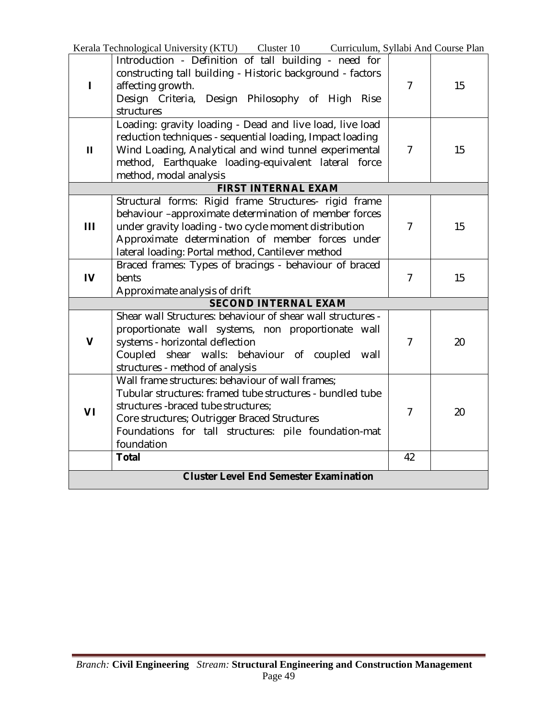|                                               | Kerala Technological University (KTU) Cluster 10 Curriculum, Syllabi And Course Plan                                                                                                                                                                                             |                |    |
|-----------------------------------------------|----------------------------------------------------------------------------------------------------------------------------------------------------------------------------------------------------------------------------------------------------------------------------------|----------------|----|
| $\blacksquare$                                | Introduction - Definition of tall building - need for<br>constructing tall building - Historic background - factors<br>affecting growth.<br>Design Criteria, Design Philosophy of High Rise<br>structures                                                                        | $\overline{7}$ | 15 |
| $\mathbf{H}$                                  | Loading: gravity loading - Dead and live load, live load<br>reduction techniques - sequential loading, Impact loading<br>Wind Loading, Analytical and wind tunnel experimental<br>method, Earthquake loading-equivalent lateral force<br>method, modal analysis                  | $\overline{7}$ | 15 |
|                                               | <b>FIRST INTERNAL EXAM</b>                                                                                                                                                                                                                                                       |                |    |
| Ш                                             | Structural forms: Rigid frame Structures- rigid frame<br>behaviour -approximate determination of member forces<br>under gravity loading - two cycle moment distribution<br>Approximate determination of member forces under<br>lateral loading: Portal method, Cantilever method | $\overline{7}$ | 15 |
| IV                                            | Braced frames: Types of bracings - behaviour of braced<br>bents<br>Approximate analysis of drift                                                                                                                                                                                 | $\overline{7}$ | 15 |
|                                               | <b>SECOND INTERNAL EXAM</b>                                                                                                                                                                                                                                                      |                |    |
| $\mathbf v$                                   | Shear wall Structures: behaviour of shear wall structures -<br>proportionate wall systems, non proportionate wall<br>systems - horizontal deflection<br>Coupled shear walls: behaviour of coupled wall<br>structures - method of analysis                                        | $\overline{7}$ | 20 |
| VI                                            | Wall frame structures: behaviour of wall frames:<br>Tubular structures: framed tube structures - bundled tube<br>structures - braced tube structures;<br>Core structures; Outrigger Braced Structures<br>Foundations for tall structures: pile foundation-mat<br>foundation      | $\overline{7}$ | 20 |
|                                               | <b>Total</b>                                                                                                                                                                                                                                                                     |                |    |
| <b>Cluster Level End Semester Examination</b> |                                                                                                                                                                                                                                                                                  |                |    |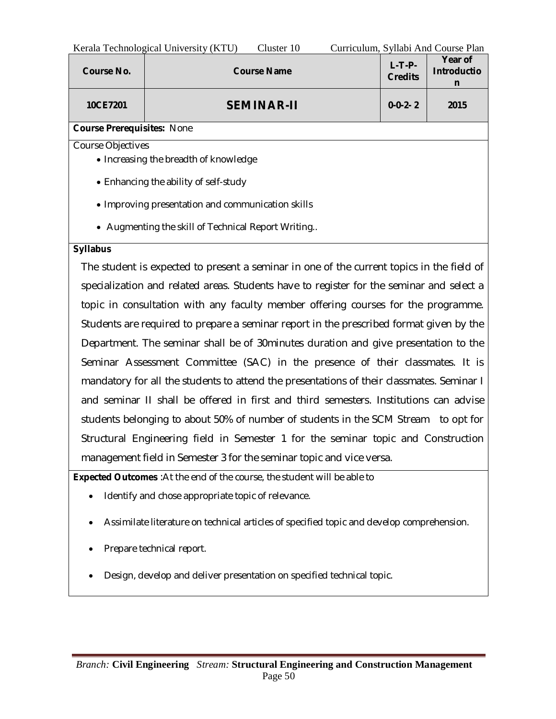|                                                                                           | Kerala Technological University (KTU)<br>Cluster 10                    |           | Curriculum, Syllabi And Course Plan |  |  |
|-------------------------------------------------------------------------------------------|------------------------------------------------------------------------|-----------|-------------------------------------|--|--|
| <b>Course No.</b>                                                                         | $L-T-P-$<br><b>Course Name</b><br><b>Introductio</b><br><b>Credits</b> |           |                                     |  |  |
| 10CE7201                                                                                  | <b>SEMINAR-II</b>                                                      | $0-0-2-2$ | 2015                                |  |  |
| <b>Course Prerequisites: None</b>                                                         |                                                                        |           |                                     |  |  |
| Course Objectives                                                                         |                                                                        |           |                                     |  |  |
|                                                                                           | • Increasing the breadth of knowledge                                  |           |                                     |  |  |
|                                                                                           | • Enhancing the ability of self-study                                  |           |                                     |  |  |
|                                                                                           | • Improving presentation and communication skills                      |           |                                     |  |  |
| • Augmenting the skill of Technical Report Writing                                        |                                                                        |           |                                     |  |  |
| <b>Syllabus</b>                                                                           |                                                                        |           |                                     |  |  |
| The student is expected to present a seminar in one of the current topics in the field of |                                                                        |           |                                     |  |  |
| specialization and related areas. Students have to register for the seminar and select a  |                                                                        |           |                                     |  |  |
| topic in consultation with any faculty member offering courses for the programme.         |                                                                        |           |                                     |  |  |

topic in consultation with any faculty member offering courses for the programme. Students are required to prepare a seminar report in the prescribed format given by the Department. The seminar shall be of 30minutes duration and give presentation to the Seminar Assessment Committee (SAC) in the presence of their classmates. It is mandatory for all the students to attend the presentations of their classmates. Seminar I and seminar II shall be offered in first and third semesters. Institutions can advise students belonging to about 50% of number of students in the SCM Stream to opt for Structural Engineering field in Semester 1 for the seminar topic and Construction management field in Semester 3 for the seminar topic and vice versa.

**Expected Outcomes** :At the end of the course, the student will be able to

- Identify and chose appropriate topic of relevance.
- Assimilate literature on technical articles of specified topic and develop comprehension.
- Prepare technical report.
- Design, develop and deliver presentation on specified technical topic.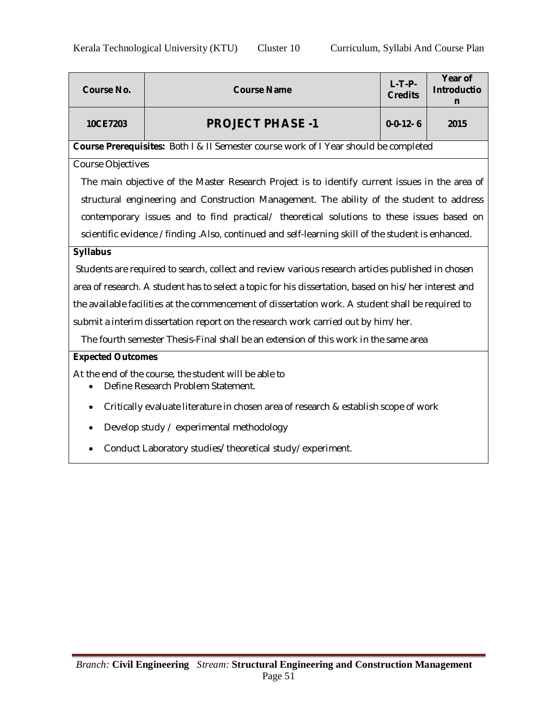| <b>Course No.</b>                                        | <b>Course Name</b>                                                                                    | $L-T-P-$<br><b>Credits</b> | Year of<br><b>Introductio</b><br>n |  |  |  |  |
|----------------------------------------------------------|-------------------------------------------------------------------------------------------------------|----------------------------|------------------------------------|--|--|--|--|
| 10CE7203                                                 | <b>PROJECT PHASE -1</b>                                                                               | $0 - 0 - 12 - 6$           | 2015                               |  |  |  |  |
|                                                          | Course Prerequisites: Both I & II Semester course work of I Year should be completed                  |                            |                                    |  |  |  |  |
| <b>Course Objectives</b>                                 |                                                                                                       |                            |                                    |  |  |  |  |
|                                                          | The main objective of the Master Research Project is to identify current issues in the area of        |                            |                                    |  |  |  |  |
|                                                          | structural engineering and Construction Management. The ability of the student to address             |                            |                                    |  |  |  |  |
|                                                          | contemporary issues and to find practical/ theoretical solutions to these issues based on             |                            |                                    |  |  |  |  |
|                                                          | scientific evidence /finding .Also, continued and self-learning skill of the student is enhanced.     |                            |                                    |  |  |  |  |
| <b>Syllabus</b>                                          |                                                                                                       |                            |                                    |  |  |  |  |
|                                                          | Students are required to search, collect and review various research articles published in chosen     |                            |                                    |  |  |  |  |
|                                                          | area of research. A student has to select a topic for his dissertation, based on his/her interest and |                            |                                    |  |  |  |  |
|                                                          | the available facilities at the commencement of dissertation work. A student shall be required to     |                            |                                    |  |  |  |  |
|                                                          | submit a interim dissertation report on the research work carried out by him/her.                     |                            |                                    |  |  |  |  |
|                                                          | The fourth semester Thesis-Final shall be an extension of this work in the same area                  |                            |                                    |  |  |  |  |
| <b>Expected Outcomes</b>                                 |                                                                                                       |                            |                                    |  |  |  |  |
|                                                          | At the end of the course, the student will be able to                                                 |                            |                                    |  |  |  |  |
| $\bullet$                                                | Define Research Problem Statement.                                                                    |                            |                                    |  |  |  |  |
| $\bullet$                                                | Critically evaluate literature in chosen area of research & establish scope of work                   |                            |                                    |  |  |  |  |
| $\bullet$                                                | Develop study / experimental methodology                                                              |                            |                                    |  |  |  |  |
| Conduct Laboratory studies/theoretical study/experiment. |                                                                                                       |                            |                                    |  |  |  |  |
|                                                          |                                                                                                       |                            |                                    |  |  |  |  |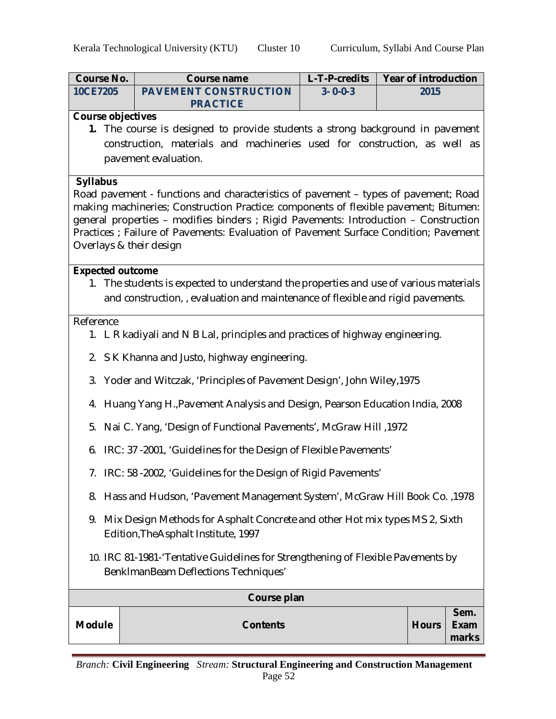| <b>Course No.</b>                                                                                                        | <b>Course name</b>                                                                                                                                                          | L-T-P-credits   |  | <b>Year of introduction</b> |                       |  |
|--------------------------------------------------------------------------------------------------------------------------|-----------------------------------------------------------------------------------------------------------------------------------------------------------------------------|-----------------|--|-----------------------------|-----------------------|--|
| 10CE7205                                                                                                                 | <b>PAVEMENT CONSTRUCTION</b>                                                                                                                                                | $3 - 0 - 0 - 3$ |  | 2015                        |                       |  |
| <b>Course objectives</b>                                                                                                 | <b>PRACTICE</b>                                                                                                                                                             |                 |  |                             |                       |  |
|                                                                                                                          | 1. The course is designed to provide students a strong background in pavement                                                                                               |                 |  |                             |                       |  |
|                                                                                                                          | construction, materials and machineries used for construction, as well as                                                                                                   |                 |  |                             |                       |  |
|                                                                                                                          | pavement evaluation.                                                                                                                                                        |                 |  |                             |                       |  |
| <b>Syllabus</b>                                                                                                          |                                                                                                                                                                             |                 |  |                             |                       |  |
|                                                                                                                          | Road pavement - functions and characteristics of pavement - types of pavement; Road<br>making machineries; Construction Practice: components of flexible pavement; Bitumen: |                 |  |                             |                       |  |
|                                                                                                                          | general properties - modifies binders ; Rigid Pavements: Introduction - Construction                                                                                        |                 |  |                             |                       |  |
|                                                                                                                          | Practices ; Failure of Pavements: Evaluation of Pavement Surface Condition; Pavement                                                                                        |                 |  |                             |                       |  |
| Overlays & their design                                                                                                  |                                                                                                                                                                             |                 |  |                             |                       |  |
| <b>Expected outcome</b>                                                                                                  |                                                                                                                                                                             |                 |  |                             |                       |  |
|                                                                                                                          | 1. The students is expected to understand the properties and use of various materials                                                                                       |                 |  |                             |                       |  |
|                                                                                                                          | and construction, evaluation and maintenance of flexible and rigid pavements.                                                                                               |                 |  |                             |                       |  |
| Reference                                                                                                                |                                                                                                                                                                             |                 |  |                             |                       |  |
|                                                                                                                          | 1. L R kadiyali and N B Lal, principles and practices of highway engineering.                                                                                               |                 |  |                             |                       |  |
|                                                                                                                          | 2. S K Khanna and Justo, highway engineering.                                                                                                                               |                 |  |                             |                       |  |
|                                                                                                                          | 3. Yoder and Witczak, 'Principles of Pavement Design', John Wiley, 1975                                                                                                     |                 |  |                             |                       |  |
|                                                                                                                          | 4. Huang Yang H., Pavement Analysis and Design, Pearson Education India, 2008                                                                                               |                 |  |                             |                       |  |
|                                                                                                                          | 5. Nai C. Yang, 'Design of Functional Pavements', McGraw Hill, 1972                                                                                                         |                 |  |                             |                       |  |
|                                                                                                                          | 6. IRC: 37 -2001, 'Guidelines for the Design of Flexible Pavements'                                                                                                         |                 |  |                             |                       |  |
|                                                                                                                          | 7. IRC: 58 -2002, 'Guidelines for the Design of Rigid Pavements'                                                                                                            |                 |  |                             |                       |  |
| 8.                                                                                                                       | Hass and Hudson, 'Pavement Management System', McGraw Hill Book Co., 1978                                                                                                   |                 |  |                             |                       |  |
| 9.                                                                                                                       | Mix Design Methods for Asphalt Concrete and other Hot mix types MS 2, Sixth<br>Edition, The Asphalt Institute, 1997                                                         |                 |  |                             |                       |  |
| 10. IRC 81-1981-'Tentative Guidelines for Strengthening of Flexible Pavements by<br>BenkImanBeam Deflections Techniques' |                                                                                                                                                                             |                 |  |                             |                       |  |
|                                                                                                                          | Course plan                                                                                                                                                                 |                 |  |                             |                       |  |
| <b>Module</b>                                                                                                            | <b>Contents</b>                                                                                                                                                             |                 |  | <b>Hours</b>                | Sem.<br>Exam<br>marks |  |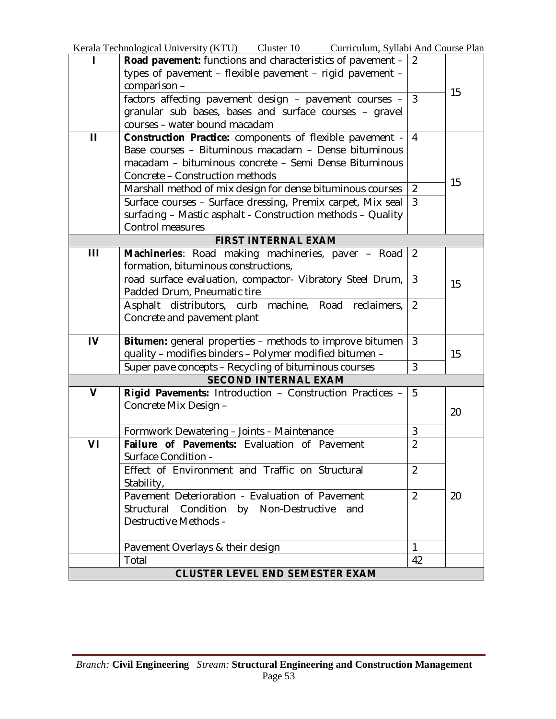Kerala Technological University (KTU) Cluster 10 Curriculum, Syllabi And Course Plan

| п                                      | <b>Road pavement:</b> functions and characteristics of pavement - | 2              |    |  |
|----------------------------------------|-------------------------------------------------------------------|----------------|----|--|
|                                        | types of pavement - flexible pavement - rigid pavement -          |                |    |  |
|                                        | comparison-                                                       |                | 15 |  |
|                                        | factors affecting pavement design - pavement courses -            | $\mathbf{3}$   |    |  |
|                                        | granular sub bases, bases and surface courses - gravel            |                |    |  |
|                                        | courses - water bound macadam                                     |                |    |  |
| $\mathbf{H}$                           | Construction Practice: components of flexible pavement -          | $\overline{4}$ |    |  |
|                                        | Base courses - Bituminous macadam - Dense bituminous              |                |    |  |
|                                        | macadam - bituminous concrete - Semi Dense Bituminous             |                |    |  |
|                                        | Concrete - Construction methods                                   |                | 15 |  |
|                                        | Marshall method of mix design for dense bituminous courses        | $\overline{2}$ |    |  |
|                                        | Surface courses - Surface dressing, Premix carpet, Mix seal       | $\overline{3}$ |    |  |
|                                        | surfacing - Mastic asphalt - Construction methods - Quality       |                |    |  |
|                                        | Control measures                                                  |                |    |  |
|                                        | <b>FIRST INTERNAL EXAM</b>                                        |                |    |  |
| Ш                                      | Machineries: Road making machineries, paver - Road                | 2              |    |  |
|                                        | formation, bituminous constructions,                              |                |    |  |
|                                        | road surface evaluation, compactor- Vibratory Steel Drum,         | $\mathfrak{Z}$ | 15 |  |
|                                        | Padded Drum, Pneumatic tire                                       |                |    |  |
|                                        | Asphalt distributors, curb machine, Road reclaimers,              | 2              |    |  |
|                                        | Concrete and pavement plant                                       |                |    |  |
| IV                                     | Bitumen: general properties - methods to improve bitumen          | 3              |    |  |
|                                        | quality - modifies binders - Polymer modified bitumen -           |                | 15 |  |
|                                        | Super pave concepts - Recycling of bituminous courses             | 3              |    |  |
|                                        | <b>SECOND INTERNAL EXAM</b>                                       |                |    |  |
| $\mathbf v$                            | Rigid Pavements: Introduction - Construction Practices -          | 5              |    |  |
|                                        | Concrete Mix Design -                                             |                |    |  |
|                                        |                                                                   |                | 20 |  |
|                                        | Formwork Dewatering - Joints - Maintenance                        | 3              |    |  |
| VI                                     | Failure of Pavements: Evaluation of Pavement                      | $\overline{2}$ |    |  |
|                                        | Surface Condition -                                               |                |    |  |
|                                        | Effect of Environment and Traffic on Structural                   | $\overline{2}$ |    |  |
|                                        | Stability,                                                        |                |    |  |
|                                        | Pavement Deterioration - Evaluation of Pavement                   | $\overline{2}$ | 20 |  |
|                                        | Structural Condition by Non-Destructive<br>and                    |                |    |  |
|                                        | Destructive Methods -                                             |                |    |  |
|                                        |                                                                   |                |    |  |
|                                        | Pavement Overlays & their design                                  | $\mathbf{1}$   |    |  |
|                                        | Total                                                             | 42             |    |  |
| <b>CLUSTER LEVEL END SEMESTER EXAM</b> |                                                                   |                |    |  |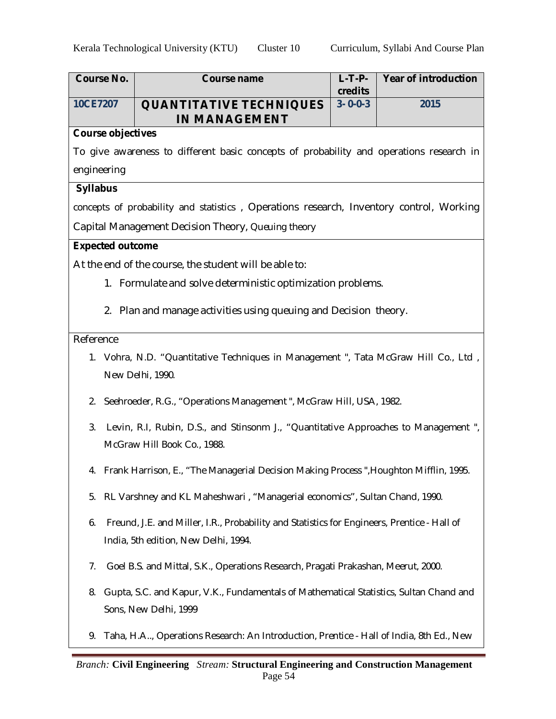| <b>Course No.</b>                                                                                      |  | <b>Course name</b>                                                                          | $L-T-P-$<br>credits | <b>Year of introduction</b> |
|--------------------------------------------------------------------------------------------------------|--|---------------------------------------------------------------------------------------------|---------------------|-----------------------------|
| 10CE7207                                                                                               |  | <b>QUANTITATIVE TECHNIQUES</b><br><b>IN MANAGEMENT</b>                                      | $3 - 0 - 0 - 3$     | 2015                        |
| <b>Course objectives</b>                                                                               |  |                                                                                             |                     |                             |
|                                                                                                        |  | To give awareness to different basic concepts of probability and operations research in     |                     |                             |
| engineering                                                                                            |  |                                                                                             |                     |                             |
| <b>Syllabus</b>                                                                                        |  |                                                                                             |                     |                             |
|                                                                                                        |  | concepts of probability and statistics, Operations research, Inventory control, Working     |                     |                             |
|                                                                                                        |  | Capital Management Decision Theory, Queuing theory                                          |                     |                             |
| <b>Expected outcome</b>                                                                                |  |                                                                                             |                     |                             |
|                                                                                                        |  | At the end of the course, the student will be able to:                                      |                     |                             |
|                                                                                                        |  | 1. Formulate and solve deterministic optimization problems.                                 |                     |                             |
|                                                                                                        |  | 2. Plan and manage activities using queuing and Decision theory.                            |                     |                             |
| Reference                                                                                              |  |                                                                                             |                     |                             |
|                                                                                                        |  | 1. Vohra, N.D. "Quantitative Techniques in Management", Tata McGraw Hill Co., Ltd,          |                     |                             |
|                                                                                                        |  | New Delhi, 1990.                                                                            |                     |                             |
|                                                                                                        |  | 2. Seehroeder, R.G., "Operations Management", McGraw Hill, USA, 1982.                       |                     |                             |
| 3 <sub>1</sub>                                                                                         |  | Levin, R.I, Rubin, D.S., and Stinsonm J., "Quantitative Approaches to Management",          |                     |                             |
|                                                                                                        |  | McGraw Hill Book Co., 1988.                                                                 |                     |                             |
|                                                                                                        |  | 4. Frank Harrison, E., "The Managerial Decision Making Process ", Houghton Mifflin, 1995.   |                     |                             |
| 5.                                                                                                     |  | RL Varshney and KL Maheshwari, "Managerial economics", Sultan Chand, 1990.                  |                     |                             |
| 6.                                                                                                     |  | Freund, J.E. and Miller, I.R., Probability and Statistics for Engineers, Prentice - Hall of |                     |                             |
|                                                                                                        |  | India, 5th edition, New Delhi, 1994.                                                        |                     |                             |
| 7.                                                                                                     |  | Goel B.S. and Mittal, S.K., Operations Research, Pragati Prakashan, Meerut, 2000.           |                     |                             |
| 8.                                                                                                     |  | Gupta, S.C. and Kapur, V.K., Fundamentals of Mathematical Statistics, Sultan Chand and      |                     |                             |
|                                                                                                        |  | Sons, New Delhi, 1999                                                                       |                     |                             |
| 9.                                                                                                     |  | Taha, H.A, Operations Research: An Introduction, Prentice - Hall of India, 8th Ed., New     |                     |                             |
| <b>Branch: Civil Engineering</b> Stream: Structural Engineering and Construction Management<br>Page 54 |  |                                                                                             |                     |                             |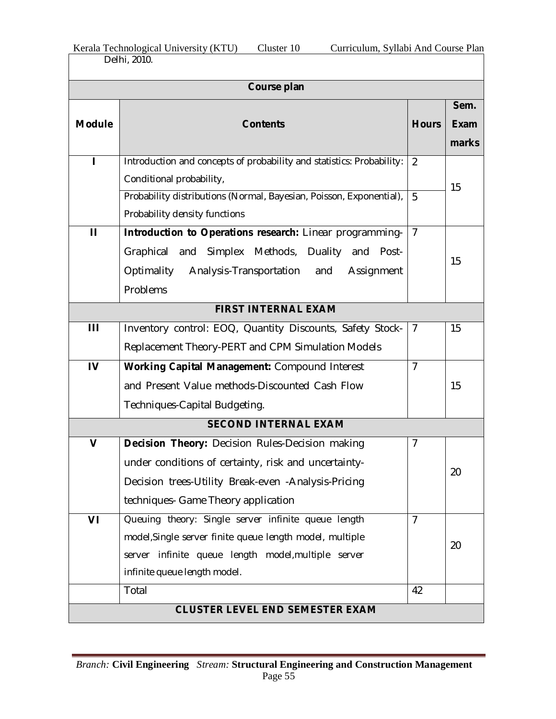| Kerala Technological University (KTU) | Cluster 10 | Curriculum, Syllabi And Course Plan |
|---------------------------------------|------------|-------------------------------------|
| Delhi, 2010.                          |            |                                     |

|               | Course plan                                                                                                                                                                                                   |                     |                       |  |  |  |
|---------------|---------------------------------------------------------------------------------------------------------------------------------------------------------------------------------------------------------------|---------------------|-----------------------|--|--|--|
| <b>Module</b> | <b>Contents</b>                                                                                                                                                                                               | <b>Hours</b>        | Sem.<br>Exam<br>marks |  |  |  |
|               | Introduction and concepts of probability and statistics: Probability:<br>Conditional probability,<br>Probability distributions (Normal, Bayesian, Poisson, Exponential),<br>Probability density functions     | $\overline{2}$<br>5 | 15                    |  |  |  |
| $\mathbf{H}$  | Introduction to Operations research: Linear programming-<br>Graphical and Simplex Methods, Duality and<br>Post-<br>Optimality Analysis-Transportation and<br>Assignment<br>Problems                           | $\overline{7}$      | 15                    |  |  |  |
|               | <b>FIRST INTERNAL EXAM</b>                                                                                                                                                                                    |                     |                       |  |  |  |
| Ш             | Inventory control: EOQ, Quantity Discounts, Safety Stock-<br>Replacement Theory-PERT and CPM Simulation Models                                                                                                | $\overline{1}$      | 15                    |  |  |  |
| $\mathbf{I}$  | Working Capital Management: Compound Interest<br>and Present Value methods-Discounted Cash Flow<br>Techniques-Capital Budgeting.                                                                              | $\overline{7}$      | 15                    |  |  |  |
|               | <b>SECOND INTERNAL EXAM</b>                                                                                                                                                                                   |                     |                       |  |  |  |
| $\mathbf v$   | <b>Decision Theory:</b> Decision Rules-Decision making<br>under conditions of certainty, risk and uncertainty-<br>Decision trees-Utility Break-even - Analysis-Pricing<br>techniques- Game Theory application | 7                   | 20                    |  |  |  |
| VI            | Queuing theory: Single server infinite queue length<br>model, Single server finite queue length model, multiple<br>server infinite queue length model, multiple server<br>infinite queue length model.        | $\overline{7}$      | 20                    |  |  |  |
|               | Total                                                                                                                                                                                                         | 42                  |                       |  |  |  |
|               | <b>CLUSTER LEVEL END SEMESTER EXAM</b>                                                                                                                                                                        |                     |                       |  |  |  |

÷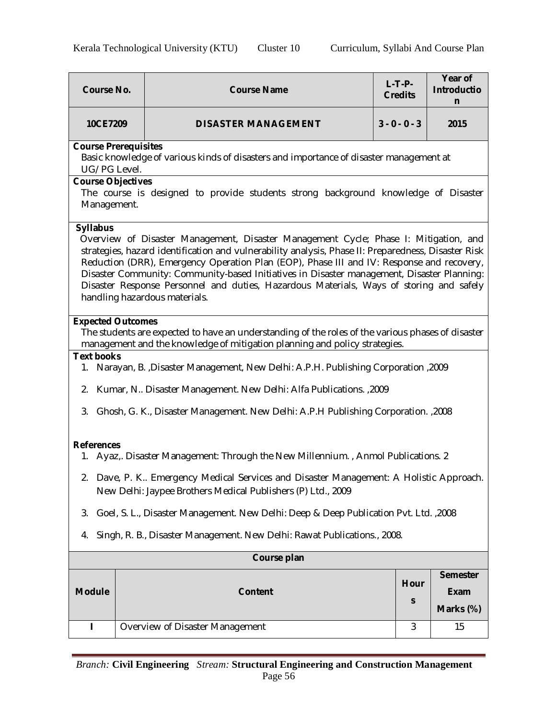| <b>Course No.</b>                                                                                                                                                                                                                                               | $L-T-P-$<br><b>Course Name</b><br><b>Credits</b>                                                                                                                                                                                                                                                                                                                                                                                                                                                                   |                 | Year of<br><b>Introductio</b><br>n          |  |  |  |
|-----------------------------------------------------------------------------------------------------------------------------------------------------------------------------------------------------------------------------------------------------------------|--------------------------------------------------------------------------------------------------------------------------------------------------------------------------------------------------------------------------------------------------------------------------------------------------------------------------------------------------------------------------------------------------------------------------------------------------------------------------------------------------------------------|-----------------|---------------------------------------------|--|--|--|
| 10CE7209                                                                                                                                                                                                                                                        | <b>DISASTER MANAGEMENT</b>                                                                                                                                                                                                                                                                                                                                                                                                                                                                                         | $3 - 0 - 0 - 3$ | 2015                                        |  |  |  |
| <b>Course Prerequisites</b><br>UG/PG Level.                                                                                                                                                                                                                     | Basic knowledge of various kinds of disasters and importance of disaster management at                                                                                                                                                                                                                                                                                                                                                                                                                             |                 |                                             |  |  |  |
| <b>Course Objectives</b><br>Management.                                                                                                                                                                                                                         | The course is designed to provide students strong background knowledge of Disaster                                                                                                                                                                                                                                                                                                                                                                                                                                 |                 |                                             |  |  |  |
| <b>Syllabus</b>                                                                                                                                                                                                                                                 | Overview of Disaster Management, Disaster Management Cycle; Phase I: Mitigation, and<br>strategies, hazard identification and vulnerability analysis, Phase II: Preparedness, Disaster Risk<br>Reduction (DRR), Emergency Operation Plan (EOP), Phase III and IV: Response and recovery,<br>Disaster Community: Community-based Initiatives in Disaster management, Disaster Planning:<br>Disaster Response Personnel and duties, Hazardous Materials, Ways of storing and safely<br>handling hazardous materials. |                 |                                             |  |  |  |
| <b>Expected Outcomes</b>                                                                                                                                                                                                                                        | The students are expected to have an understanding of the roles of the various phases of disaster<br>management and the knowledge of mitigation planning and policy strategies.                                                                                                                                                                                                                                                                                                                                    |                 |                                             |  |  |  |
| <b>Text books</b>                                                                                                                                                                                                                                               | 1. Narayan, B. ,Disaster Management, New Delhi: A.P.H. Publishing Corporation ,2009                                                                                                                                                                                                                                                                                                                                                                                                                                |                 |                                             |  |  |  |
|                                                                                                                                                                                                                                                                 | 2. Kumar, N Disaster Management. New Delhi: Alfa Publications. , 2009                                                                                                                                                                                                                                                                                                                                                                                                                                              |                 |                                             |  |  |  |
|                                                                                                                                                                                                                                                                 | 3. Ghosh, G. K., Disaster Management. New Delhi: A.P.H Publishing Corporation. ,2008                                                                                                                                                                                                                                                                                                                                                                                                                               |                 |                                             |  |  |  |
| <b>References</b><br>1. Ayaz, Disaster Management: Through the New Millennium., Anmol Publications. 2<br>2. Dave, P. K Emergency Medical Services and Disaster Management: A Holistic Approach.<br>New Delhi: Jaypee Brothers Medical Publishers (P) Ltd., 2009 |                                                                                                                                                                                                                                                                                                                                                                                                                                                                                                                    |                 |                                             |  |  |  |
| 3.                                                                                                                                                                                                                                                              | Goel, S. L., Disaster Management. New Delhi: Deep & Deep Publication Pvt. Ltd. ,2008                                                                                                                                                                                                                                                                                                                                                                                                                               |                 |                                             |  |  |  |
| 4.                                                                                                                                                                                                                                                              | Singh, R. B., Disaster Management. New Delhi: Rawat Publications., 2008.                                                                                                                                                                                                                                                                                                                                                                                                                                           |                 |                                             |  |  |  |
| Course plan                                                                                                                                                                                                                                                     |                                                                                                                                                                                                                                                                                                                                                                                                                                                                                                                    |                 |                                             |  |  |  |
| <b>Module</b>                                                                                                                                                                                                                                                   | <b>Content</b>                                                                                                                                                                                                                                                                                                                                                                                                                                                                                                     | Hour<br>S       | <b>Semester</b><br><b>Exam</b><br>Marks (%) |  |  |  |
| ı                                                                                                                                                                                                                                                               | Overview of Disaster Management                                                                                                                                                                                                                                                                                                                                                                                                                                                                                    | 3               | 15                                          |  |  |  |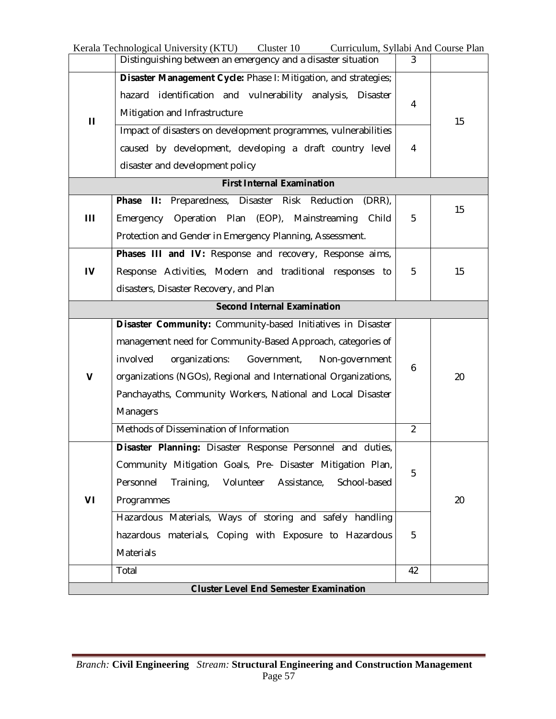|                                               | Kerala Technological University (KTU)<br>Cluster 10<br>Curriculum, Syllabi And Course Plan                                                                     |                |    |  |
|-----------------------------------------------|----------------------------------------------------------------------------------------------------------------------------------------------------------------|----------------|----|--|
|                                               | Distinguishing between an emergency and a disaster situation                                                                                                   | 3              |    |  |
| $\mathbf{H}$                                  | Disaster Management Cycle: Phase I: Mitigation, and strategies;<br>hazard identification and vulnerability analysis, Disaster<br>Mitigation and Infrastructure | 4              |    |  |
|                                               | Impact of disasters on development programmes, vulnerabilities<br>caused by development, developing a draft country level<br>disaster and development policy   | 4              | 15 |  |
|                                               | <b>First Internal Examination</b>                                                                                                                              |                |    |  |
|                                               | Phase<br>H:<br>Preparedness,<br>Disaster Risk Reduction<br>(DRR)                                                                                               |                |    |  |
| Ш                                             | Operation Plan<br>(EOP), Mainstreaming<br>Emergency<br>Child                                                                                                   | 5              | 15 |  |
|                                               | Protection and Gender in Emergency Planning, Assessment.                                                                                                       |                |    |  |
|                                               | Phases III and IV: Response and recovery, Response aims,                                                                                                       |                |    |  |
| IV                                            | Response Activities, Modern and traditional responses to                                                                                                       | 5              | 15 |  |
|                                               | disasters, Disaster Recovery, and Plan                                                                                                                         |                |    |  |
|                                               | <b>Second Internal Examination</b>                                                                                                                             |                |    |  |
|                                               | Disaster Community: Community-based Initiatives in Disaster                                                                                                    |                |    |  |
|                                               | management need for Community-Based Approach, categories of                                                                                                    | 6              |    |  |
|                                               | involved<br>organizations:<br>Government,<br>Non-government                                                                                                    |                |    |  |
| $\mathbf v$                                   | organizations (NGOs), Regional and International Organizations,                                                                                                |                | 20 |  |
|                                               | Panchayaths, Community Workers, National and Local Disaster                                                                                                    |                |    |  |
|                                               | <b>Managers</b>                                                                                                                                                |                |    |  |
|                                               | Methods of Dissemination of Information                                                                                                                        | $\overline{2}$ |    |  |
|                                               | Disaster Planning: Disaster Response Personnel and duties,                                                                                                     |                |    |  |
|                                               | Community Mitigation Goals, Pre- Disaster Mitigation Plan,                                                                                                     | 5              |    |  |
|                                               | Personnel<br>Training, Volunteer Assistance,<br>School-based                                                                                                   |                |    |  |
| VI                                            | Programmes                                                                                                                                                     |                | 20 |  |
|                                               | Hazardous Materials, Ways of storing and safely handling                                                                                                       |                |    |  |
|                                               | hazardous materials, Coping with Exposure to Hazardous                                                                                                         | 5              |    |  |
|                                               | Materials                                                                                                                                                      |                |    |  |
|                                               | Total                                                                                                                                                          | 42             |    |  |
| <b>Cluster Level End Semester Examination</b> |                                                                                                                                                                |                |    |  |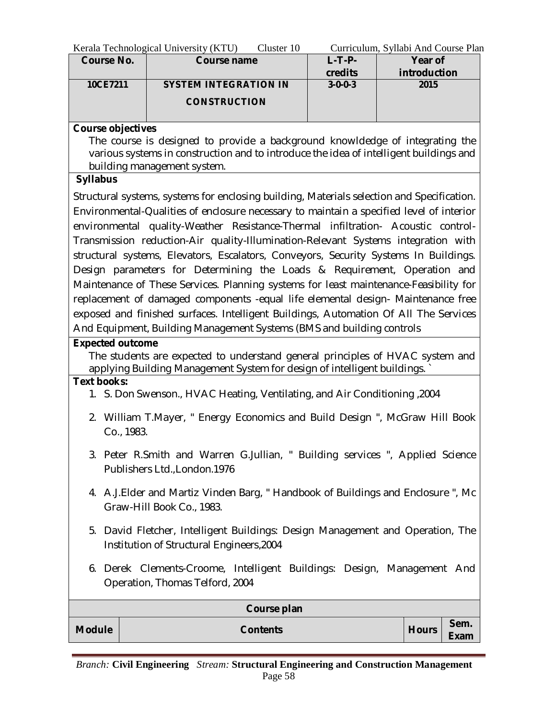| Kerala Technological University (KTU) | Cluster 10 | Curriculum, Syllabi And Course Plan |  |
|---------------------------------------|------------|-------------------------------------|--|
|                                       |            |                                     |  |

| <b>Course No.</b> | <b>Course name</b>           | $L$ -T-P-       | Year of      |
|-------------------|------------------------------|-----------------|--------------|
|                   |                              | credits         | introduction |
| 10CE7211          | <b>SYSTEM INTEGRATION IN</b> | $3 - 0 - 0 - 3$ | 2015         |
|                   | <b>CONSTRUCTION</b>          |                 |              |
|                   |                              |                 |              |

## **Course objectives**

The course is designed to provide a background knowldedge of integrating the various systems in construction and to introduce the idea of intelligent buildings and building management system.

## **Syllabus**

Structural systems, systems for enclosing building, Materials selection and Specification. Environmental-Qualities of enclosure necessary to maintain a specified level of interior environmental quality-Weather Resistance-Thermal infiltration- Acoustic control-Transmission reduction-Air quality-Illumination-Relevant Systems integration with structural systems, Elevators, Escalators, Conveyors, Security Systems In Buildings. Design parameters for Determining the Loads & Requirement, Operation and Maintenance of These Services. Planning systems for least maintenance-Feasibility for replacement of damaged components -equal life elemental design- Maintenance free exposed and finished surfaces. Intelligent Buildings, Automation Of All The Services And Equipment, Building Management Systems (BMS and building controls

## **Expected outcome**

The students are expected to understand general principles of HVAC system and applying Building Management System for design of intelligent buildings. `

#### **Text books:**

- 1. S. Don Swenson., HVAC Heating, Ventilating, and Air Conditioning ,2004
- 2. William T.Mayer, " Energy Economics and Build Design ", McGraw Hill Book Co., 1983.
- 3. Peter R.Smith and Warren G.Jullian, " Building services ", Applied Science Publishers Ltd.,London.1976
- 4. A.J.Elder and Martiz Vinden Barg, " Handbook of Buildings and Enclosure ", Mc Graw-Hill Book Co., 1983.
- 5. David Fletcher, Intelligent Buildings: Design Management and Operation, The Institution of Structural Engineers,2004
- 6. Derek Clements-Croome, Intelligent Buildings: Design, Management And Operation, Thomas Telford, 2004

|               | Course plan     |              |                     |
|---------------|-----------------|--------------|---------------------|
| <b>Module</b> | <b>Contents</b> | <b>Hours</b> | Sem.<br><b>Exam</b> |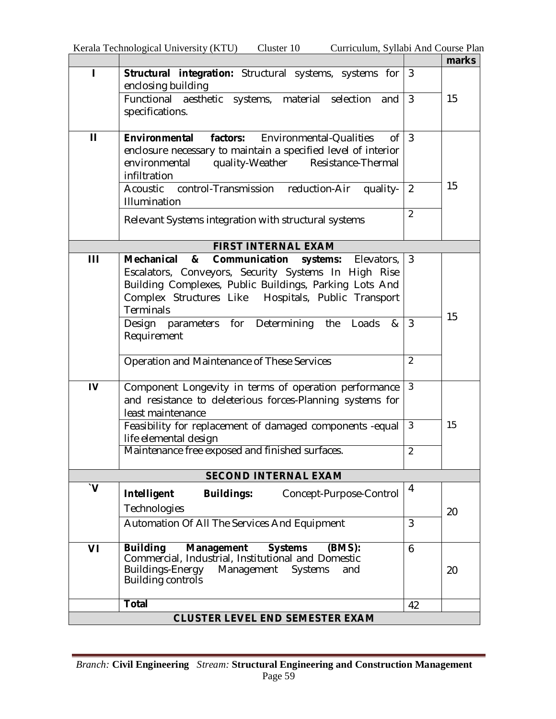÷

|                       |                                                                                                                      |                | marks |
|-----------------------|----------------------------------------------------------------------------------------------------------------------|----------------|-------|
| ı                     | Structural integration: Structural systems, systems for                                                              | 3              |       |
|                       | enclosing building<br>Functional aesthetic systems, material selection<br>and                                        | $\overline{3}$ | 15    |
|                       | specifications.                                                                                                      |                |       |
|                       |                                                                                                                      |                |       |
| $\mathbf{H}$          | <b>Environmental</b><br>factors: Environmental-Qualities<br>0f                                                       | $\overline{3}$ |       |
|                       | enclosure necessary to maintain a specified level of interior<br>environmental<br>quality-Weather Resistance-Thermal |                |       |
|                       | infiltration                                                                                                         |                |       |
|                       | Acoustic control-Transmission reduction-Air<br>quality-                                                              | $\overline{2}$ | 15    |
|                       | Illumination                                                                                                         |                |       |
|                       | Relevant Systems integration with structural systems                                                                 | $\overline{2}$ |       |
|                       |                                                                                                                      |                |       |
|                       | <b>FIRST INTERNAL EXAM</b>                                                                                           |                |       |
| Ш                     | Mechanical<br>Communication<br>&<br>Elevators,<br>systems:<br>Escalators, Conveyors, Security Systems In High Rise   | 3              |       |
|                       | Building Complexes, Public Buildings, Parking Lots And                                                               |                |       |
|                       | Complex Structures Like Hospitals, Public Transport                                                                  |                |       |
|                       | Terminals                                                                                                            |                | 15    |
|                       | Determining<br>parameters for<br>the<br>Loads<br>&<br>Design                                                         | $\mathbf{3}$   |       |
|                       | Requirement                                                                                                          |                |       |
|                       | Operation and Maintenance of These Services                                                                          | $\overline{2}$ |       |
|                       |                                                                                                                      |                |       |
| IV                    | Component Longevity in terms of operation performance                                                                | $\mathfrak{Z}$ |       |
|                       | and resistance to deleterious forces-Planning systems for                                                            |                |       |
|                       | least maintenance                                                                                                    |                |       |
|                       | Feasibility for replacement of damaged components -equal<br>life elemental design                                    | $\mathbf{3}$   | 15    |
|                       | Maintenance free exposed and finished surfaces.                                                                      | $\overline{2}$ |       |
|                       |                                                                                                                      |                |       |
|                       | <b>SECOND INTERNAL EXAM</b>                                                                                          |                |       |
| $\mathbf{V}^{\prime}$ | Intelligent<br><b>Buildings:</b><br>Concept-Purpose-Control                                                          | 4              |       |
|                       | Technologies                                                                                                         |                | 20    |
|                       | Automation Of All The Services And Equipment                                                                         | 3              |       |
|                       |                                                                                                                      |                |       |
| VI                    | <b>Building</b><br>Management<br><b>Systems</b><br>(BMS):<br>Commercial, Industrial, Institutional and Domestic      | 6              |       |
|                       | Buildings-Energy<br>Management Systems<br>and                                                                        |                | 20    |
|                       | <b>Building controls</b>                                                                                             |                |       |
|                       | <b>Total</b>                                                                                                         |                |       |
|                       | <b>CLUSTER LEVEL END SEMESTER EXAM</b>                                                                               | 42             |       |
|                       |                                                                                                                      |                |       |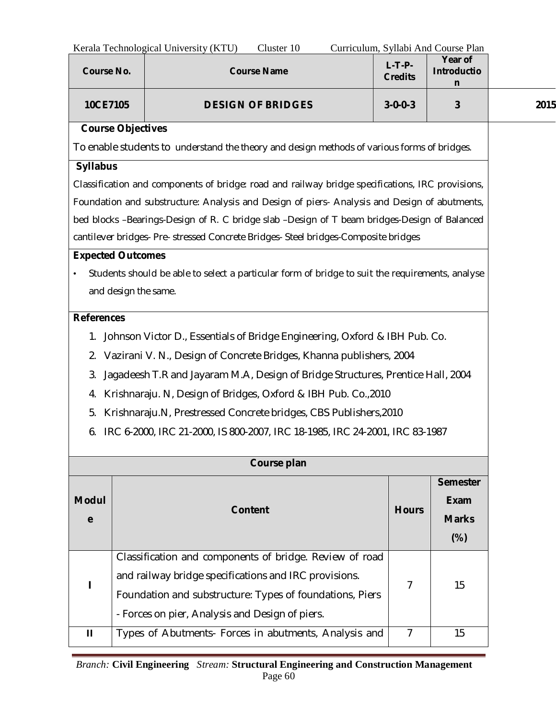| Kerala Technological University (KTU)<br>Curriculum, Syllabi And Course Plan<br>Cluster 10 |                          |                                                                                                  |                          |  |                            |                                    |      |
|--------------------------------------------------------------------------------------------|--------------------------|--------------------------------------------------------------------------------------------------|--------------------------|--|----------------------------|------------------------------------|------|
| <b>Course No.</b>                                                                          |                          |                                                                                                  | <b>Course Name</b>       |  | $L-T-P-$<br><b>Credits</b> | Year of<br><b>Introductio</b><br>n |      |
| 10CE7105                                                                                   |                          |                                                                                                  | <b>DESIGN OF BRIDGES</b> |  | $3 - 0 - 0 - 3$            | 3                                  | 2015 |
|                                                                                            | <b>Course Objectives</b> |                                                                                                  |                          |  |                            |                                    |      |
|                                                                                            |                          | To enable students to understand the theory and design methods of various forms of bridges.      |                          |  |                            |                                    |      |
| <b>Syllabus</b>                                                                            |                          |                                                                                                  |                          |  |                            |                                    |      |
|                                                                                            |                          | Classification and components of bridge: road and railway bridge specifications, IRC provisions, |                          |  |                            |                                    |      |
|                                                                                            |                          | Foundation and substructure: Analysis and Design of piers- Analysis and Design of abutments,     |                          |  |                            |                                    |      |
|                                                                                            |                          | bed blocks -Bearings-Design of R. C bridge slab -Design of T beam bridges-Design of Balanced     |                          |  |                            |                                    |      |
|                                                                                            |                          | cantilever bridges- Pre- stressed Concrete Bridges- Steel bridges-Composite bridges              |                          |  |                            |                                    |      |
|                                                                                            | <b>Expected Outcomes</b> |                                                                                                  |                          |  |                            |                                    |      |
|                                                                                            |                          | Students should be able to select a particular form of bridge to suit the requirements, analyse  |                          |  |                            |                                    |      |
|                                                                                            | and design the same.     |                                                                                                  |                          |  |                            |                                    |      |
| <b>References</b>                                                                          |                          |                                                                                                  |                          |  |                            |                                    |      |
|                                                                                            |                          | 1. Johnson Victor D., Essentials of Bridge Engineering, Oxford & IBH Pub. Co.                    |                          |  |                            |                                    |      |
| 2.                                                                                         |                          | Vazirani V. N., Design of Concrete Bridges, Khanna publishers, 2004                              |                          |  |                            |                                    |      |
| 3.                                                                                         |                          | Jagadeesh T.R and Jayaram M.A, Design of Bridge Structures, Prentice Hall, 2004                  |                          |  |                            |                                    |      |
| 4.                                                                                         |                          | Krishnaraju. N, Design of Bridges, Oxford & IBH Pub. Co., 2010                                   |                          |  |                            |                                    |      |
| 5.                                                                                         |                          | Krishnaraju.N, Prestressed Concrete bridges, CBS Publishers, 2010                                |                          |  |                            |                                    |      |
| 6.                                                                                         |                          | IRC 6-2000, IRC 21-2000, IS 800-2007, IRC 18-1985, IRC 24-2001, IRC 83-1987                      |                          |  |                            |                                    |      |
|                                                                                            |                          |                                                                                                  |                          |  |                            |                                    |      |
|                                                                                            |                          |                                                                                                  | Course plan              |  |                            |                                    |      |
|                                                                                            |                          |                                                                                                  |                          |  |                            | <b>Semester</b>                    |      |
| <b>Modul</b>                                                                               |                          |                                                                                                  | <b>Content</b>           |  | <b>Hours</b>               | <b>Exam</b>                        |      |
| $\mathbf e$                                                                                |                          |                                                                                                  |                          |  |                            | <b>Marks</b>                       |      |
|                                                                                            |                          |                                                                                                  |                          |  |                            | (%)                                |      |
|                                                                                            |                          | Classification and components of bridge. Review of road                                          |                          |  |                            |                                    |      |
|                                                                                            |                          | and railway bridge specifications and IRC provisions.                                            |                          |  | 7                          | 15                                 |      |
|                                                                                            |                          | Foundation and substructure: Types of foundations, Piers                                         |                          |  |                            |                                    |      |
|                                                                                            |                          | - Forces on pier, Analysis and Design of piers.                                                  |                          |  |                            |                                    |      |
| $\mathbf{H}$                                                                               |                          | Types of Abutments- Forces in abutments, Analysis and                                            |                          |  | $\overline{7}$             | 15                                 |      |

L,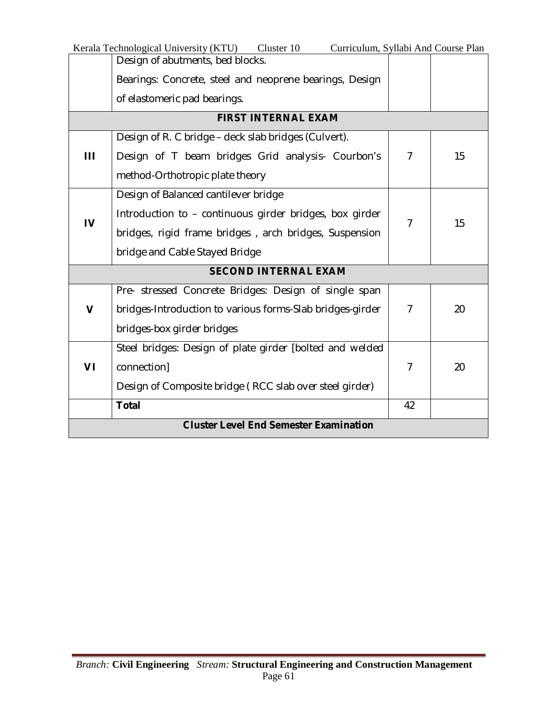|                                               | Kerala Technological University (KTU)<br>Cluster 10<br>Curriculum, Syllabi And Course Plan |                |    |
|-----------------------------------------------|--------------------------------------------------------------------------------------------|----------------|----|
|                                               | Design of abutments, bed blocks.                                                           |                |    |
|                                               | Bearings: Concrete, steel and neoprene bearings, Design                                    |                |    |
|                                               | of elastomeric pad bearings.                                                               |                |    |
|                                               | <b>FIRST INTERNAL EXAM</b>                                                                 |                |    |
|                                               | Design of R. C bridge – deck slab bridges (Culvert).                                       |                |    |
| Ш                                             | Design of T beam bridges Grid analysis- Courbon's                                          | $\overline{7}$ | 15 |
|                                               | method-Orthotropic plate theory                                                            |                |    |
|                                               | Design of Balanced cantilever bridge                                                       |                |    |
|                                               | Introduction to - continuous girder bridges, box girder                                    | $\overline{7}$ | 15 |
| $\mathbf{I}$                                  | bridges, rigid frame bridges, arch bridges, Suspension                                     |                |    |
|                                               | bridge and Cable Stayed Bridge                                                             |                |    |
|                                               | <b>SECOND INTERNAL EXAM</b>                                                                |                |    |
|                                               | Pre- stressed Concrete Bridges: Design of single span                                      |                |    |
| V                                             | bridges-Introduction to various forms-Slab bridges-girder                                  | $\overline{7}$ | 20 |
|                                               | bridges-box girder bridges                                                                 |                |    |
|                                               | Steel bridges: Design of plate girder [bolted and welded                                   |                |    |
| VI                                            | connection]                                                                                | $\overline{7}$ | 20 |
|                                               | Design of Composite bridge (RCC slab over steel girder)                                    |                |    |
|                                               | <b>Total</b>                                                                               | 42             |    |
| <b>Cluster Level End Semester Examination</b> |                                                                                            |                |    |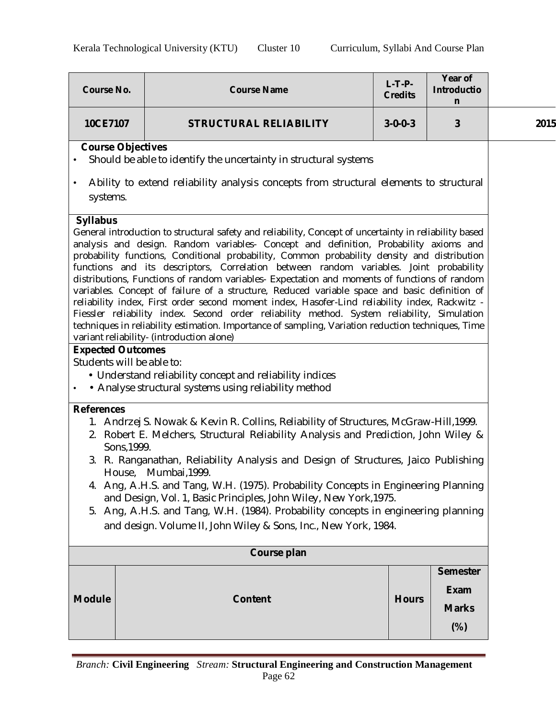| <b>Course No.</b>                                                                                                                                                                                                                                                                                                                                                                                                                                                                                                                                                                                                                                                                                                                                                                                                                                                                                                                                                                           |  | <b>Course Name</b>                                                                                                | $L-T-P-$<br><b>Credits</b> | Year of<br><b>Introductio</b><br>n                |      |
|---------------------------------------------------------------------------------------------------------------------------------------------------------------------------------------------------------------------------------------------------------------------------------------------------------------------------------------------------------------------------------------------------------------------------------------------------------------------------------------------------------------------------------------------------------------------------------------------------------------------------------------------------------------------------------------------------------------------------------------------------------------------------------------------------------------------------------------------------------------------------------------------------------------------------------------------------------------------------------------------|--|-------------------------------------------------------------------------------------------------------------------|----------------------------|---------------------------------------------------|------|
| 10CE7107                                                                                                                                                                                                                                                                                                                                                                                                                                                                                                                                                                                                                                                                                                                                                                                                                                                                                                                                                                                    |  | <b>STRUCTURAL RELIABILITY</b>                                                                                     | $3 - 0 - 0 - 3$            | 3                                                 | 2015 |
| <b>Course Objectives</b><br>Should be able to identify the uncertainty in structural systems<br>$\bullet$                                                                                                                                                                                                                                                                                                                                                                                                                                                                                                                                                                                                                                                                                                                                                                                                                                                                                   |  |                                                                                                                   |                            |                                                   |      |
| $\bullet$<br>systems.                                                                                                                                                                                                                                                                                                                                                                                                                                                                                                                                                                                                                                                                                                                                                                                                                                                                                                                                                                       |  | Ability to extend reliability analysis concepts from structural elements to structural                            |                            |                                                   |      |
| <b>Syllabus</b><br>General introduction to structural safety and reliability, Concept of uncertainty in reliability based<br>analysis and design. Random variables- Concept and definition, Probability axioms and<br>probability functions, Conditional probability, Common probability density and distribution<br>functions and its descriptors, Correlation between random variables. Joint probability<br>distributions, Functions of random variables- Expectation and moments of functions of random<br>variables. Concept of failure of a structure, Reduced variable space and basic definition of<br>reliability index, First order second moment index, Hasofer-Lind reliability index, Rackwitz -<br>Fiessler reliability index. Second order reliability method. System reliability, Simulation<br>techniques in reliability estimation. Importance of sampling, Variation reduction techniques, Time<br>variant reliability- (introduction alone)<br><b>Expected Outcomes</b> |  |                                                                                                                   |                            |                                                   |      |
| Students will be able to:<br>$\bullet$                                                                                                                                                                                                                                                                                                                                                                                                                                                                                                                                                                                                                                                                                                                                                                                                                                                                                                                                                      |  | • Understand reliability concept and reliability indices<br>• Analyse structural systems using reliability method |                            |                                                   |      |
| <b>References</b><br>1. Andrzej S. Nowak & Kevin R. Collins, Reliability of Structures, McGraw-Hill, 1999.<br>2. Robert E. Melchers, Structural Reliability Analysis and Prediction, John Wiley &<br>Sons, 1999.<br>3. R. Ranganathan, Reliability Analysis and Design of Structures, Jaico Publishing<br>House, Mumbai, 1999.<br>4. Ang, A.H.S. and Tang, W.H. (1975). Probability Concepts in Engineering Planning<br>and Design, Vol. 1, Basic Principles, John Wiley, New York, 1975.<br>5. Ang, A.H.S. and Tang, W.H. (1984). Probability concepts in engineering planning<br>and design. Volume II, John Wiley & Sons, Inc., New York, 1984.                                                                                                                                                                                                                                                                                                                                          |  |                                                                                                                   |                            |                                                   |      |
| Course plan                                                                                                                                                                                                                                                                                                                                                                                                                                                                                                                                                                                                                                                                                                                                                                                                                                                                                                                                                                                 |  |                                                                                                                   |                            |                                                   |      |
| <b>Module</b>                                                                                                                                                                                                                                                                                                                                                                                                                                                                                                                                                                                                                                                                                                                                                                                                                                                                                                                                                                               |  | <b>Content</b>                                                                                                    | <b>Hours</b>               | <b>Semester</b><br>Exam<br><b>Marks</b><br>$(\%)$ |      |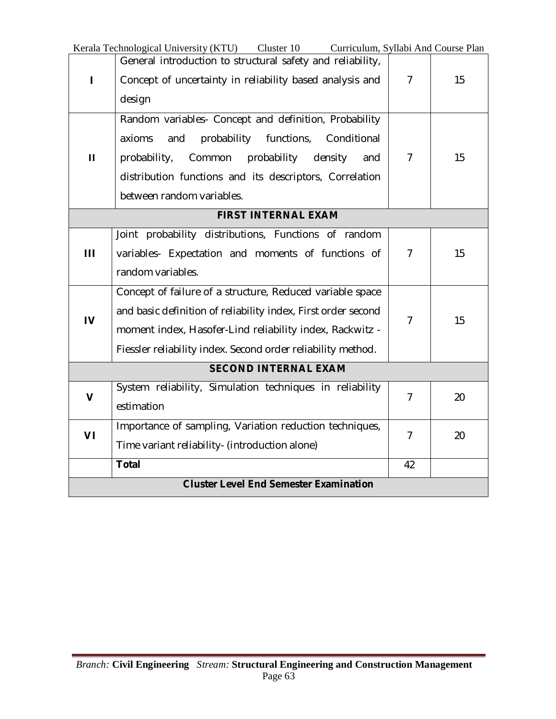|                                               | Kerala Technological University (KTU) Cluster 10<br>Curriculum, Syllabi And Course Plan |                |    |
|-----------------------------------------------|-----------------------------------------------------------------------------------------|----------------|----|
|                                               | General introduction to structural safety and reliability,                              |                |    |
| ı                                             | Concept of uncertainty in reliability based analysis and                                | $\overline{7}$ | 15 |
|                                               | design                                                                                  |                |    |
|                                               | Random variables- Concept and definition, Probability                                   |                |    |
|                                               | probability<br>functions,<br>Conditional<br>axioms<br>and                               |                |    |
| $\mathbf{H}$                                  | probability,<br>Common<br>probability<br>density<br>and                                 | $\overline{7}$ | 15 |
|                                               | distribution functions and its descriptors, Correlation                                 |                |    |
|                                               | between random variables.                                                               |                |    |
|                                               | <b>FIRST INTERNAL EXAM</b>                                                              |                |    |
|                                               | Joint probability distributions, Functions of random                                    |                |    |
| Ш                                             | variables- Expectation and moments of functions of                                      | $\overline{7}$ | 15 |
|                                               | random variables.                                                                       |                |    |
|                                               | Concept of failure of a structure, Reduced variable space                               |                |    |
|                                               | and basic definition of reliability index, First order second                           |                |    |
| $\mathbf{N}$                                  | moment index, Hasofer-Lind reliability index, Rackwitz -                                | $\overline{7}$ | 15 |
|                                               | Fiessler reliability index. Second order reliability method.                            |                |    |
|                                               | <b>SECOND INTERNAL EXAM</b>                                                             |                |    |
| $\mathbf v$                                   | System reliability, Simulation techniques in reliability                                | $\overline{7}$ | 20 |
|                                               | estimation                                                                              |                |    |
| VI                                            | Importance of sampling, Variation reduction techniques,                                 | $\overline{7}$ | 20 |
|                                               | Time variant reliability- (introduction alone)                                          |                |    |
|                                               | <b>Total</b>                                                                            | 42             |    |
| <b>Cluster Level End Semester Examination</b> |                                                                                         |                |    |

J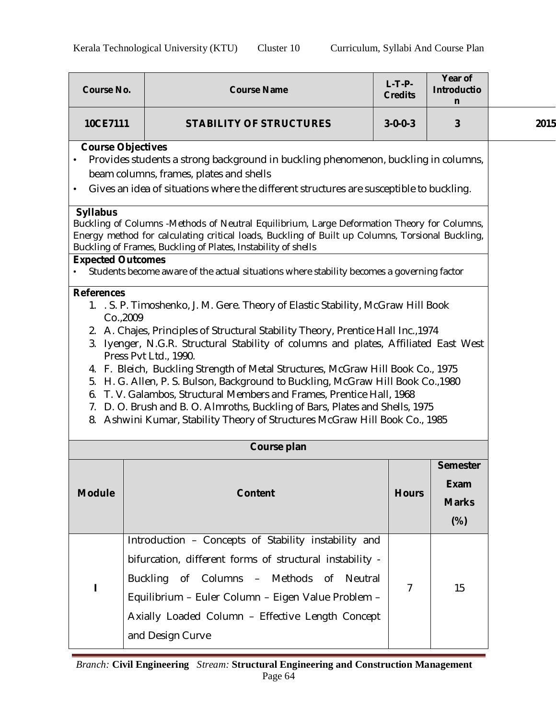| <b>Course No.</b>                                                                                                                                                                                                                                                                                                                                                                                                                                                                                                                                                                                                                                                                                                                    | <b>Course Name</b>                                                                                                                                                                                                                                                                         | $L-T-P-$<br><b>Credits</b> | Year of<br><b>Introductio</b><br>n    |      |  |
|--------------------------------------------------------------------------------------------------------------------------------------------------------------------------------------------------------------------------------------------------------------------------------------------------------------------------------------------------------------------------------------------------------------------------------------------------------------------------------------------------------------------------------------------------------------------------------------------------------------------------------------------------------------------------------------------------------------------------------------|--------------------------------------------------------------------------------------------------------------------------------------------------------------------------------------------------------------------------------------------------------------------------------------------|----------------------------|---------------------------------------|------|--|
| 10CE7111                                                                                                                                                                                                                                                                                                                                                                                                                                                                                                                                                                                                                                                                                                                             | <b>STABILITY OF STRUCTURES</b>                                                                                                                                                                                                                                                             | $3 - 0 - 0 - 3$            | 3                                     | 2015 |  |
| <b>Course Objectives</b><br>Provides students a strong background in buckling phenomenon, buckling in columns,<br>$\bullet$<br>beam columns, frames, plates and shells<br>Gives an idea of situations where the different structures are susceptible to buckling.<br>$\bullet$                                                                                                                                                                                                                                                                                                                                                                                                                                                       |                                                                                                                                                                                                                                                                                            |                            |                                       |      |  |
| <b>Syllabus</b><br><b>Expected Outcomes</b>                                                                                                                                                                                                                                                                                                                                                                                                                                                                                                                                                                                                                                                                                          | Buckling of Columns -Methods of Neutral Equilibrium, Large Deformation Theory for Columns,<br>Energy method for calculating critical loads, Buckling of Built up Columns, Torsional Buckling,<br>Buckling of Frames, Buckling of Plates, Instability of shells                             |                            |                                       |      |  |
|                                                                                                                                                                                                                                                                                                                                                                                                                                                                                                                                                                                                                                                                                                                                      | Students become aware of the actual situations where stability becomes a governing factor                                                                                                                                                                                                  |                            |                                       |      |  |
| <b>References</b><br>1. S. P. Timoshenko, J. M. Gere. Theory of Elastic Stability, McGraw Hill Book<br>Co., 2009<br>2. A. Chajes, Principles of Structural Stability Theory, Prentice Hall Inc., 1974<br>3. Iyenger, N.G.R. Structural Stability of columns and plates, Affiliated East West<br>Press Pvt Ltd., 1990.<br>4. F. Bleich, Buckling Strength of Metal Structures, McGraw Hill Book Co., 1975<br>5. H. G. Allen, P. S. Bulson, Background to Buckling, McGraw Hill Book Co., 1980<br>6. T. V. Galambos, Structural Members and Frames, Prentice Hall, 1968<br>7. D. O. Brush and B. O. Almroths, Buckling of Bars, Plates and Shells, 1975<br>8. Ashwini Kumar, Stability Theory of Structures McGraw Hill Book Co., 1985 |                                                                                                                                                                                                                                                                                            |                            |                                       |      |  |
|                                                                                                                                                                                                                                                                                                                                                                                                                                                                                                                                                                                                                                                                                                                                      | Course plan                                                                                                                                                                                                                                                                                |                            | <b>Semester</b>                       |      |  |
| <b>Module</b>                                                                                                                                                                                                                                                                                                                                                                                                                                                                                                                                                                                                                                                                                                                        | <b>Content</b>                                                                                                                                                                                                                                                                             | <b>Hours</b>               | <b>Exam</b><br><b>Marks</b><br>$(\%)$ |      |  |
| $\mathbf I$                                                                                                                                                                                                                                                                                                                                                                                                                                                                                                                                                                                                                                                                                                                          | Introduction - Concepts of Stability instability and<br>bifurcation, different forms of structural instability -<br>Buckling of Columns - Methods of Neutral<br>Equilibrium - Euler Column - Eigen Value Problem -<br>Axially Loaded Column - Effective Length Concept<br>and Design Curve | 7                          | 15                                    |      |  |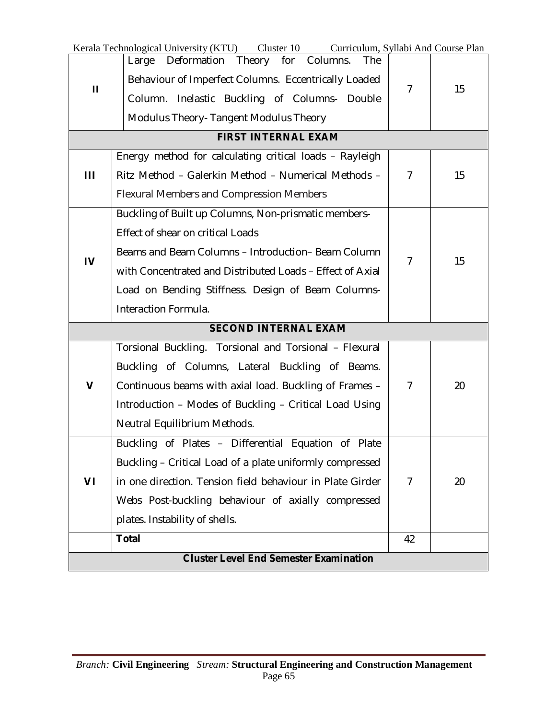|              | Kerala Technological University (KTU) Cluster 10<br>Curriculum, Syllabi And Course Plan |                |    |
|--------------|-----------------------------------------------------------------------------------------|----------------|----|
|              | Deformation Theory for Columns.<br>The<br>Large                                         |                |    |
| $\mathbf{H}$ | Behaviour of Imperfect Columns. Eccentrically Loaded                                    | 7              | 15 |
|              | Column. Inelastic Buckling of Columns- Double                                           |                |    |
|              | Modulus Theory- Tangent Modulus Theory                                                  |                |    |
|              | <b>FIRST INTERNAL EXAM</b>                                                              |                |    |
|              | Energy method for calculating critical loads - Rayleigh                                 |                |    |
| Ш            | Ritz Method - Galerkin Method - Numerical Methods -                                     | $\overline{7}$ | 15 |
|              | <b>Flexural Members and Compression Members</b>                                         |                |    |
|              | Buckling of Built up Columns, Non-prismatic members-                                    |                |    |
|              | <b>Effect of shear on critical Loads</b>                                                |                |    |
|              | Beams and Beam Columns - Introduction-Beam Column                                       | $\overline{7}$ | 15 |
| $\mathbf{I}$ | with Concentrated and Distributed Loads - Effect of Axial                               |                |    |
|              | Load on Bending Stiffness. Design of Beam Columns-                                      |                |    |
|              | Interaction Formula.                                                                    |                |    |
|              | <b>SECOND INTERNAL EXAM</b>                                                             |                |    |
|              | Torsional Buckling. Torsional and Torsional - Flexural                                  |                |    |
|              | Buckling of Columns, Lateral Buckling of Beams.                                         |                |    |
| $\mathbf v$  | Continuous beams with axial load. Buckling of Frames -                                  | $\overline{7}$ | 20 |
|              | Introduction - Modes of Buckling - Critical Load Using                                  |                |    |
|              | Neutral Equilibrium Methods.                                                            |                |    |
|              | Buckling of Plates - Differential Equation of Plate                                     |                |    |
|              | Buckling - Critical Load of a plate uniformly compressed                                |                |    |
| VI           | in one direction. Tension field behaviour in Plate Girder                               | $\overline{7}$ | 20 |
|              | Webs Post-buckling behaviour of axially compressed                                      |                |    |
|              | plates. Instability of shells.                                                          |                |    |
|              | <b>Total</b>                                                                            | 42             |    |
|              | <b>Cluster Level End Semester Examination</b>                                           |                |    |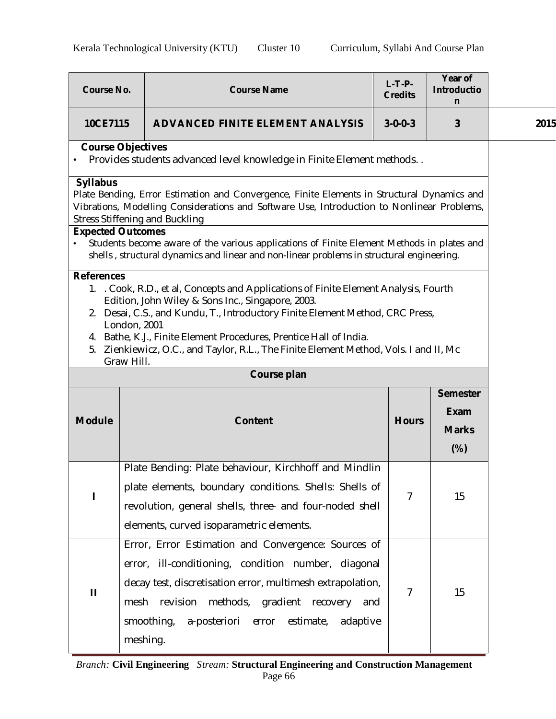| <b>Course No.</b>                                                                                                                                                                                                                                                                                                                                                                                                                          | <b>Course Name</b>                                                                                                                                                                                                                                                                                                                                                                                                                                       | $L-T-P-$<br><b>Credits</b> | Year of<br><b>Introductio</b><br>n             |      |  |  |
|--------------------------------------------------------------------------------------------------------------------------------------------------------------------------------------------------------------------------------------------------------------------------------------------------------------------------------------------------------------------------------------------------------------------------------------------|----------------------------------------------------------------------------------------------------------------------------------------------------------------------------------------------------------------------------------------------------------------------------------------------------------------------------------------------------------------------------------------------------------------------------------------------------------|----------------------------|------------------------------------------------|------|--|--|
| 10CE7115                                                                                                                                                                                                                                                                                                                                                                                                                                   | <b>ADVANCED FINITE ELEMENT ANALYSIS</b>                                                                                                                                                                                                                                                                                                                                                                                                                  | $3 - 0 - 0 - 3$            | 3                                              | 2015 |  |  |
| <b>Course Objectives</b><br>Provides students advanced level knowledge in Finite Element methods. .                                                                                                                                                                                                                                                                                                                                        |                                                                                                                                                                                                                                                                                                                                                                                                                                                          |                            |                                                |      |  |  |
| <b>Syllabus</b>                                                                                                                                                                                                                                                                                                                                                                                                                            | Plate Bending, Error Estimation and Convergence, Finite Elements in Structural Dynamics and<br>Vibrations, Modelling Considerations and Software Use, Introduction to Nonlinear Problems,<br><b>Stress Stiffening and Buckling</b><br><b>Expected Outcomes</b><br>Students become aware of the various applications of Finite Element Methods in plates and<br>shells, structural dynamics and linear and non-linear problems in structural engineering. |                            |                                                |      |  |  |
| <b>References</b><br>1. Cook, R.D., et al, Concepts and Applications of Finite Element Analysis, Fourth<br>Edition, John Wiley & Sons Inc., Singapore, 2003.<br>2. Desai, C.S., and Kundu, T., Introductory Finite Element Method, CRC Press,<br>London, 2001<br>4. Bathe, K.J., Finite Element Procedures, Prentice Hall of India.<br>5. Zienkiewicz, O.C., and Taylor, R.L., The Finite Element Method, Vols. I and II, Mc<br>Graw Hill. |                                                                                                                                                                                                                                                                                                                                                                                                                                                          |                            |                                                |      |  |  |
|                                                                                                                                                                                                                                                                                                                                                                                                                                            | Course plan                                                                                                                                                                                                                                                                                                                                                                                                                                              |                            |                                                |      |  |  |
| <b>Module</b>                                                                                                                                                                                                                                                                                                                                                                                                                              | <b>Content</b>                                                                                                                                                                                                                                                                                                                                                                                                                                           | <b>Hours</b>               | <b>Semester</b><br><b>Exam</b><br><b>Marks</b> |      |  |  |
|                                                                                                                                                                                                                                                                                                                                                                                                                                            |                                                                                                                                                                                                                                                                                                                                                                                                                                                          |                            | $(\%)$                                         |      |  |  |
|                                                                                                                                                                                                                                                                                                                                                                                                                                            | Plate Bending: Plate behaviour, Kirchhoff and Mindlin<br>plate elements, boundary conditions. Shells: Shells of<br>revolution, general shells, three- and four-noded shell<br>elements, curved isoparametric elements.                                                                                                                                                                                                                                   | 7                          | 15                                             |      |  |  |
| $\mathbf{H}$                                                                                                                                                                                                                                                                                                                                                                                                                               | Error, Error Estimation and Convergence: Sources of<br>error, ill-conditioning, condition number, diagonal<br>decay test, discretisation error, multimesh extrapolation,<br>revision<br>methods, gradient recovery<br>mesh<br>and<br>smoothing,<br>a-posteriori<br>error<br>estimate,<br>adaptive<br>meshing.                                                                                                                                            | 7                          | 15                                             |      |  |  |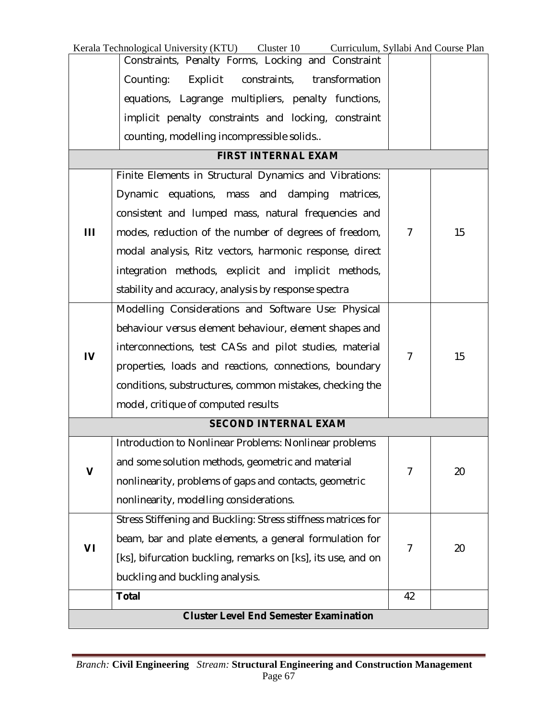|                                               | Kerala Technological University (KTU)<br>Cluster 10<br>Curriculum, Syllabi And Course Plan |                |    |  |
|-----------------------------------------------|--------------------------------------------------------------------------------------------|----------------|----|--|
|                                               | Constraints, Penalty Forms, Locking and Constraint                                         |                |    |  |
|                                               | Counting:<br>Explicit<br>constraints,<br>transformation                                    |                |    |  |
|                                               | equations, Lagrange multipliers, penalty functions,                                        |                |    |  |
|                                               | implicit penalty constraints and locking, constraint                                       |                |    |  |
|                                               | counting, modelling incompressible solids                                                  |                |    |  |
|                                               | <b>FIRST INTERNAL EXAM</b>                                                                 |                |    |  |
|                                               | Finite Elements in Structural Dynamics and Vibrations:                                     |                |    |  |
|                                               | Dynamic equations, mass and damping<br>matrices,                                           |                |    |  |
|                                               | consistent and lumped mass, natural frequencies and                                        |                |    |  |
| Ш                                             | modes, reduction of the number of degrees of freedom,                                      | 7              | 15 |  |
|                                               | modal analysis, Ritz vectors, harmonic response, direct                                    |                |    |  |
|                                               | integration methods, explicit and implicit methods,                                        |                |    |  |
|                                               | stability and accuracy, analysis by response spectra                                       |                |    |  |
|                                               | Modelling Considerations and Software Use: Physical                                        |                |    |  |
|                                               | behaviour versus element behaviour, element shapes and                                     |                |    |  |
|                                               | interconnections, test CASs and pilot studies, material                                    |                |    |  |
| IV                                            | properties, loads and reactions, connections, boundary                                     | $\overline{7}$ | 15 |  |
|                                               | conditions, substructures, common mistakes, checking the                                   |                |    |  |
|                                               | model, critique of computed results                                                        |                |    |  |
|                                               | <b>SECOND INTERNAL EXAM</b>                                                                |                |    |  |
|                                               | Introduction to Nonlinear Problems: Nonlinear problems                                     |                |    |  |
|                                               | and some solution methods, geometric and material                                          |                |    |  |
| V                                             | nonlinearity, problems of gaps and contacts, geometric                                     | $\overline{7}$ | 20 |  |
|                                               | nonlinearity, modelling considerations.                                                    |                |    |  |
|                                               | Stress Stiffening and Buckling: Stress stiffness matrices for                              |                |    |  |
|                                               | beam, bar and plate elements, a general formulation for                                    |                |    |  |
| VI                                            | [ks], bifurcation buckling, remarks on [ks], its use, and on                               | $\overline{7}$ | 20 |  |
|                                               |                                                                                            |                |    |  |
|                                               | buckling and buckling analysis.                                                            |                |    |  |
|                                               | <b>Total</b>                                                                               | 42             |    |  |
| <b>Cluster Level End Semester Examination</b> |                                                                                            |                |    |  |

L,